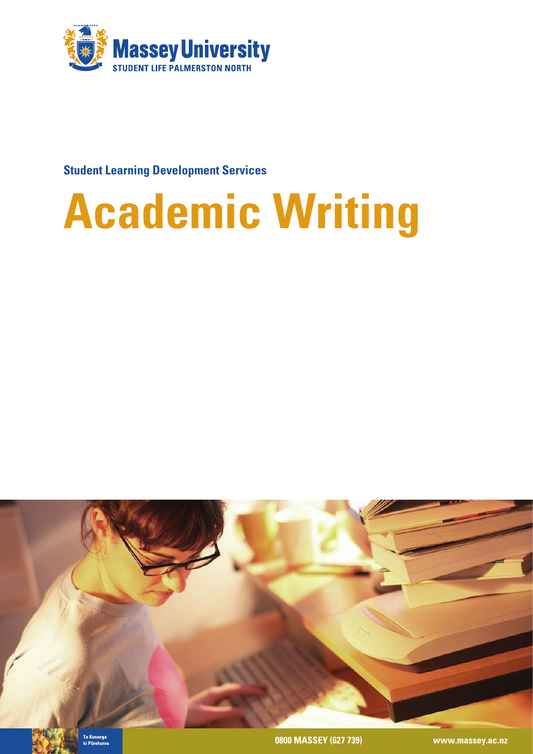

**Student Learning Development Services**

# **Academic Writing**

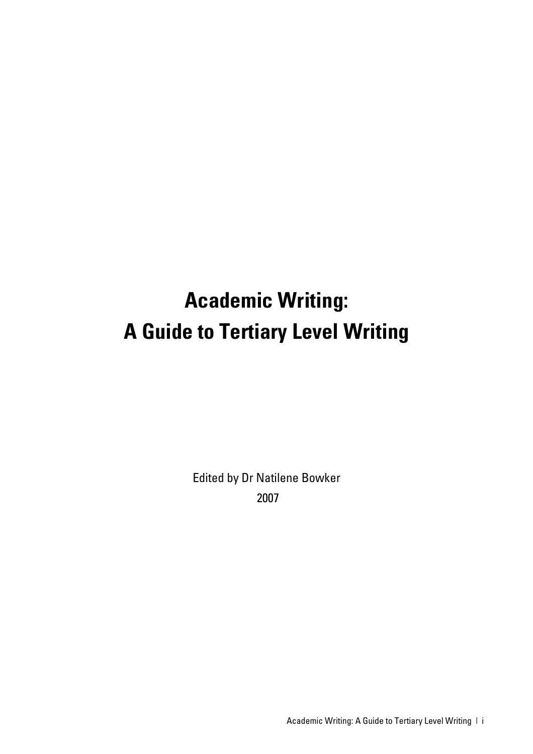# **Academic Writing: A Guide to Tertiary Level Writing**

Edited by Dr Natilene Bowker 2007

Academic Writing: A Guide to Tertiary Level Writing | i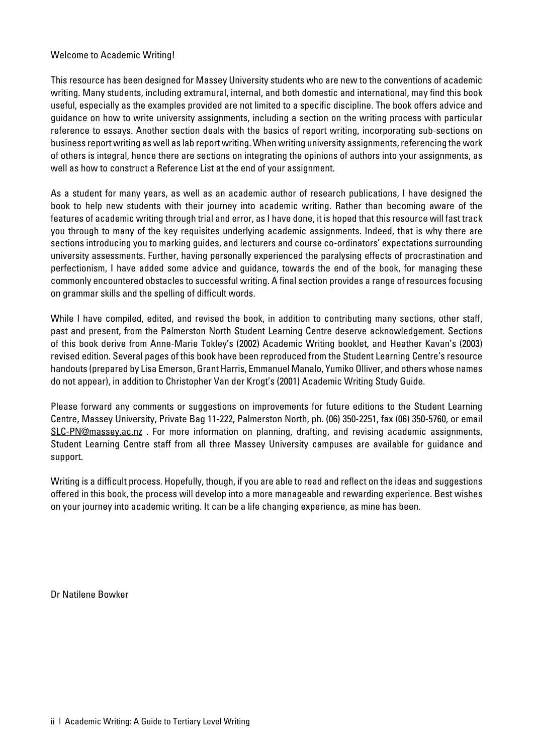#### Welcome to Academic Writing!

This resource has been designed for Massey University students who are new to the conventions of academic writing. Many students, including extramural, internal, and both domestic and international, may find this book useful, especially as the examples provided are not limited to a specific discipline. The book offers advice and guidance on how to write university assignments, including a section on the writing process with particular reference to essays. Another section deals with the basics of report writing, incorporating sub-sections on business report writing as well as lab report writing. When writing university assignments, referencing the work of others is integral, hence there are sections on integrating the opinions of authors into your assignments, as well as how to construct a Reference List at the end of your assignment.

As a student for many years, as well as an academic author of research publications, I have designed the book to help new students with their journey into academic writing. Rather than becoming aware of the features of academic writing through trial and error, as I have done, it is hoped that this resource will fast track you through to many of the key requisites underlying academic assignments. Indeed, that is why there are sections introducing you to marking guides, and lecturers and course co-ordinators' expectations surrounding university assessments. Further, having personally experienced the paralysing effects of procrastination and perfectionism, I have added some advice and guidance, towards the end of the book, for managing these commonly encountered obstacles to successful writing. A final section provides a range of resources focusing on grammar skills and the spelling of difficult words.

While I have compiled, edited, and revised the book, in addition to contributing many sections, other staff, past and present, from the Palmerston North Student Learning Centre deserve acknowledgement. Sections of this book derive from Anne-Marie Tokley's (2002) Academic Writing booklet, and Heather Kavan's (2003) revised edition. Several pages of this book have been reproduced from the Student Learning Centre's resource handouts (prepared by Lisa Emerson, Grant Harris, Emmanuel Manalo, Yumiko Olliver, and others whose names do not appear), in addition to Christopher Van der Krogt's (2001) Academic Writing Study Guide.

Please forward any comments or suggestions on improvements for future editions to the Student Learning Centre, Massey University, Private Bag 11-222, Palmerston North, ph. (06) 350-2251, fax (06) 350-5760, or email SLC-PN@massey.ac.nz. For more information on planning, drafting, and revising academic assignments, Student Learning Centre staff from all three Massey University campuses are available for guidance and support.

Writing is a difficult process. Hopefully, though, if you are able to read and reflect on the ideas and suggestions offered in this book, the process will develop into a more manageable and rewarding experience. Best wishes on your journey into academic writing. It can be a life changing experience, as mine has been.

Dr Natilene Bowker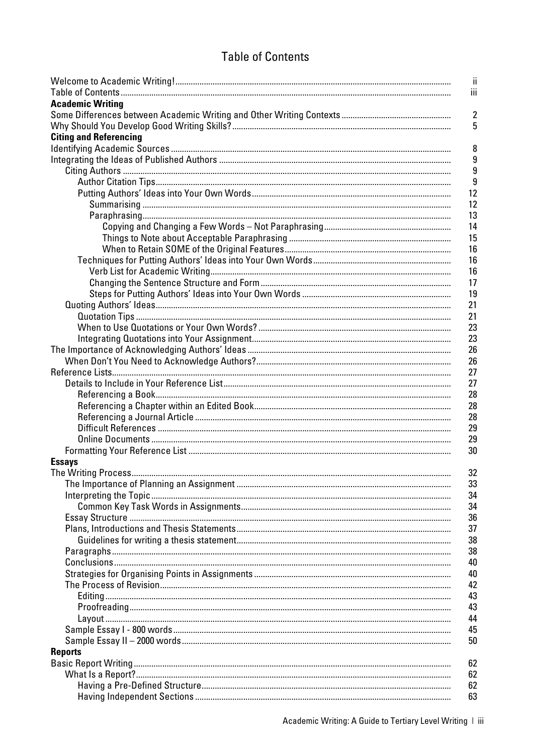# **Table of Contents**

|                               | ji             |
|-------------------------------|----------------|
|                               | jij            |
| <b>Academic Writing</b>       |                |
|                               | $\overline{c}$ |
|                               | 5              |
| <b>Citing and Referencing</b> |                |
|                               | 8              |
|                               | 9              |
|                               | 9              |
|                               | 9              |
|                               | 12             |
|                               | 12             |
|                               | 13             |
|                               | 14             |
|                               | 15             |
|                               | 16             |
|                               | 16             |
|                               |                |
|                               | 16             |
|                               | 17             |
|                               | 19             |
|                               | 21             |
|                               | 21             |
|                               | 23             |
|                               | 23             |
|                               | 26             |
|                               | 26             |
|                               | 27             |
|                               | 27             |
|                               | 28             |
|                               | 28             |
|                               | 28             |
|                               | 29             |
|                               | 29             |
|                               | 30             |
| <b>Essays</b>                 |                |
| The Writing Process           | 32             |
|                               | 33             |
|                               | 34             |
|                               | 34             |
|                               | 36             |
|                               | 37             |
|                               | 38             |
|                               | 38             |
|                               | 40             |
|                               | 40             |
|                               | 42             |
|                               | 43             |
|                               | 43             |
|                               | 44             |
|                               | 45             |
|                               | 50             |
| <b>Reports</b>                |                |
|                               | 62             |
|                               | 62             |
|                               | 62             |
|                               | 63             |
|                               |                |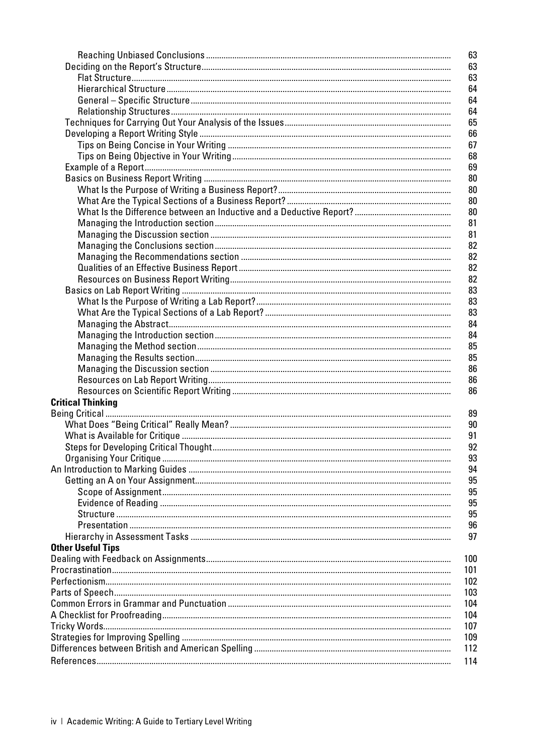|                          | 63  |
|--------------------------|-----|
|                          | 63  |
|                          | 63  |
|                          | 64  |
|                          | 64  |
|                          | 64  |
|                          | 65  |
|                          | 66  |
|                          | 67  |
|                          | 68  |
|                          | 69  |
|                          | 80  |
|                          | 80  |
|                          | 80  |
|                          | 80  |
|                          | 81  |
|                          | 81  |
|                          | 82  |
|                          | 82  |
|                          | 82  |
|                          | 82  |
|                          | 83  |
|                          | 83  |
|                          | 83  |
|                          | 84  |
|                          | 84  |
|                          | 85  |
|                          | 85  |
|                          | 86  |
|                          | 86  |
|                          | 86  |
| <b>Critical Thinking</b> |     |
|                          | 89  |
|                          | 90  |
|                          | 91  |
|                          | 92  |
|                          | 93  |
|                          | 94  |
|                          | 95  |
|                          | 95  |
|                          | 95  |
|                          | 95  |
|                          | 96  |
|                          | 97  |
| <b>Other Useful Tips</b> |     |
|                          | 100 |
|                          | 101 |
|                          | 102 |
|                          | 103 |
|                          | 104 |
|                          | 104 |
|                          | 107 |
|                          | 109 |
|                          | 112 |
|                          | 114 |
|                          |     |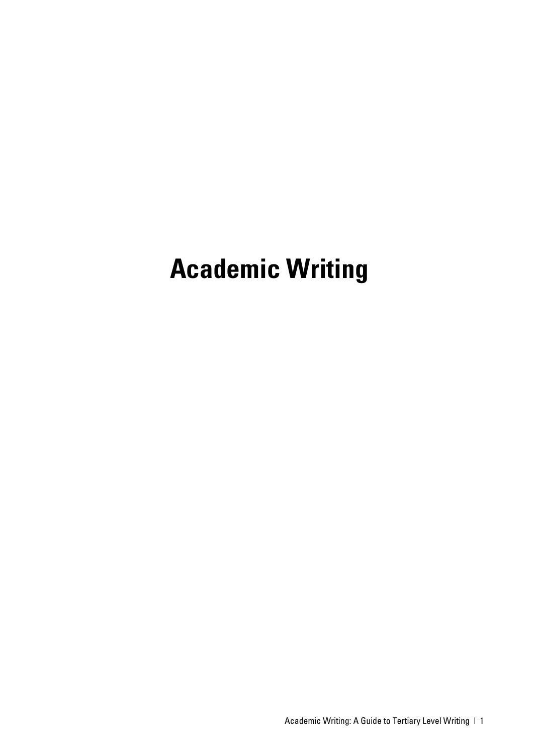# **Academic Writing**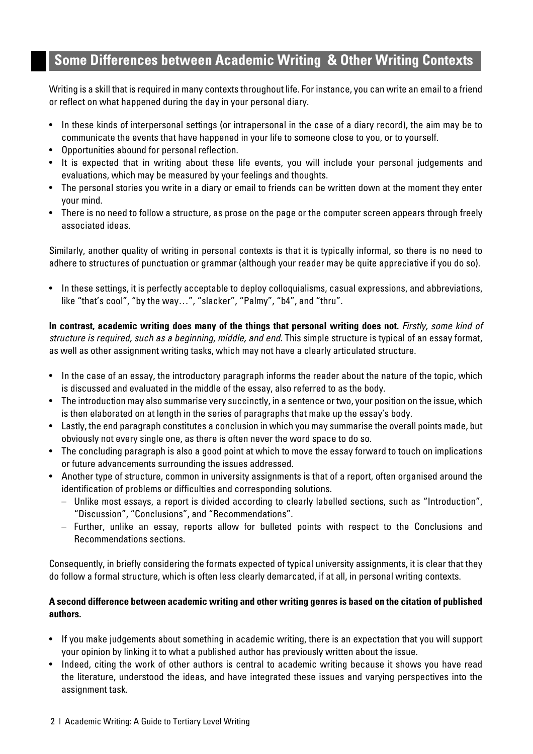# **Some Differences between Academic Writing & Other Writing Contexts**

Writing is a skill that is required in many contexts throughout life. For instance, you can write an email to a friend or reflect on what happened during the day in your personal diary.

- In these kinds of interpersonal settings (or intrapersonal in the case of a diary record), the aim may be to communicate the events that have happened in your life to someone close to you, or to yourself.
- Opportunities abound for personal reflection.
- It is expected that in writing about these life events, you will include your personal judgements and evaluations, which may be measured by your feelings and thoughts.
- The personal stories you write in a diary or email to friends can be written down at the moment they enter your mind.
- There is no need to follow a structure, as prose on the page or the computer screen appears through freely associated ideas.

Similarly, another quality of writing in personal contexts is that it is typically informal, so there is no need to adhere to structures of punctuation or grammar (although your reader may be quite appreciative if you do so).

• In these settings, it is perfectly acceptable to deploy colloquialisms, casual expressions, and abbreviations, like "that's cool", "by the way…", "slacker", "Palmy", "b4", and "thru".

**In contrast, academic writing does many of the things that personal writing does not.** Firstly, some kind of structure is required, such as a beginning, middle, and end. This simple structure is typical of an essay format, as well as other assignment writing tasks, which may not have a clearly articulated structure.

- In the case of an essay, the introductory paragraph informs the reader about the nature of the topic, which is discussed and evaluated in the middle of the essay, also referred to as the body.
- The introduction may also summarise very succinctly, in a sentence or two, your position on the issue, which is then elaborated on at length in the series of paragraphs that make up the essay's body.
- Lastly, the end paragraph constitutes a conclusion in which you may summarise the overall points made, but obviously not every single one, as there is often never the word space to do so.
- The concluding paragraph is also a good point at which to move the essay forward to touch on implications or future advancements surrounding the issues addressed.
- Another type of structure, common in university assignments is that of a report, often organised around the identification of problems or difficulties and corresponding solutions.
	- Unlike most essays, a report is divided according to clearly labelled sections, such as "Introduction", "Discussion", "Conclusions", and "Recommendations".
	- Further, unlike an essay, reports allow for bulleted points with respect to the Conclusions and Recommendations sections.

Consequently, in briefly considering the formats expected of typical university assignments, it is clear that they do follow a formal structure, which is often less clearly demarcated, if at all, in personal writing contexts.

#### **A second difference between academic writing and other writing genres is based on the citation of published authors.**

- If you make judgements about something in academic writing, there is an expectation that you will support your opinion by linking it to what a published author has previously written about the issue.
- Indeed, citing the work of other authors is central to academic writing because it shows you have read the literature, understood the ideas, and have integrated these issues and varying perspectives into the assignment task.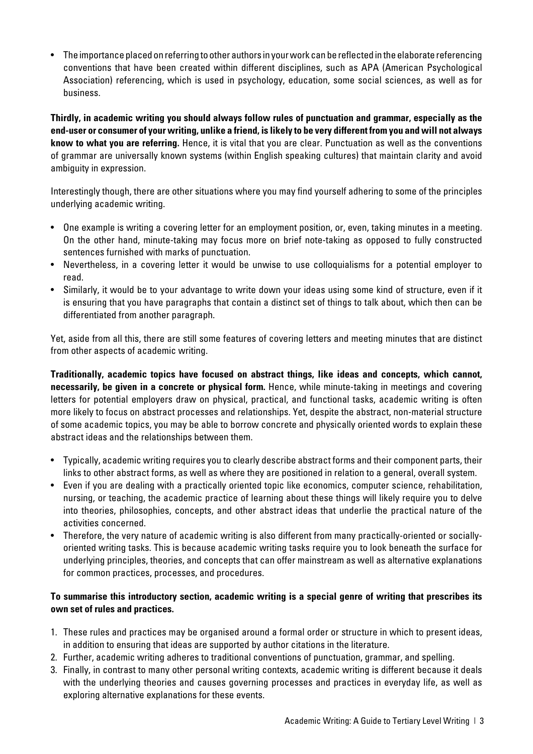• The importance placed on referring to other authors in your work can be reflected in the elaborate referencing conventions that have been created within different disciplines, such as APA (American Psychological Association) referencing, which is used in psychology, education, some social sciences, as well as for business.

**Thirdly, in academic writing you should always follow rules of punctuation and grammar, especially as the end-user or consumer of your writing, unlike a friend, is likely to be very different from you and will not always know to what you are referring.** Hence, it is vital that you are clear. Punctuation as well as the conventions of grammar are universally known systems (within English speaking cultures) that maintain clarity and avoid ambiguity in expression.

Interestingly though, there are other situations where you may find yourself adhering to some of the principles underlying academic writing.

- One example is writing a covering letter for an employment position, or, even, taking minutes in a meeting. On the other hand, minute-taking may focus more on brief note-taking as opposed to fully constructed sentences furnished with marks of punctuation.
- Nevertheless, in a covering letter it would be unwise to use colloquialisms for a potential employer to read.
- Similarly, it would be to your advantage to write down your ideas using some kind of structure, even if it is ensuring that you have paragraphs that contain a distinct set of things to talk about, which then can be differentiated from another paragraph.

Yet, aside from all this, there are still some features of covering letters and meeting minutes that are distinct from other aspects of academic writing.

**Traditionally, academic topics have focused on abstract things, like ideas and concepts, which cannot, necessarily, be given in a concrete or physical form.** Hence, while minute-taking in meetings and covering letters for potential employers draw on physical, practical, and functional tasks, academic writing is often more likely to focus on abstract processes and relationships. Yet, despite the abstract, non-material structure of some academic topics, you may be able to borrow concrete and physically oriented words to explain these abstract ideas and the relationships between them.

- Typically, academic writing requires you to clearly describe abstract forms and their component parts, their links to other abstract forms, as well as where they are positioned in relation to a general, overall system.
- Even if you are dealing with a practically oriented topic like economics, computer science, rehabilitation, nursing, or teaching, the academic practice of learning about these things will likely require you to delve into theories, philosophies, concepts, and other abstract ideas that underlie the practical nature of the activities concerned.
- Therefore, the very nature of academic writing is also different from many practically-oriented or sociallyoriented writing tasks. This is because academic writing tasks require you to look beneath the surface for underlying principles, theories, and concepts that can offer mainstream as well as alternative explanations for common practices, processes, and procedures.

#### **To summarise this introductory section, academic writing is a special genre of writing that prescribes its own set of rules and practices.**

- 1. These rules and practices may be organised around a formal order or structure in which to present ideas, in addition to ensuring that ideas are supported by author citations in the literature.
- 2. Further, academic writing adheres to traditional conventions of punctuation, grammar, and spelling.
- 3. Finally, in contrast to many other personal writing contexts, academic writing is different because it deals with the underlying theories and causes governing processes and practices in everyday life, as well as exploring alternative explanations for these events.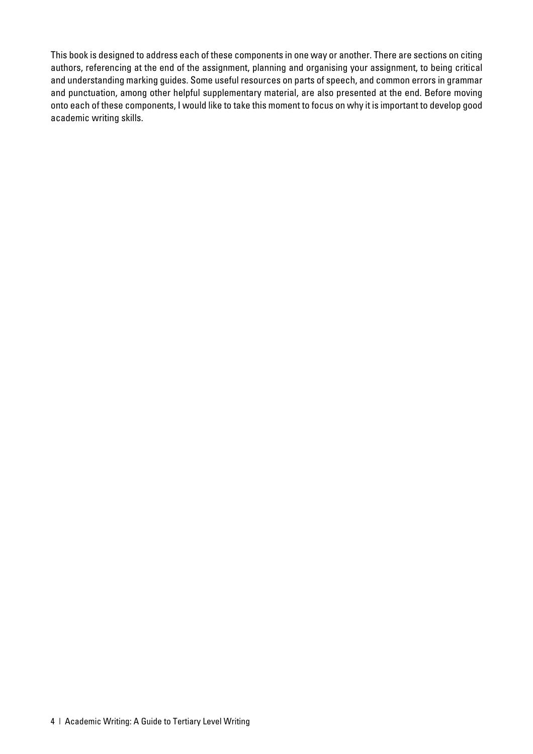This book is designed to address each of these components in one way or another. There are sections on citing authors, referencing at the end of the assignment, planning and organising your assignment, to being critical and understanding marking guides. Some useful resources on parts of speech, and common errors in grammar and punctuation, among other helpful supplementary material, are also presented at the end. Before moving onto each of these components, I would like to take this moment to focus on why it is important to develop good academic writing skills.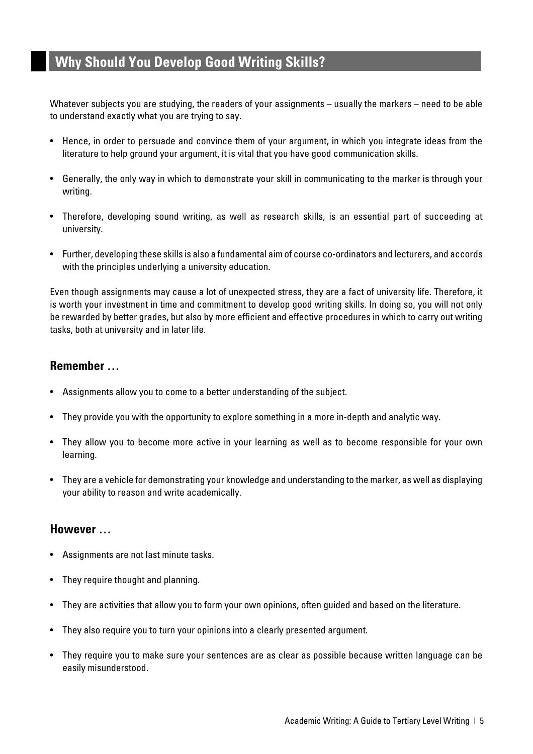# **Why Should You Develop Good Writing Skills?**

Whatever subjects you are studying, the readers of your assignments – usually the markers – need to be able to understand exactly what you are trying to say.

- Hence, in order to persuade and convince them of your argument, in which you integrate ideas from the literature to help ground your argument, it is vital that you have good communication skills.
- Generally, the only way in which to demonstrate your skill in communicating to the marker is through your writing.
- Therefore, developing sound writing, as well as research skills, is an essential part of succeeding at university.
- Further, developing these skills is also a fundamental aim of course co-ordinators and lecturers, and accords with the principles underlying a university education.

Even though assignments may cause a lot of unexpected stress, they are a fact of university life. Therefore, it is worth your investment in time and commitment to develop good writing skills. In doing so, you will not only be rewarded by better grades, but also by more efficient and effective procedures in which to carry out writing tasks, both at university and in later life.

#### **Remember …**

- Assignments allow you to come to a better understanding of the subject.
- They provide you with the opportunity to explore something in a more in-depth and analytic way.
- They allow you to become more active in your learning as well as to become responsible for your own learning.
- They are a vehicle for demonstrating your knowledge and understanding to the marker, as well as displaying your ability to reason and write academically.

#### **However …**

- Assignments are not last minute tasks.
- They require thought and planning.
- They are activities that allow you to form your own opinions, often guided and based on the literature.
- They also require you to turn your opinions into a clearly presented argument.
- They require you to make sure your sentences are as clear as possible because written language can be easily misunderstood.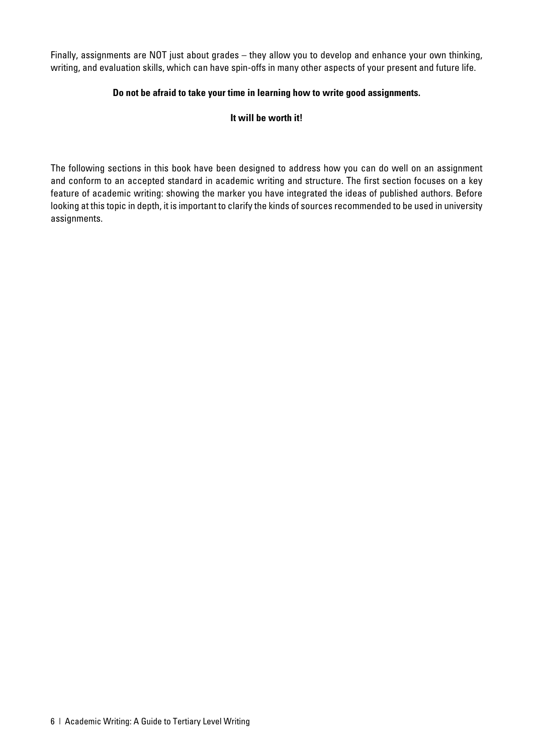Finally, assignments are NOT just about grades – they allow you to develop and enhance your own thinking, writing, and evaluation skills, which can have spin-offs in many other aspects of your present and future life.

#### **Do not be afraid to take your time in learning how to write good assignments.**

#### **It will be worth it!**

The following sections in this book have been designed to address how you can do well on an assignment and conform to an accepted standard in academic writing and structure. The first section focuses on a key feature of academic writing: showing the marker you have integrated the ideas of published authors. Before looking at this topic in depth, it is important to clarify the kinds of sources recommended to be used in university assignments.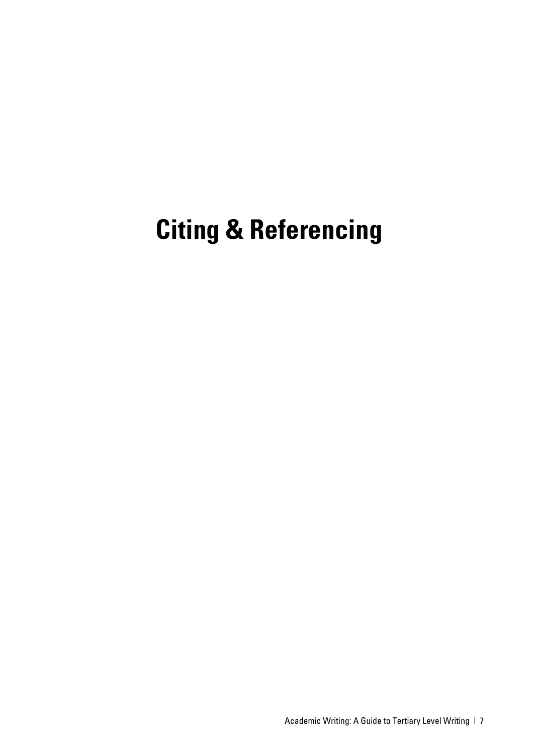# **Citing & Referencing**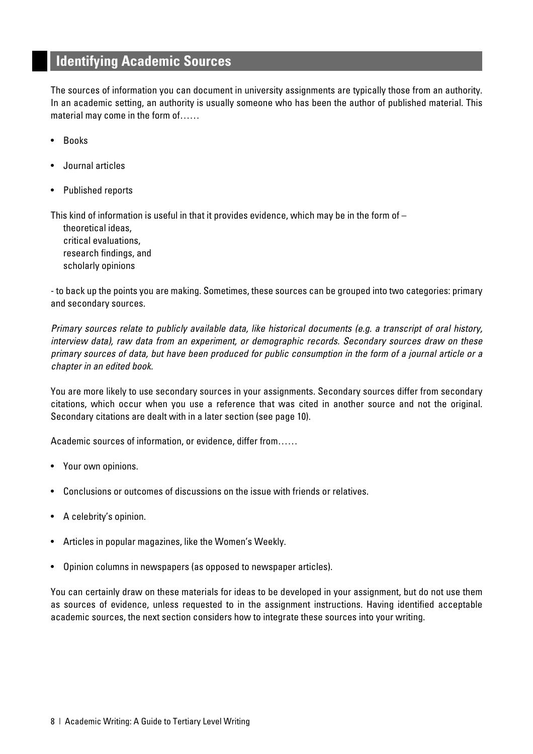## **Identifying Academic Sources**

The sources of information you can document in university assignments are typically those from an authority. In an academic setting, an authority is usually someone who has been the author of published material. This material may come in the form of……

- Books
- Journal articles
- Published reports

This kind of information is useful in that it provides evidence, which may be in the form of –

theoretical ideas, critical evaluations, research findings, and scholarly opinions

- to back up the points you are making. Sometimes, these sources can be grouped into two categories: primary and secondary sources.

Primary sources relate to publicly available data, like historical documents (e.g. a transcript of oral history, interview data), raw data from an experiment, or demographic records. Secondary sources draw on these primary sources of data, but have been produced for public consumption in the form of a journal article or a chapter in an edited book.

You are more likely to use secondary sources in your assignments. Secondary sources differ from secondary citations, which occur when you use a reference that was cited in another source and not the original. Secondary citations are dealt with in a later section (see page 10).

Academic sources of information, or evidence, differ from……

- Your own opinions.
- Conclusions or outcomes of discussions on the issue with friends or relatives.
- A celebrity's opinion.
- Articles in popular magazines, like the Women's Weekly.
- Opinion columns in newspapers (as opposed to newspaper articles).

You can certainly draw on these materials for ideas to be developed in your assignment, but do not use them as sources of evidence, unless requested to in the assignment instructions. Having identified acceptable academic sources, the next section considers how to integrate these sources into your writing.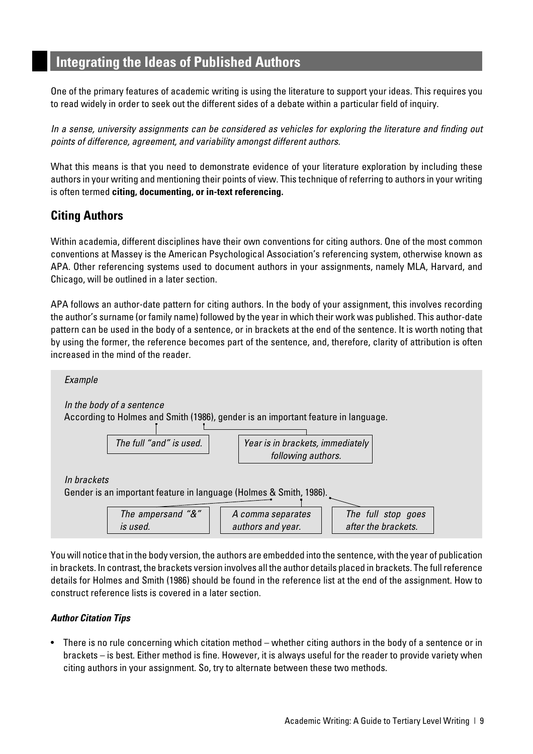# **Integrating the Ideas of Published Authors**

One of the primary features of academic writing is using the literature to support your ideas. This requires you to read widely in order to seek out the different sides of a debate within a particular field of inquiry.

In a sense, university assignments can be considered as vehicles for exploring the literature and finding out points of difference, agreement, and variability amongst different authors.

What this means is that you need to demonstrate evidence of your literature exploration by including these authors in your writing and mentioning their points of view. This technique of referring to authors in your writing is often termed **citing, documenting, or in-text referencing.** 

# **Citing Authors**

Within academia, different disciplines have their own conventions for citing authors. One of the most common conventions at Massey is the American Psychological Association's referencing system, otherwise known as APA. Other referencing systems used to document authors in your assignments, namely MLA, Harvard, and Chicago, will be outlined in a later section.

APA follows an author-date pattern for citing authors. In the body of your assignment, this involves recording the author's surname (or family name) followed by the year in which their work was published. This author-date pattern can be used in the body of a sentence, or in brackets at the end of the sentence. It is worth noting that by using the former, the reference becomes part of the sentence, and, therefore, clarity of attribution is often increased in the mind of the reader.



You will notice that in the body version, the authors are embedded into the sentence, with the year of publication in brackets. In contrast, the brackets version involves all the author details placed in brackets. The full reference details for Holmes and Smith (1986) should be found in the reference list at the end of the assignment. How to construct reference lists is covered in a later section.

#### *Author Citation Tips*

• There is no rule concerning which citation method – whether citing authors in the body of a sentence or in brackets – is best. Either method is fine. However, it is always useful for the reader to provide variety when citing authors in your assignment. So, try to alternate between these two methods.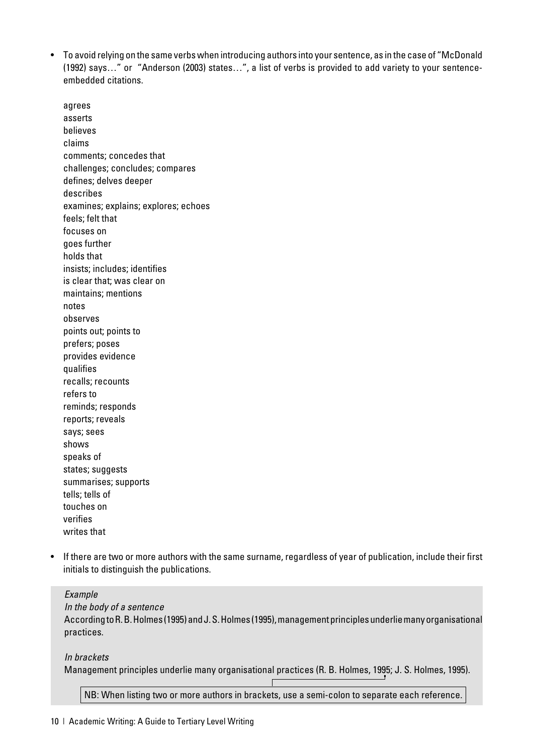• To avoid relying on the same verbs when introducing authors into your sentence, as in the case of "McDonald (1992) says…" or "Anderson (2003) states…", a list of verbs is provided to add variety to your sentenceembedded citations.

 agrees asserts believes claims comments; concedes that challenges; concludes; compares defines; delves deeper describes examines; explains; explores; echoes feels; felt that focuses on goes further holds that insists; includes; identifies is clear that; was clear on maintains; mentions notes observes points out; points to prefers; poses provides evidence qualifies recalls; recounts refers to reminds; responds reports; reveals says; sees shows speaks of states; suggests summarises; supports tells; tells of touches on verifies writes that

• If there are two or more authors with the same surname, regardless of year of publication, include their first initials to distinguish the publications.

#### Example

In the body of a sentence

According to R. B. Holmes (1995) and J. S. Holmes (1995), management principles underlie many organisational practices.

In brackets Management principles underlie many organisational practices (R. B. Holmes, 1995; J. S. Holmes, 1995).

NB: When listing two or more authors in brackets, use a semi-colon to separate each reference.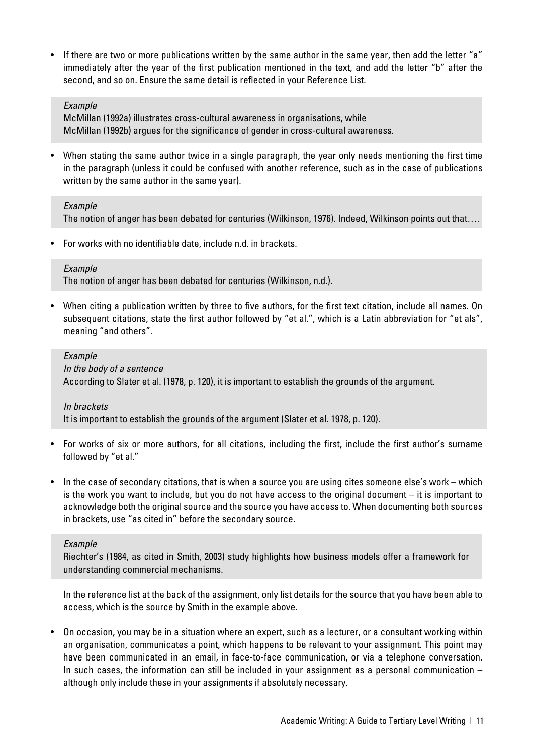• If there are two or more publications written by the same author in the same year, then add the letter "a" immediately after the year of the first publication mentioned in the text, and add the letter "b" after the second, and so on. Ensure the same detail is reflected in your Reference List.

#### **Example**

 McMillan (1992a) illustrates cross-cultural awareness in organisations, while McMillan (1992b) argues for the significance of gender in cross-cultural awareness.

When stating the same author twice in a single paragraph, the year only needs mentioning the first time in the paragraph (unless it could be confused with another reference, such as in the case of publications written by the same author in the same year).

#### Example

The notion of anger has been debated for centuries (Wilkinson, 1976). Indeed, Wilkinson points out that….

• For works with no identifiable date, include n.d. in brackets.

#### Example

The notion of anger has been debated for centuries (Wilkinson, n.d.).

• When citing a publication written by three to five authors, for the first text citation, include all names. On subsequent citations, state the first author followed by "et al.", which is a Latin abbreviation for "et als", meaning "and others".

#### Example

#### In the body of a sentence

According to Slater et al. (1978, p. 120), it is important to establish the grounds of the argument.

#### In brackets It is important to establish the grounds of the argument (Slater et al. 1978, p. 120).

- For works of six or more authors, for all citations, including the first, include the first author's surname followed by "et al."
- In the case of secondary citations, that is when a source you are using cites someone else's work which is the work you want to include, but you do not have access to the original document – it is important to acknowledge both the original source and the source you have access to. When documenting both sources in brackets, use "as cited in" before the secondary source.

#### Example

 Riechter's (1984, as cited in Smith, 2003) study highlights how business models offer a framework for understanding commercial mechanisms.

 In the reference list at the back of the assignment, only list details for the source that you have been able to access, which is the source by Smith in the example above.

• On occasion, you may be in a situation where an expert, such as a lecturer, or a consultant working within an organisation, communicates a point, which happens to be relevant to your assignment. This point may have been communicated in an email, in face-to-face communication, or via a telephone conversation. In such cases, the information can still be included in your assignment as a personal communication – although only include these in your assignments if absolutely necessary.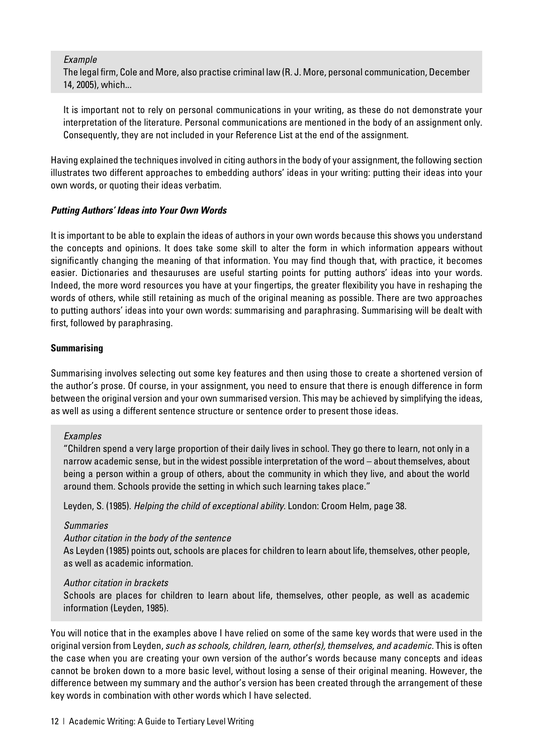#### Example

The legal firm, Cole and More, also practise criminal law (R. J. More, personal communication, December 14, 2005), which...

 It is important not to rely on personal communications in your writing, as these do not demonstrate your interpretation of the literature. Personal communications are mentioned in the body of an assignment only. Consequently, they are not included in your Reference List at the end of the assignment.

Having explained the techniques involved in citing authors in the body of your assignment, the following section illustrates two different approaches to embedding authors' ideas in your writing: putting their ideas into your own words, or quoting their ideas verbatim.

#### *Putting Authors' Ideas into Your Own Words*

It is important to be able to explain the ideas of authors in your own words because this shows you understand the concepts and opinions. It does take some skill to alter the form in which information appears without significantly changing the meaning of that information. You may find though that, with practice, it becomes easier. Dictionaries and thesauruses are useful starting points for putting authors' ideas into your words. Indeed, the more word resources you have at your fingertips, the greater flexibility you have in reshaping the words of others, while still retaining as much of the original meaning as possible. There are two approaches to putting authors' ideas into your own words: summarising and paraphrasing. Summarising will be dealt with first, followed by paraphrasing.

#### **Summarising**

Summarising involves selecting out some key features and then using those to create a shortened version of the author's prose. Of course, in your assignment, you need to ensure that there is enough difference in form between the original version and your own summarised version. This may be achieved by simplifying the ideas, as well as using a different sentence structure or sentence order to present those ideas.

#### Examples

"Children spend a very large proportion of their daily lives in school. They go there to learn, not only in a narrow academic sense, but in the widest possible interpretation of the word – about themselves, about being a person within a group of others, about the community in which they live, and about the world around them. Schools provide the setting in which such learning takes place."

Leyden, S. (1985). Helping the child of exceptional ability. London: Croom Helm, page 38.

#### Summaries

#### Author citation in the body of the sentence

As Leyden (1985) points out, schools are places for children to learn about life, themselves, other people, as well as academic information.

#### Author citation in brackets

Schools are places for children to learn about life, themselves, other people, as well as academic information (Leyden, 1985).

You will notice that in the examples above I have relied on some of the same key words that were used in the original version from Leyden, such as schools, children, learn, other(s), themselves, and academic. This is often the case when you are creating your own version of the author's words because many concepts and ideas cannot be broken down to a more basic level, without losing a sense of their original meaning. However, the difference between my summary and the author's version has been created through the arrangement of these key words in combination with other words which I have selected.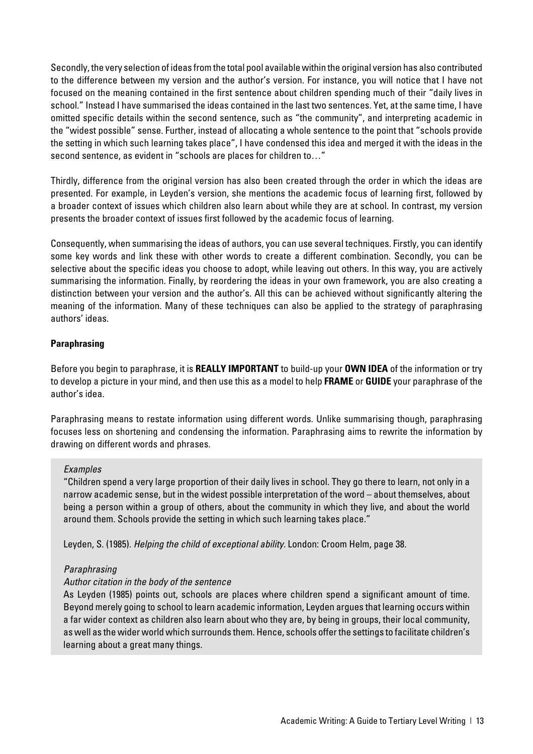Secondly, the very selection of ideas from the total pool available within the original version has also contributed to the difference between my version and the author's version. For instance, you will notice that I have not focused on the meaning contained in the first sentence about children spending much of their "daily lives in school." Instead I have summarised the ideas contained in the last two sentences. Yet, at the same time, I have omitted specific details within the second sentence, such as "the community", and interpreting academic in the "widest possible" sense. Further, instead of allocating a whole sentence to the point that "schools provide the setting in which such learning takes place", I have condensed this idea and merged it with the ideas in the second sentence, as evident in "schools are places for children to…"

Thirdly, difference from the original version has also been created through the order in which the ideas are presented. For example, in Leyden's version, she mentions the academic focus of learning first, followed by a broader context of issues which children also learn about while they are at school. In contrast, my version presents the broader context of issues first followed by the academic focus of learning.

Consequently, when summarising the ideas of authors, you can use several techniques. Firstly, you can identify some key words and link these with other words to create a different combination. Secondly, you can be selective about the specific ideas you choose to adopt, while leaving out others. In this way, you are actively summarising the information. Finally, by reordering the ideas in your own framework, you are also creating a distinction between your version and the author's. All this can be achieved without significantly altering the meaning of the information. Many of these techniques can also be applied to the strategy of paraphrasing authors' ideas.

#### **Paraphrasing**

Before you begin to paraphrase, it is **REALLY IMPORTANT** to build-up your **OWN IDEA** of the information or try to develop a picture in your mind, and then use this as a model to help **FRAME** or **GUIDE** your paraphrase of the author's idea.

Paraphrasing means to restate information using different words. Unlike summarising though, paraphrasing focuses less on shortening and condensing the information. Paraphrasing aims to rewrite the information by drawing on different words and phrases.

#### **Examples**

"Children spend a very large proportion of their daily lives in school. They go there to learn, not only in a narrow academic sense, but in the widest possible interpretation of the word – about themselves, about being a person within a group of others, about the community in which they live, and about the world around them. Schools provide the setting in which such learning takes place."

Leyden, S. (1985). Helping the child of exceptional ability. London: Croom Helm, page 38.

#### **Paraphrasing**

#### Author citation in the body of the sentence

As Leyden (1985) points out, schools are places where children spend a significant amount of time. Beyond merely going to school to learn academic information, Leyden argues that learning occurs within a far wider context as children also learn about who they are, by being in groups, their local community, as well as the wider world which surrounds them. Hence, schools offer the settings to facilitate children's learning about a great many things.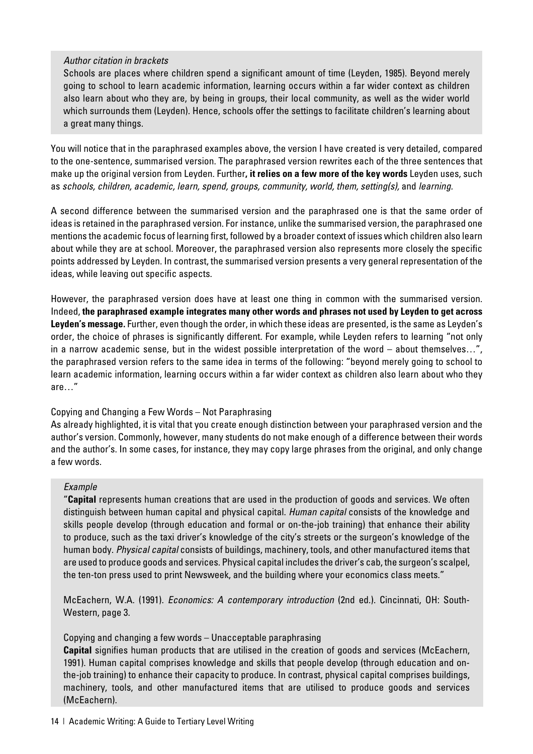#### Author citation in brackets

Schools are places where children spend a significant amount of time (Leyden, 1985). Beyond merely going to school to learn academic information, learning occurs within a far wider context as children also learn about who they are, by being in groups, their local community, as well as the wider world which surrounds them (Leyden). Hence, schools offer the settings to facilitate children's learning about a great many things.

You will notice that in the paraphrased examples above, the version I have created is very detailed, compared to the one-sentence, summarised version. The paraphrased version rewrites each of the three sentences that make up the original version from Leyden. Further**, it relies on a few more of the key words** Leyden uses, such as schools, children, academic, learn, spend, groups, community, world, them, setting(s), and learning.

A second difference between the summarised version and the paraphrased one is that the same order of ideas is retained in the paraphrased version. For instance, unlike the summarised version, the paraphrased one mentions the academic focus of learning first, followed by a broader context of issues which children also learn about while they are at school. Moreover, the paraphrased version also represents more closely the specific points addressed by Leyden. In contrast, the summarised version presents a very general representation of the ideas, while leaving out specific aspects.

However, the paraphrased version does have at least one thing in common with the summarised version. Indeed, **the paraphrased example integrates many other words and phrases not used by Leyden to get across Leyden's message.** Further, even though the order, in which these ideas are presented, is the same as Leyden's order, the choice of phrases is significantly different. For example, while Leyden refers to learning "not only in a narrow academic sense, but in the widest possible interpretation of the word – about themselves…", the paraphrased version refers to the same idea in terms of the following: "beyond merely going to school to learn academic information, learning occurs within a far wider context as children also learn about who they are…"

#### Copying and Changing a Few Words – Not Paraphrasing

As already highlighted, it is vital that you create enough distinction between your paraphrased version and the author's version. Commonly, however, many students do not make enough of a difference between their words and the author's. In some cases, for instance, they may copy large phrases from the original, and only change a few words.

#### Example

"**Capital** represents human creations that are used in the production of goods and services. We often distinguish between human capital and physical capital. Human capital consists of the knowledge and skills people develop (through education and formal or on-the-job training) that enhance their ability to produce, such as the taxi driver's knowledge of the city's streets or the surgeon's knowledge of the human body. Physical capital consists of buildings, machinery, tools, and other manufactured items that are used to produce goods and services. Physical capital includes the driver's cab, the surgeon's scalpel, the ten-ton press used to print Newsweek, and the building where your economics class meets."

McEachern, W.A. (1991). Economics: A contemporary introduction (2nd ed.). Cincinnati, OH: South-Western, page 3.

Copying and changing a few words – Unacceptable paraphrasing

**Capital** signifies human products that are utilised in the creation of goods and services (McEachern, 1991). Human capital comprises knowledge and skills that people develop (through education and onthe-job training) to enhance their capacity to produce. In contrast, physical capital comprises buildings, machinery, tools, and other manufactured items that are utilised to produce goods and services (McEachern).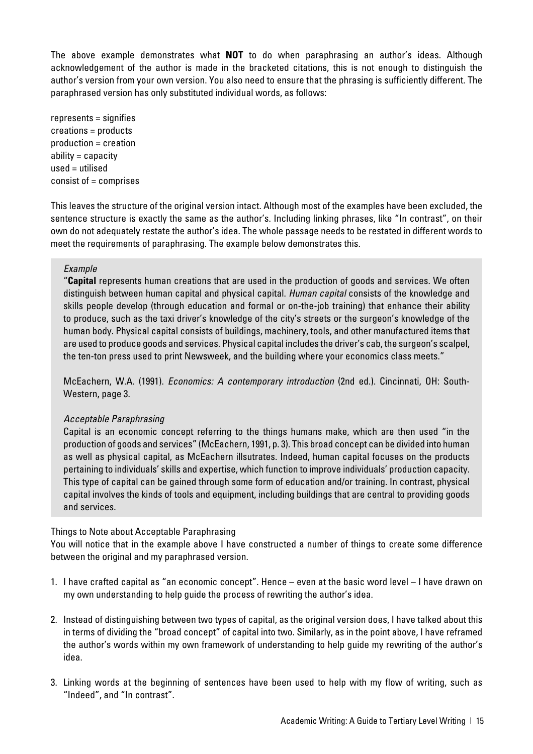The above example demonstrates what **NOT** to do when paraphrasing an author's ideas. Although acknowledgement of the author is made in the bracketed citations, this is not enough to distinguish the author's version from your own version. You also need to ensure that the phrasing is sufficiently different. The paraphrased version has only substituted individual words, as follows:

 $represents =$  signifies creations = products production = creation ability = capacity used = utilised consist of = comprises

This leaves the structure of the original version intact. Although most of the examples have been excluded, the sentence structure is exactly the same as the author's. Including linking phrases, like "In contrast", on their own do not adequately restate the author's idea. The whole passage needs to be restated in different words to meet the requirements of paraphrasing. The example below demonstrates this.

#### Example

"**Capital** represents human creations that are used in the production of goods and services. We often distinguish between human capital and physical capital. Human capital consists of the knowledge and skills people develop (through education and formal or on-the-job training) that enhance their ability to produce, such as the taxi driver's knowledge of the city's streets or the surgeon's knowledge of the human body. Physical capital consists of buildings, machinery, tools, and other manufactured items that are used to produce goods and services. Physical capital includes the driver's cab, the surgeon's scalpel, the ten-ton press used to print Newsweek, and the building where your economics class meets."

McEachern, W.A. (1991). Economics: A contemporary introduction (2nd ed.). Cincinnati, OH: South-Western, page 3.

#### Acceptable Paraphrasing

Capital is an economic concept referring to the things humans make, which are then used "in the production of goods and services" (McEachern, 1991, p. 3). This broad concept can be divided into human as well as physical capital, as McEachern illsutrates. Indeed, human capital focuses on the products pertaining to individuals' skills and expertise, which function to improve individuals' production capacity. This type of capital can be gained through some form of education and/or training. In contrast, physical capital involves the kinds of tools and equipment, including buildings that are central to providing goods and services.

#### Things to Note about Acceptable Paraphrasing

You will notice that in the example above I have constructed a number of things to create some difference between the original and my paraphrased version.

- 1. I have crafted capital as "an economic concept". Hence even at the basic word level I have drawn on my own understanding to help guide the process of rewriting the author's idea.
- 2. Instead of distinguishing between two types of capital, as the original version does, I have talked about this in terms of dividing the "broad concept" of capital into two. Similarly, as in the point above, I have reframed the author's words within my own framework of understanding to help guide my rewriting of the author's idea.
- 3. Linking words at the beginning of sentences have been used to help with my flow of writing, such as "Indeed", and "In contrast".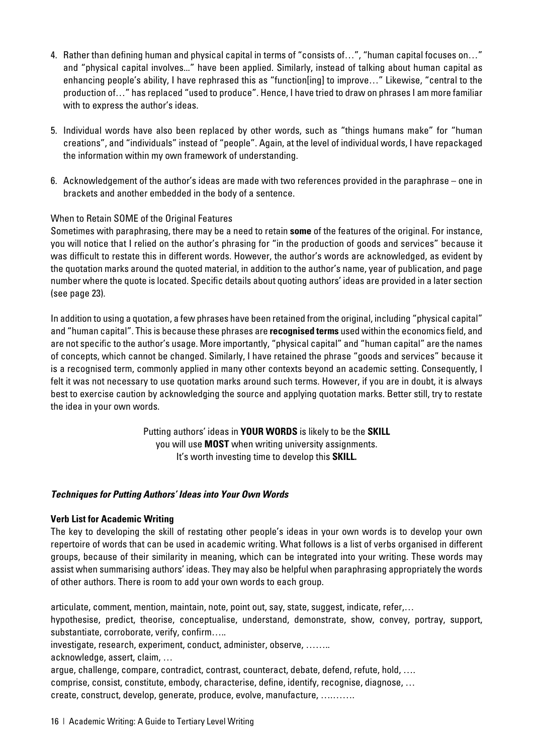- 4. Rather than defining human and physical capital in terms of "consists of...", "human capital focuses on..." and "physical capital involves..." have been applied. Similarly, instead of talking about human capital as enhancing people's ability, I have rephrased this as "function[ing] to improve…" Likewise, "central to the production of…" has replaced "used to produce". Hence, I have tried to draw on phrases I am more familiar with to express the author's ideas.
- 5. Individual words have also been replaced by other words, such as "things humans make" for "human creations", and "individuals" instead of "people". Again, at the level of individual words, I have repackaged the information within my own framework of understanding.
- 6. Acknowledgement of the author's ideas are made with two references provided in the paraphrase one in brackets and another embedded in the body of a sentence.

#### When to Retain SOME of the Original Features

Sometimes with paraphrasing, there may be a need to retain **some** of the features of the original. For instance, you will notice that I relied on the author's phrasing for "in the production of goods and services" because it was difficult to restate this in different words. However, the author's words are acknowledged, as evident by the quotation marks around the quoted material, in addition to the author's name, year of publication, and page number where the quote is located. Specific details about quoting authors' ideas are provided in a later section (see page 23).

In addition to using a quotation, a few phrases have been retained from the original, including "physical capital" and "human capital". This is because these phrases are **recognised terms** used within the economics field, and are not specific to the author's usage. More importantly, "physical capital" and "human capital" are the names of concepts, which cannot be changed. Similarly, I have retained the phrase "goods and services" because it is a recognised term, commonly applied in many other contexts beyond an academic setting. Consequently, I felt it was not necessary to use quotation marks around such terms. However, if you are in doubt, it is always best to exercise caution by acknowledging the source and applying quotation marks. Better still, try to restate the idea in your own words.

> Putting authors' ideas in **YOUR WORDS** is likely to be the **SKILL**  you will use **MOST** when writing university assignments. It's worth investing time to develop this **SKILL.**

#### *Techniques for Putting Authors' Ideas into Your Own Words*

#### **Verb List for Academic Writing**

The key to developing the skill of restating other people's ideas in your own words is to develop your own repertoire of words that can be used in academic writing. What follows is a list of verbs organised in different groups, because of their similarity in meaning, which can be integrated into your writing. These words may assist when summarising authors' ideas. They may also be helpful when paraphrasing appropriately the words of other authors. There is room to add your own words to each group.

articulate, comment, mention, maintain, note, point out, say, state, suggest, indicate, refer,…

hypothesise, predict, theorise, conceptualise, understand, demonstrate, show, convey, portray, support, substantiate, corroborate, verify, confirm…..

investigate, research, experiment, conduct, administer, observe, ……..

acknowledge, assert, claim, …

argue, challenge, compare, contradict, contrast, counteract, debate, defend, refute, hold, …. comprise, consist, constitute, embody, characterise, define, identify, recognise, diagnose, ... create, construct, develop, generate, produce, evolve, manufacture, ….…….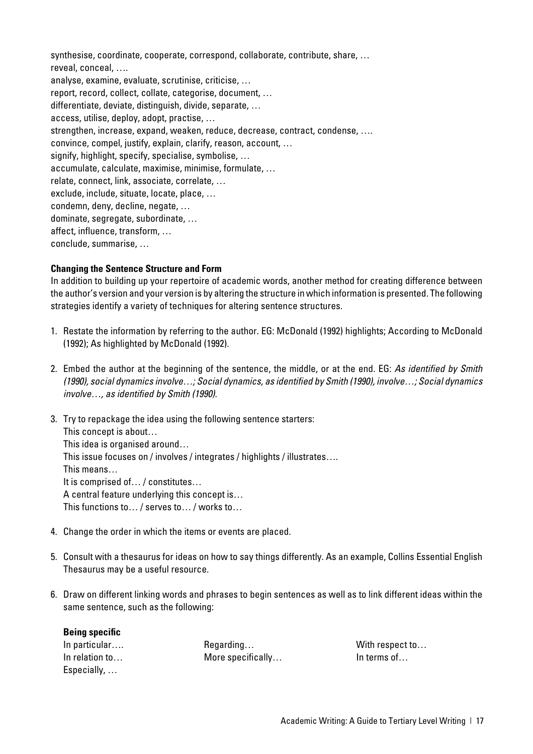synthesise, coordinate, cooperate, correspond, collaborate, contribute, share, … reveal, conceal, …. analyse, examine, evaluate, scrutinise, criticise, … report, record, collect, collate, categorise, document, … differentiate, deviate, distinguish, divide, separate, … access, utilise, deploy, adopt, practise, … strengthen, increase, expand, weaken, reduce, decrease, contract, condense, …. convince, compel, justify, explain, clarify, reason, account, … signify, highlight, specify, specialise, symbolise, … accumulate, calculate, maximise, minimise, formulate, … relate, connect, link, associate, correlate, … exclude, include, situate, locate, place, … condemn, deny, decline, negate, … dominate, segregate, subordinate, … affect, influence, transform, ... conclude, summarise, …

#### **Changing the Sentence Structure and Form**

In addition to building up your repertoire of academic words, another method for creating difference between the author's version and your version is by altering the structure in which information is presented. The following strategies identify a variety of techniques for altering sentence structures.

- 1. Restate the information by referring to the author. EG: McDonald (1992) highlights; According to McDonald (1992); As highlighted by McDonald (1992).
- 2. Embed the author at the beginning of the sentence, the middle, or at the end. EG: As identified by Smith (1990), social dynamics involve...; Social dynamics, as identified by Smith (1990), involve...; Social dynamics  $involve...$ , as identified by Smith (1990).

3. Try to repackage the idea using the following sentence starters: This concept is about… This idea is organised around… This issue focuses on / involves / integrates / highlights / illustrates…. This means… It is comprised of… / constitutes… A central feature underlying this concept is… This functions to… / serves to… / works to…

- 4. Change the order in which the items or events are placed.
- 5. Consult with a thesaurus for ideas on how to say things differently. As an example, Collins Essential English Thesaurus may be a useful resource.
- 6. Draw on different linking words and phrases to begin sentences as well as to link different ideas within the same sentence, such as the following:

| <b>Being specific</b>         |                   |                 |
|-------------------------------|-------------------|-----------------|
| In particular                 | Regarding         | With respect to |
| In relation to<br>Especially, | More specifically | In terms of     |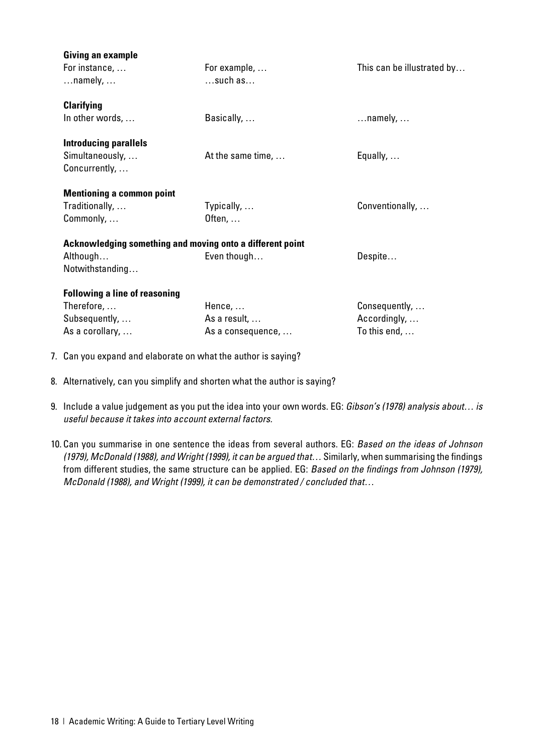| Giving an example<br>For instance,<br>$\dots$ namely, $\dots$                            | For example,<br>$$ such as                  | This can be illustrated by                            |
|------------------------------------------------------------------------------------------|---------------------------------------------|-------------------------------------------------------|
| <b>Clarifying</b><br>In other words,                                                     | Basically,                                  | $\dots$ namely, $\dots$                               |
| <b>Introducing parallels</b><br>Simultaneously,<br>Concurrently,                         | At the same time,                           | Equally,                                              |
| <b>Mentioning a common point</b><br>Traditionally,<br>Commonly,                          | Typically,<br>Often, $\dots$                | Conventionally,                                       |
| Acknowledging something and moving onto a different point<br>Although<br>Notwithstanding | Even though                                 | Despite                                               |
| <b>Following a line of reasoning</b><br>Therefore,<br>Subsequently,<br>As a corollary,   | Hence,<br>As a result,<br>As a consequence, | Consequently,<br>Accordingly,<br>To this end, $\dots$ |

- 7. Can you expand and elaborate on what the author is saying?
- 8. Alternatively, can you simplify and shorten what the author is saying?
- 9. Include a value judgement as you put the idea into your own words. EG: Gibson's (1978) analysis about... is useful because it takes into account external factors.
- 10. Can you summarise in one sentence the ideas from several authors. EG: Based on the ideas of Johnson (1979), McDonald (1988), and Wright (1999), it can be argued that... Similarly, when summarising the findings from different studies, the same structure can be applied. EG: Based on the findings from Johnson (1979), McDonald (1988), and Wright (1999), it can be demonstrated / concluded that…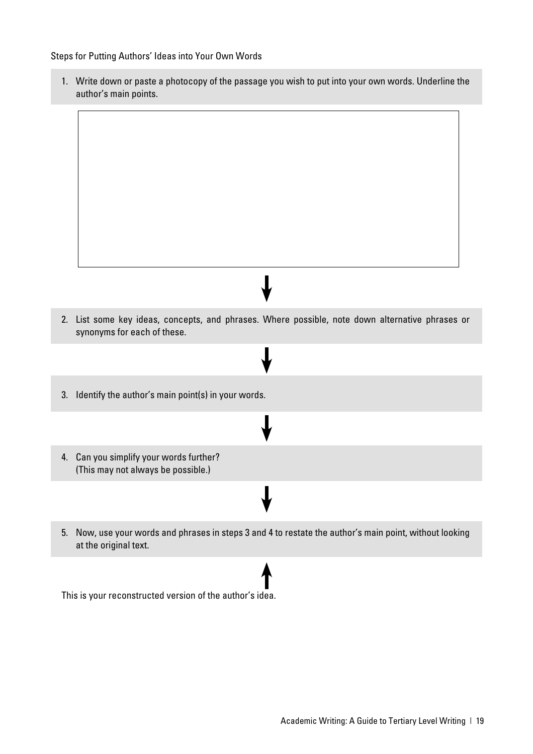#### Steps for Putting Authors' Ideas into Your Own Words

1. Write down or paste a photocopy of the passage you wish to put into your own words. Underline the author's main points.

- 2. List some key ideas, concepts, and phrases. Where possible, note down alternative phrases or synonyms for each of these.
- 3. Identify the author's main point(s) in your words.
- 4. Can you simplify your words further? (This may not always be possible.)
- 5. Now, use your words and phrases in steps 3 and 4 to restate the author's main point, without looking at the original text.

This is your reconstructed version of the author's idea.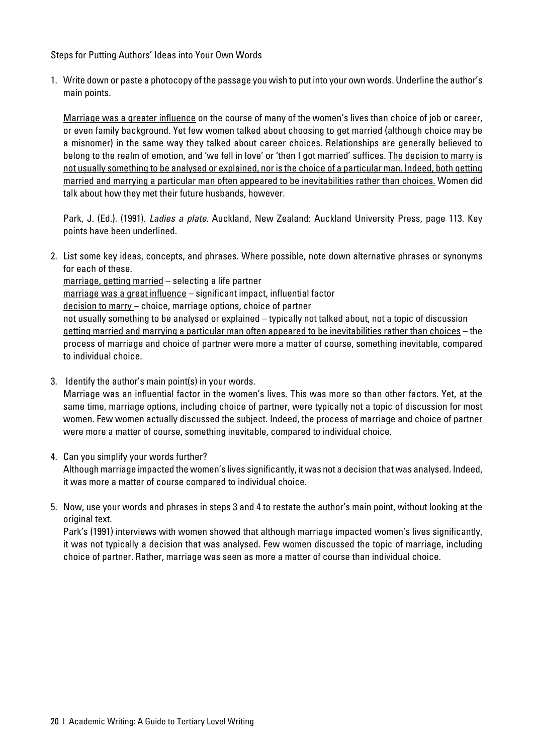#### Steps for Putting Authors' Ideas into Your Own Words

1. Write down or paste a photocopy of the passage you wish to put into your own words. Underline the author's main points.

Marriage was a greater influence on the course of many of the women's lives than choice of job or career, or even family background. Yet few women talked about choosing to get married (although choice may be a misnomer) in the same way they talked about career choices. Relationships are generally believed to belong to the realm of emotion, and 'we fell in love' or 'then I got married' suffices. The decision to marry is not usually something to be analysed or explained, nor is the choice of a particular man. Indeed, both getting married and marrying a particular man often appeared to be inevitabilities rather than choices. Women did talk about how they met their future husbands, however.

Park, J. (Ed.). (1991). Ladies a plate. Auckland, New Zealand: Auckland University Press, page 113. Key points have been underlined.

2. List some key ideas, concepts, and phrases. Where possible, note down alternative phrases or synonyms for each of these.

 marriage, getting married – selecting a life partner marriage was a great influence  $-$  significant impact, influential factor decision to marry – choice, marriage options, choice of partner not usually something to be analysed or explained – typically not talked about, not a topic of discussion getting married and marrying a particular man often appeared to be inevitabilities rather than choices – the process of marriage and choice of partner were more a matter of course, something inevitable, compared to individual choice.

3. Identify the author's main point(s) in your words.

Marriage was an influential factor in the women's lives. This was more so than other factors. Yet, at the same time, marriage options, including choice of partner, were typically not a topic of discussion for most women. Few women actually discussed the subject. Indeed, the process of marriage and choice of partner were more a matter of course, something inevitable, compared to individual choice.

4. Can you simplify your words further?

Although marriage impacted the women's lives significantly, it was not a decision that was analysed. Indeed, it was more a matter of course compared to individual choice.

5. Now, use your words and phrases in steps 3 and 4 to restate the author's main point, without looking at the original text.

Park's (1991) interviews with women showed that although marriage impacted women's lives significantly, it was not typically a decision that was analysed. Few women discussed the topic of marriage, including choice of partner. Rather, marriage was seen as more a matter of course than individual choice.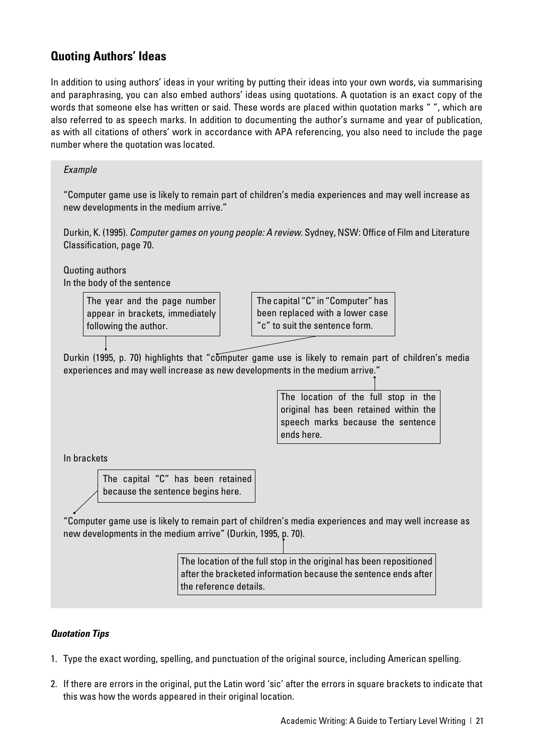## **Quoting Authors' Ideas**

In addition to using authors' ideas in your writing by putting their ideas into your own words, via summarising and paraphrasing, you can also embed authors' ideas using quotations. A quotation is an exact copy of the words that someone else has written or said. These words are placed within quotation marks " ", which are also referred to as speech marks. In addition to documenting the author's surname and year of publication, as with all citations of others' work in accordance with APA referencing, you also need to include the page number where the quotation was located.

#### Example

"Computer game use is likely to remain part of children's media experiences and may well increase as new developments in the medium arrive."

Durkin, K. (1995). Computer games on young people: A review. Sydney, NSW: Office of Film and Literature Classification, page 70.

Quoting authors In the body of the sentence

> The year and the page number appear in brackets, immediately following the author.

The capital "C" in "Computer" has been replaced with a lower case "c" to suit the sentence form.

Durkin (1995, p. 70) highlights that "computer game use is likely to remain part of children's media experiences and may well increase as new developments in the medium arrive."

> The location of the full stop in the original has been retained within the speech marks because the sentence ends here.

In brackets

The capital "C" has been retained because the sentence begins here.

"Computer game use is likely to remain part of children's media experiences and may well increase as new developments in the medium arrive" (Durkin, 1995, p. 70).

> The location of the full stop in the original has been repositioned after the bracketed information because the sentence ends after the reference details.

#### *Quotation Tips*

- 1. Type the exact wording, spelling, and punctuation of the original source, including American spelling.
- 2. If there are errors in the original, put the Latin word 'sic' after the errors in square brackets to indicate that this was how the words appeared in their original location.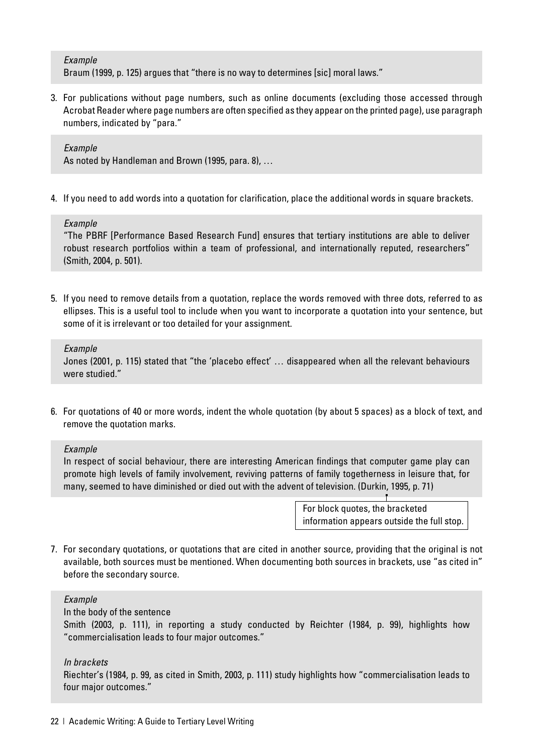Example Braum (1999, p. 125) argues that "there is no way to determines [sic] moral laws."

3. For publications without page numbers, such as online documents (excluding those accessed through Acrobat Reader where page numbers are often specified as they appear on the printed page), use paragraph numbers, indicated by "para."

#### Example

As noted by Handleman and Brown (1995, para. 8), …

4. If you need to add words into a quotation for clarification, place the additional words in square brackets.

#### Example

"The PBRF [Performance Based Research Fund] ensures that tertiary institutions are able to deliver robust research portfolios within a team of professional, and internationally reputed, researchers" (Smith, 2004, p. 501).

5. If you need to remove details from a quotation, replace the words removed with three dots, referred to as ellipses. This is a useful tool to include when you want to incorporate a quotation into your sentence, but some of it is irrelevant or too detailed for your assignment.

#### Example

Jones (2001, p. 115) stated that "the 'placebo effect' … disappeared when all the relevant behaviours were studied."

6. For quotations of 40 or more words, indent the whole quotation (by about 5 spaces) as a block of text, and remove the quotation marks.

#### Example

In respect of social behaviour, there are interesting American findings that computer game play can promote high levels of family involvement, reviving patterns of family togetherness in leisure that, for many, seemed to have diminished or died out with the advent of television. (Durkin, 1995, p. 71)

> For block quotes, the bracketed information appears outside the full stop.

7. For secondary quotations, or quotations that are cited in another source, providing that the original is not available, both sources must be mentioned. When documenting both sources in brackets, use "as cited in" before the secondary source.

#### Example

In the body of the sentence

Smith (2003, p. 111), in reporting a study conducted by Reichter (1984, p. 99), highlights how "commercialisation leads to four major outcomes."

#### In brackets

Riechter's (1984, p. 99, as cited in Smith, 2003, p. 111) study highlights how "commercialisation leads to four major outcomes."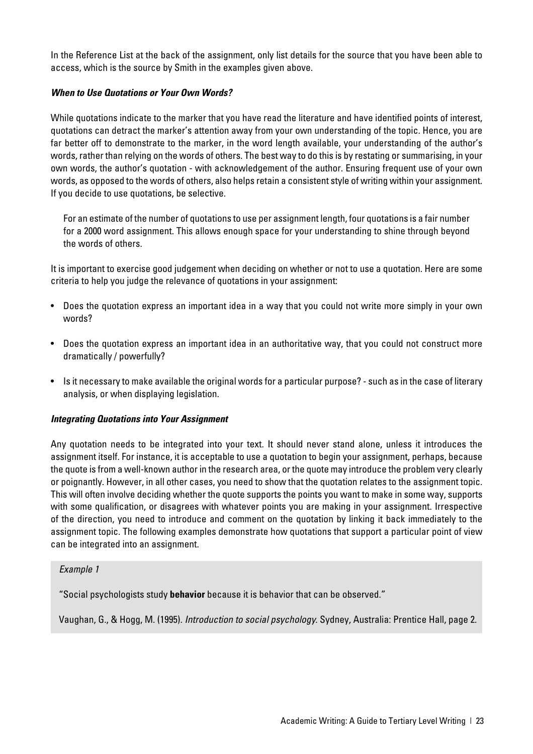In the Reference List at the back of the assignment, only list details for the source that you have been able to access, which is the source by Smith in the examples given above.

#### *When to Use Quotations or Your Own Words?*

While quotations indicate to the marker that you have read the literature and have identified points of interest, quotations can detract the marker's attention away from your own understanding of the topic. Hence, you are far better off to demonstrate to the marker, in the word length available, your understanding of the author's words, rather than relying on the words of others. The best way to do this is by restating or summarising, in your own words, the author's quotation - with acknowledgement of the author. Ensuring frequent use of your own words, as opposed to the words of others, also helps retain a consistent style of writing within your assignment. If you decide to use quotations, be selective.

For an estimate of the number of quotations to use per assignment length, four quotations is a fair number for a 2000 word assignment. This allows enough space for your understanding to shine through beyond the words of others.

It is important to exercise good judgement when deciding on whether or not to use a quotation. Here are some criteria to help you judge the relevance of quotations in your assignment:

- Does the quotation express an important idea in a way that you could not write more simply in your own words?
- Does the quotation express an important idea in an authoritative way, that you could not construct more dramatically / powerfully?
- Is it necessary to make available the original words for a particular purpose? such as in the case of literary analysis, or when displaying legislation.

#### *Integrating Quotations into Your Assignment*

Any quotation needs to be integrated into your text. It should never stand alone, unless it introduces the assignment itself. For instance, it is acceptable to use a quotation to begin your assignment, perhaps, because the quote is from a well-known author in the research area, or the quote may introduce the problem very clearly or poignantly. However, in all other cases, you need to show that the quotation relates to the assignment topic. This will often involve deciding whether the quote supports the points you want to make in some way, supports with some qualification, or disagrees with whatever points you are making in your assignment. Irrespective of the direction, you need to introduce and comment on the quotation by linking it back immediately to the assignment topic. The following examples demonstrate how quotations that support a particular point of view can be integrated into an assignment.

#### Example 1

"Social psychologists study **behavior** because it is behavior that can be observed."

Vaughan, G., & Hogg, M. (1995). Introduction to social psychology. Sydney, Australia: Prentice Hall, page 2.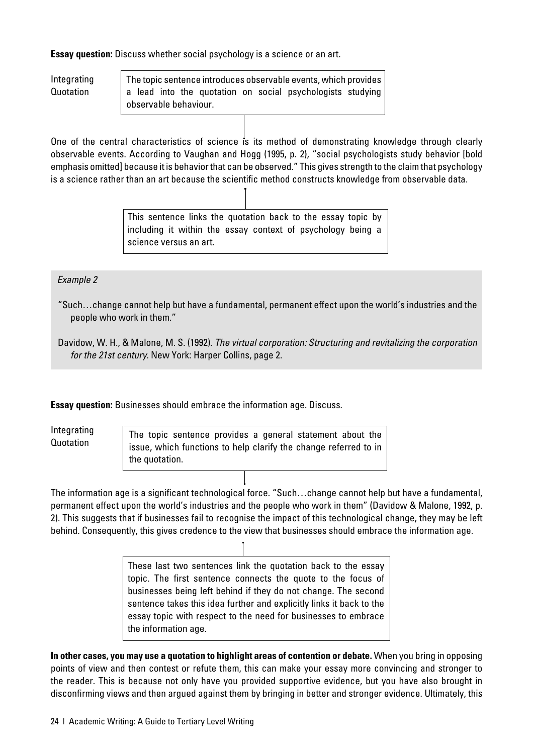**Essay question:** Discuss whether social psychology is a science or an art.

Integrating **Quotation** 

The topic sentence introduces observable events, which provides a lead into the quotation on social psychologists studying observable behaviour.

One of the central characteristics of science is its method of demonstrating knowledge through clearly observable events. According to Vaughan and Hogg (1995, p. 2), "social psychologists study behavior [bold emphasis omitted] because it is behavior that can be observed." This gives strength to the claim that psychology is a science rather than an art because the scientific method constructs knowledge from observable data.

> This sentence links the quotation back to the essay topic by including it within the essay context of psychology being a science versus an art.

#### Example 2

"Such…change cannot help but have a fundamental, permanent effect upon the world's industries and the people who work in them."

Davidow, W. H., & Malone, M. S. (1992). The virtual corporation: Structuring and revitalizing the corporation for the 21st century. New York: Harper Collins, page 2.

**Essay question:** Businesses should embrace the information age. Discuss.

Integrating Quotation

The topic sentence provides a general statement about the issue, which functions to help clarify the change referred to in the quotation.

The information age is a significant technological force. "Such...change cannot help but have a fundamental, permanent effect upon the world's industries and the people who work in them" (Davidow & Malone, 1992, p. 2). This suggests that if businesses fail to recognise the impact of this technological change, they may be left behind. Consequently, this gives credence to the view that businesses should embrace the information age.

> These last two sentences link the quotation back to the essay topic. The first sentence connects the quote to the focus of businesses being left behind if they do not change. The second sentence takes this idea further and explicitly links it back to the essay topic with respect to the need for businesses to embrace the information age.

**In other cases, you may use a quotation to highlight areas of contention or debate.** When you bring in opposing points of view and then contest or refute them, this can make your essay more convincing and stronger to the reader. This is because not only have you provided supportive evidence, but you have also brought in disconfirming views and then argued against them by bringing in better and stronger evidence. Ultimately, this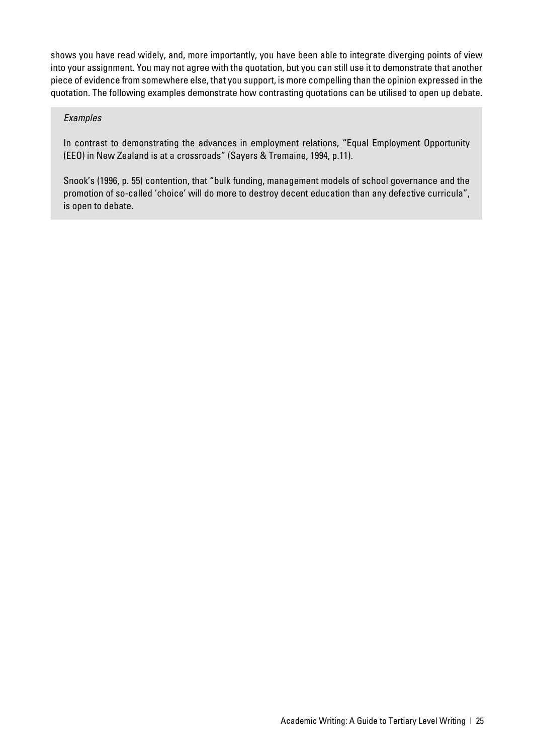shows you have read widely, and, more importantly, you have been able to integrate diverging points of view into your assignment. You may not agree with the quotation, but you can still use it to demonstrate that another piece of evidence from somewhere else, that you support, is more compelling than the opinion expressed in the quotation. The following examples demonstrate how contrasting quotations can be utilised to open up debate.

#### Examples

In contrast to demonstrating the advances in employment relations, "Equal Employment Opportunity (EEO) in New Zealand is at a crossroads" (Sayers & Tremaine, 1994, p.11).

Snook's (1996, p. 55) contention, that "bulk funding, management models of school governance and the promotion of so-called 'choice' will do more to destroy decent education than any defective curricula", is open to debate.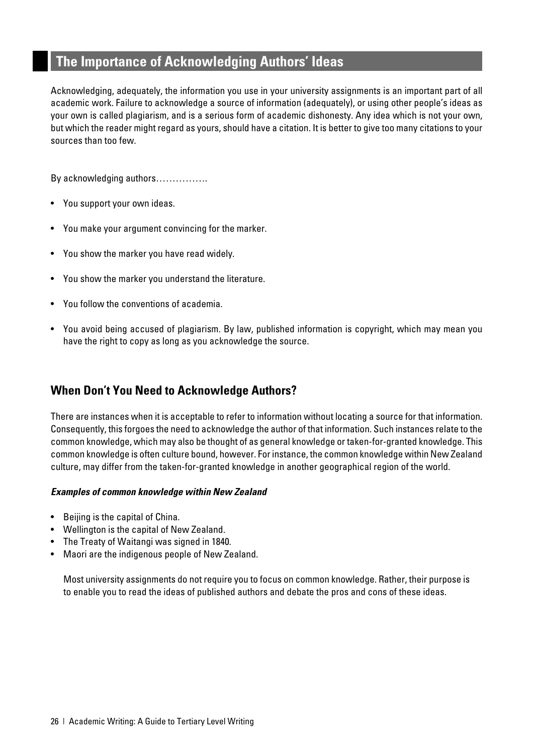# **The Importance of Acknowledging Authors' Ideas**

Acknowledging, adequately, the information you use in your university assignments is an important part of all academic work. Failure to acknowledge a source of information (adequately), or using other people's ideas as your own is called plagiarism, and is a serious form of academic dishonesty. Any idea which is not your own, but which the reader might regard as yours, should have a citation. It is better to give too many citations to your sources than too few.

By acknowledging authors…………….

- You support your own ideas.
- You make your argument convincing for the marker.
- You show the marker you have read widely.
- You show the marker you understand the literature.
- You follow the conventions of academia.
- You avoid being accused of plagiarism. By law, published information is copyright, which may mean you have the right to copy as long as you acknowledge the source.

### **When Don't You Need to Acknowledge Authors?**

There are instances when it is acceptable to refer to information without locating a source for that information. Consequently, this forgoes the need to acknowledge the author of that information. Such instances relate to the common knowledge, which may also be thought of as general knowledge or taken-for-granted knowledge. This common knowledge is often culture bound, however. For instance, the common knowledge within New Zealand culture, may differ from the taken-for-granted knowledge in another geographical region of the world.

#### *Examples of common knowledge within New Zealand*

- Beijing is the capital of China.
- Wellington is the capital of New Zealand.
- The Treaty of Waitangi was signed in 1840.
- Maori are the indigenous people of New Zealand.

Most university assignments do not require you to focus on common knowledge. Rather, their purpose is to enable you to read the ideas of published authors and debate the pros and cons of these ideas.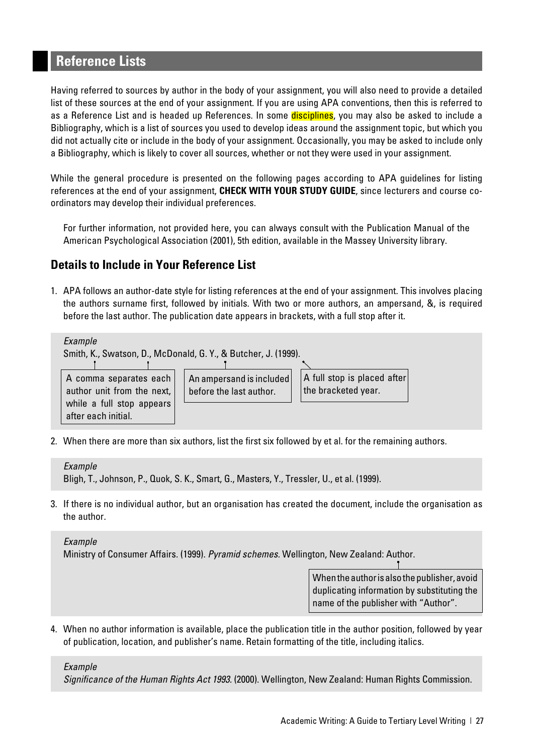## **Reference Lists**

Having referred to sources by author in the body of your assignment, you will also need to provide a detailed list of these sources at the end of your assignment. If you are using APA conventions, then this is referred to as a Reference List and is headed up References. In some **disciplines**, you may also be asked to include a Bibliography, which is a list of sources you used to develop ideas around the assignment topic, but which you did not actually cite or include in the body of your assignment. Occasionally, you may be asked to include only a Bibliography, which is likely to cover all sources, whether or not they were used in your assignment.

While the general procedure is presented on the following pages according to APA guidelines for listing references at the end of your assignment, **CHECK WITH YOUR STUDY GUIDE**, since lecturers and course coordinators may develop their individual preferences.

For further information, not provided here, you can always consult with the Publication Manual of the American Psychological Association (2001), 5th edition, available in the Massey University library.

### **Details to Include in Your Reference List**

1. APA follows an author-date style for listing references at the end of your assignment. This involves placing the authors surname first, followed by initials. With two or more authors, an ampersand, &, is required before the last author. The publication date appears in brackets, with a full stop after it.



2. When there are more than six authors, list the first six followed by et al. for the remaining authors.

#### Example

Bligh, T., Johnson, P., Quok, S. K., Smart, G., Masters, Y., Tressler, U., et al. (1999).

3. If there is no individual author, but an organisation has created the document, include the organisation as the author.

#### Example

Ministry of Consumer Affairs. (1999). Pyramid schemes. Wellington, New Zealand: Author.

When the author is also the publisher, avoid duplicating information by substituting the name of the publisher with "Author".

T.

4. When no author information is available, place the publication title in the author position, followed by year of publication, location, and publisher's name. Retain formatting of the title, including italics.

#### Example

Significance of the Human Rights Act 1993. (2000). Wellington, New Zealand: Human Rights Commission.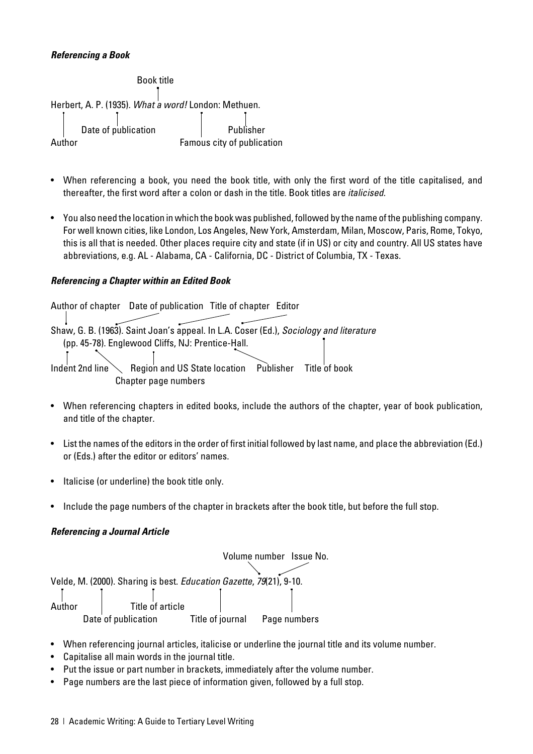#### *Referencing a Book*

Book title Herbert, A. P. (1935). What a word! London: Methuen. Date of publication **Publisher** Author **Famous city of publication** 

- When referencing a book, you need the book title, with only the first word of the title capitalised, and thereafter, the first word after a colon or dash in the title. Book titles are *italicised*.
- You also need the location in which the book was published, followed by the name of the publishing company. For well known cities, like London, Los Angeles, New York, Amsterdam, Milan, Moscow, Paris, Rome, Tokyo, this is all that is needed. Other places require city and state (if in US) or city and country. All US states have abbreviations, e.g. AL - Alabama, CA - California, DC - District of Columbia, TX - Texas.

#### *Referencing a Chapter within an Edited Book*

Author of chapter Date of publication Title of chapter Editor Shaw, G. B. (1963). Saint Joan's appeal. In L.A. Coser (Ed.), Sociology and literature (pp. 45-78). Englewood Cliffs, NJ: Prentice-Hall. Indent 2nd line  $\diagdown$  Region and US State location Publisher Title of book Chapter page numbers

- When referencing chapters in edited books, include the authors of the chapter, year of book publication, and title of the chapter.
- List the names of the editors in the order of first initial followed by last name, and place the abbreviation (Ed.) or (Eds.) after the editor or editors' names.
- Italicise (or underline) the book title only.
- Include the page numbers of the chapter in brackets after the book title, but before the full stop.

#### *Referencing a Journal Article*

|                                                                     |                     |  |                  | Volume number Issue No. |              |  |
|---------------------------------------------------------------------|---------------------|--|------------------|-------------------------|--------------|--|
|                                                                     |                     |  |                  |                         |              |  |
| Velde, M. (2000). Sharing is best. Education Gazette, 79(21), 9-10. |                     |  |                  |                         |              |  |
|                                                                     |                     |  |                  |                         |              |  |
| Author                                                              | Title of article    |  |                  |                         |              |  |
|                                                                     | Date of publication |  | Title of journal |                         | Page numbers |  |

- When referencing journal articles, italicise or underline the journal title and its volume number.
- Capitalise all main words in the journal title.
- Put the issue or part number in brackets, immediately after the volume number.
- Page numbers are the last piece of information given, followed by a full stop.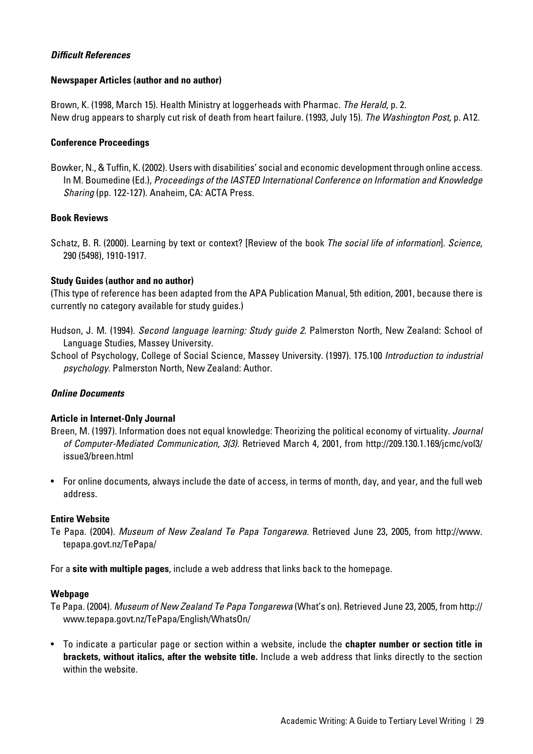#### *Diffi cult References*

#### **Newspaper Articles (author and no author)**

Brown, K. (1998, March 15). Health Ministry at loggerheads with Pharmac. The Herald, p. 2. New drug appears to sharply cut risk of death from heart failure. (1993, July 15). The Washington Post, p. A12.

#### **Conference Proceedings**

Bowker, N., & Tuffin, K. (2002). Users with disabilities' social and economic development through online access. In M. Boumedine (Ed.), Proceedings of the IASTED International Conference on Information and Knowledge Sharing (pp. 122-127). Anaheim, CA: ACTA Press.

#### **Book Reviews**

Schatz, B. R. (2000). Learning by text or context? [Review of the book The social life of information]. Science, 290 (5498), 1910-1917.

#### **Study Guides (author and no author)**

(This type of reference has been adapted from the APA Publication Manual, 5th edition, 2001, because there is currently no category available for study guides.)

- Hudson, J. M. (1994). Second language learning: Study guide 2. Palmerston North, New Zealand: School of Language Studies, Massey University.
- School of Psychology, College of Social Science, Massey University. (1997). 175.100 Introduction to industrial psychology. Palmerston North, New Zealand: Author.

#### *Online Documents*

#### **Article in Internet-Only Journal**

- Breen, M. (1997). Information does not equal knowledge: Theorizing the political economy of virtuality. Journal of Computer-Mediated Communication, 3(3). Retrieved March 4, 2001, from http://209.130.1.169/jcmc/vol3/ issue3/breen.html
- For online documents, always include the date of access, in terms of month, day, and year, and the full web address.

#### **Entire Website**

Te Papa. (2004). Museum of New Zealand Te Papa Tongarewa. Retrieved June 23, 2005, from http://www. tepapa.govt.nz/TePapa/

For a **site with multiple pages**, include a web address that links back to the homepage.

#### **Webpage**

- Te Papa. (2004). Museum of New Zealand Te Papa Tongarewa (What's on). Retrieved June 23, 2005, from http:// www.tepapa.govt.nz/TePapa/English/WhatsOn/
- To indicate a particular page or section within a website, include the **chapter number or section title in brackets, without italics, after the website title.** Include a web address that links directly to the section within the website.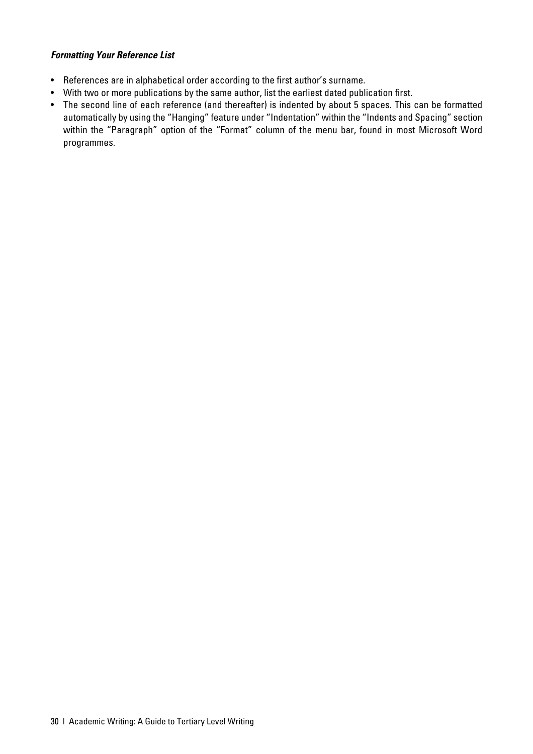#### *Formatting Your Reference List*

- References are in alphabetical order according to the first author's surname.
- With two or more publications by the same author, list the earliest dated publication first.
- The second line of each reference (and thereafter) is indented by about 5 spaces. This can be formatted automatically by using the "Hanging" feature under "Indentation" within the "Indents and Spacing" section within the "Paragraph" option of the "Format" column of the menu bar, found in most Microsoft Word programmes.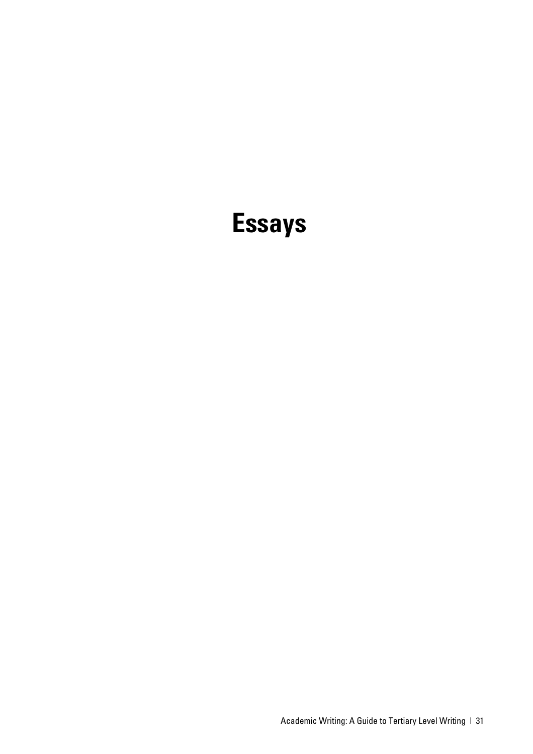# **Essays**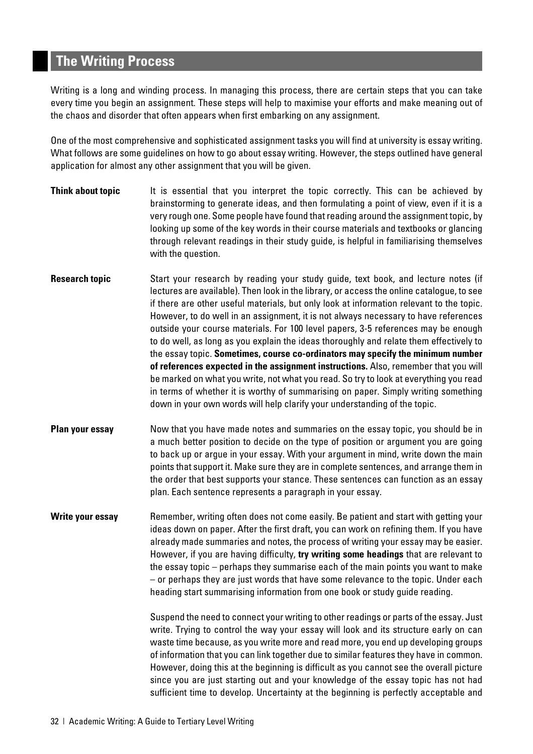# **The Writing Process**

Writing is a long and winding process. In managing this process, there are certain steps that you can take every time you begin an assignment. These steps will help to maximise your efforts and make meaning out of the chaos and disorder that often appears when first embarking on any assignment.

One of the most comprehensive and sophisticated assignment tasks you will find at university is essay writing. What follows are some guidelines on how to go about essay writing. However, the steps outlined have general application for almost any other assignment that you will be given.

- **Think about topic** It is essential that you interpret the topic correctly. This can be achieved by brainstorming to generate ideas, and then formulating a point of view, even if it is a very rough one. Some people have found that reading around the assignment topic, by looking up some of the key words in their course materials and textbooks or glancing through relevant readings in their study guide, is helpful in familiarising themselves with the question.
- **Research topic** Start your research by reading your study guide, text book, and lecture notes (if lectures are available). Then look in the library, or access the online catalogue, to see if there are other useful materials, but only look at information relevant to the topic. However, to do well in an assignment, it is not always necessary to have references outside your course materials. For 100 level papers, 3-5 references may be enough to do well, as long as you explain the ideas thoroughly and relate them effectively to the essay topic. **Sometimes, course co-ordinators may specify the minimum number of references expected in the assignment instructions.** Also, remember that you will be marked on what you write, not what you read. So try to look at everything you read in terms of whether it is worthy of summarising on paper. Simply writing something down in your own words will help clarify your understanding of the topic.
- **Plan your essay** Now that you have made notes and summaries on the essay topic, you should be in a much better position to decide on the type of position or argument you are going to back up or argue in your essay. With your argument in mind, write down the main points that support it. Make sure they are in complete sentences, and arrange them in the order that best supports your stance. These sentences can function as an essay plan. Each sentence represents a paragraph in your essay.
- **Write your essay** Remember, writing often does not come easily. Be patient and start with getting your ideas down on paper. After the first draft, you can work on refining them. If you have already made summaries and notes, the process of writing your essay may be easier. However, if you are having difficulty, try writing some headings that are relevant to the essay topic – perhaps they summarise each of the main points you want to make – or perhaps they are just words that have some relevance to the topic. Under each heading start summarising information from one book or study guide reading.

Suspend the need to connect your writing to other readings or parts of the essay. Just write. Trying to control the way your essay will look and its structure early on can waste time because, as you write more and read more, you end up developing groups of information that you can link together due to similar features they have in common. However, doing this at the beginning is difficult as you cannot see the overall picture since you are just starting out and your knowledge of the essay topic has not had sufficient time to develop. Uncertainty at the beginning is perfectly acceptable and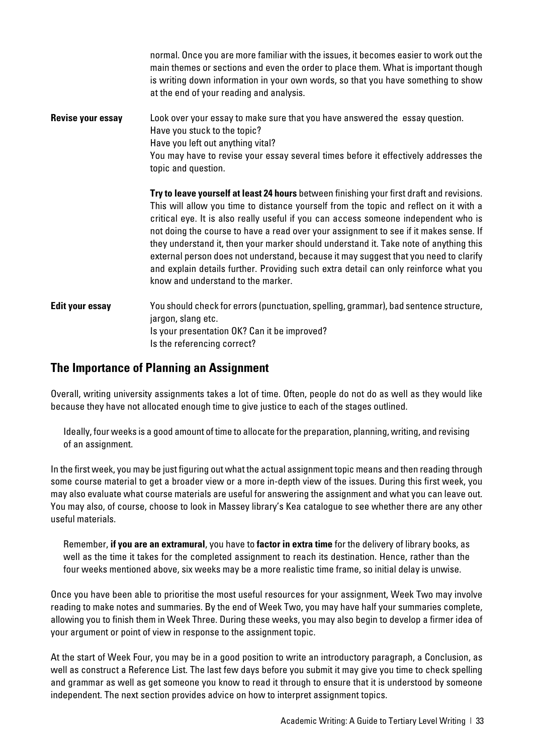|                        | normal. Once you are more familiar with the issues, it becomes easier to work out the<br>main themes or sections and even the order to place them. What is important though<br>is writing down information in your own words, so that you have something to show<br>at the end of your reading and analysis.                                                                                                                                                                                                                                                                                                                                                                      |
|------------------------|-----------------------------------------------------------------------------------------------------------------------------------------------------------------------------------------------------------------------------------------------------------------------------------------------------------------------------------------------------------------------------------------------------------------------------------------------------------------------------------------------------------------------------------------------------------------------------------------------------------------------------------------------------------------------------------|
| Revise your essay      | Look over your essay to make sure that you have answered the essay question.<br>Have you stuck to the topic?<br>Have you left out anything vital?<br>You may have to revise your essay several times before it effectively addresses the<br>topic and question.                                                                                                                                                                                                                                                                                                                                                                                                                   |
|                        | Try to leave yourself at least 24 hours between finishing your first draft and revisions.<br>This will allow you time to distance yourself from the topic and reflect on it with a<br>critical eye. It is also really useful if you can access someone independent who is<br>not doing the course to have a read over your assignment to see if it makes sense. If<br>they understand it, then your marker should understand it. Take note of anything this<br>external person does not understand, because it may suggest that you need to clarify<br>and explain details further. Providing such extra detail can only reinforce what you<br>know and understand to the marker. |
| <b>Edit your essay</b> | You should check for errors (punctuation, spelling, grammar), bad sentence structure,<br>jargon, slang etc.<br>Is your presentation OK? Can it be improved?<br>Is the referencing correct?                                                                                                                                                                                                                                                                                                                                                                                                                                                                                        |

# **The Importance of Planning an Assignment**

Overall, writing university assignments takes a lot of time. Often, people do not do as well as they would like because they have not allocated enough time to give justice to each of the stages outlined.

Ideally, four weeks is a good amount of time to allocate for the preparation, planning, writing, and revising of an assignment.

In the first week, you may be just figuring out what the actual assignment topic means and then reading through some course material to get a broader view or a more in-depth view of the issues. During this first week, you may also evaluate what course materials are useful for answering the assignment and what you can leave out. You may also, of course, choose to look in Massey library's Kea catalogue to see whether there are any other useful materials.

Remember, **if you are an extramural**, you have to **factor in extra time** for the delivery of library books, as well as the time it takes for the completed assignment to reach its destination. Hence, rather than the four weeks mentioned above, six weeks may be a more realistic time frame, so initial delay is unwise.

Once you have been able to prioritise the most useful resources for your assignment, Week Two may involve reading to make notes and summaries. By the end of Week Two, you may have half your summaries complete, allowing you to finish them in Week Three. During these weeks, you may also begin to develop a firmer idea of your argument or point of view in response to the assignment topic.

At the start of Week Four, you may be in a good position to write an introductory paragraph, a Conclusion, as well as construct a Reference List. The last few days before you submit it may give you time to check spelling and grammar as well as get someone you know to read it through to ensure that it is understood by someone independent. The next section provides advice on how to interpret assignment topics.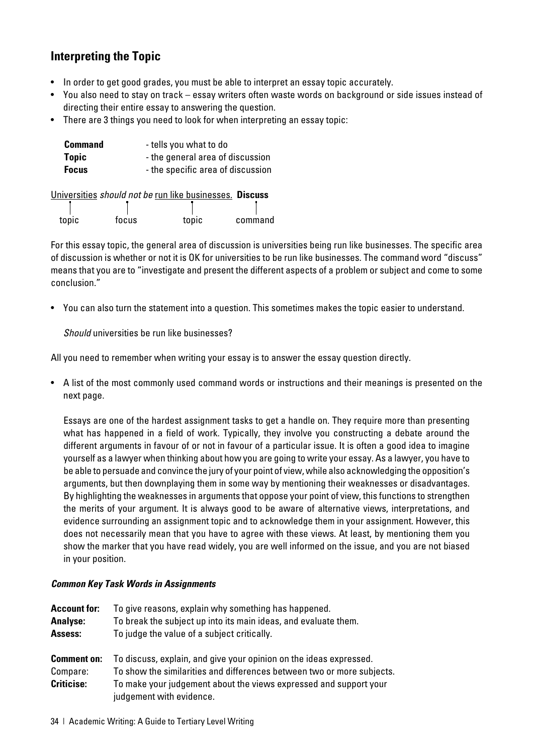# **Interpreting the Topic**

- In order to get good grades, you must be able to interpret an essay topic accurately.
- You also need to stay on track essay writers often waste words on background or side issues instead of directing their entire essay to answering the question.
- There are 3 things you need to look for when interpreting an essay topic:

| - the general area of discussion<br>- the specific area of discussion |
|-----------------------------------------------------------------------|
|                                                                       |

Universities should not be run like businesses. **Discuss** topic focus topic command

For this essay topic, the general area of discussion is universities being run like businesses. The specific area of discussion is whether or not it is OK for universities to be run like businesses. The command word "discuss" means that you are to "investigate and present the different aspects of a problem or subject and come to some conclusion."

• You can also turn the statement into a question. This sometimes makes the topic easier to understand.

## Should universities be run like businesses?

All you need to remember when writing your essay is to answer the essay question directly.

• A list of the most commonly used command words or instructions and their meanings is presented on the next page.

Essays are one of the hardest assignment tasks to get a handle on. They require more than presenting what has happened in a field of work. Typically, they involve you constructing a debate around the different arguments in favour of or not in favour of a particular issue. It is often a good idea to imagine yourself as a lawyer when thinking about how you are going to write your essay. As a lawyer, you have to be able to persuade and convince the jury of your point of view, while also acknowledging the opposition's arguments, but then downplaying them in some way by mentioning their weaknesses or disadvantages. By highlighting the weaknesses in arguments that oppose your point of view, this functions to strengthen the merits of your argument. It is always good to be aware of alternative views, interpretations, and evidence surrounding an assignment topic and to acknowledge them in your assignment. However, this does not necessarily mean that you have to agree with these views. At least, by mentioning them you show the marker that you have read widely, you are well informed on the issue, and you are not biased in your position.

## *Common Key Task Words in Assignments*

| To give reasons, explain why something has happened.                                          |  |
|-----------------------------------------------------------------------------------------------|--|
| To break the subject up into its main ideas, and evaluate them.                               |  |
| To judge the value of a subject critically.                                                   |  |
| To discuss, explain, and give your opinion on the ideas expressed.                            |  |
| To show the similarities and differences between two or more subjects.                        |  |
| To make your judgement about the views expressed and support your<br>judgement with evidence. |  |
|                                                                                               |  |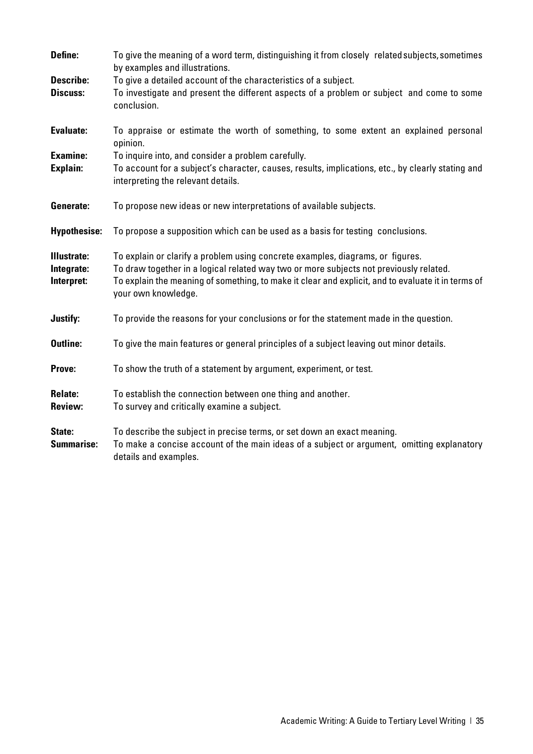| Define:                                                                                             | To give the meaning of a word term, distinguishing it from closely related subjects, sometimes<br>by examples and illustrations.                                                                                                                                                                      |  |  |
|-----------------------------------------------------------------------------------------------------|-------------------------------------------------------------------------------------------------------------------------------------------------------------------------------------------------------------------------------------------------------------------------------------------------------|--|--|
| <b>Describe:</b>                                                                                    | To give a detailed account of the characteristics of a subject.                                                                                                                                                                                                                                       |  |  |
| <b>Discuss:</b>                                                                                     | To investigate and present the different aspects of a problem or subject and come to some<br>conclusion.                                                                                                                                                                                              |  |  |
| <b>Evaluate:</b>                                                                                    | To appraise or estimate the worth of something, to some extent an explained personal<br>opinion.                                                                                                                                                                                                      |  |  |
| <b>Examine:</b>                                                                                     | To inquire into, and consider a problem carefully.                                                                                                                                                                                                                                                    |  |  |
| <b>Explain:</b>                                                                                     | To account for a subject's character, causes, results, implications, etc., by clearly stating and<br>interpreting the relevant details.                                                                                                                                                               |  |  |
| <b>Generate:</b>                                                                                    | To propose new ideas or new interpretations of available subjects.                                                                                                                                                                                                                                    |  |  |
| <b>Hypothesise:</b>                                                                                 | To propose a supposition which can be used as a basis for testing conclusions.                                                                                                                                                                                                                        |  |  |
| <b>Illustrate:</b><br>Integrate:<br>Interpret:                                                      | To explain or clarify a problem using concrete examples, diagrams, or figures.<br>To draw together in a logical related way two or more subjects not previously related.<br>To explain the meaning of something, to make it clear and explicit, and to evaluate it in terms of<br>your own knowledge. |  |  |
| Justify:                                                                                            | To provide the reasons for your conclusions or for the statement made in the question.                                                                                                                                                                                                                |  |  |
| Outline:<br>To give the main features or general principles of a subject leaving out minor details. |                                                                                                                                                                                                                                                                                                       |  |  |
| Prove:                                                                                              | To show the truth of a statement by argument, experiment, or test.                                                                                                                                                                                                                                    |  |  |
| <b>Relate:</b><br><b>Review:</b>                                                                    | To establish the connection between one thing and another.<br>To survey and critically examine a subject.                                                                                                                                                                                             |  |  |
| State:<br><b>Summarise:</b>                                                                         | To describe the subject in precise terms, or set down an exact meaning.<br>To make a concise account of the main ideas of a subject or argument, omitting explanatory<br>details and examples.                                                                                                        |  |  |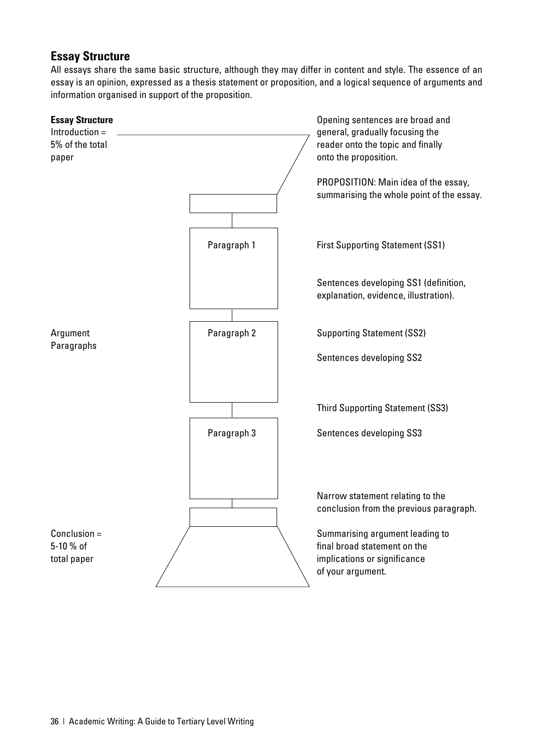# **Essay Structure**

All essays share the same basic structure, although they may differ in content and style. The essence of an essay is an opinion, expressed as a thesis statement or proposition, and a logical sequence of arguments and information organised in support of the proposition.

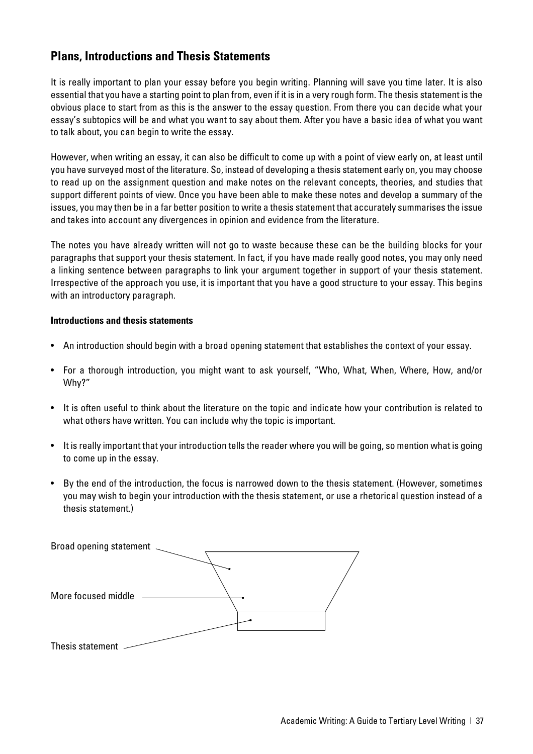# **Plans, Introductions and Thesis Statements**

It is really important to plan your essay before you begin writing. Planning will save you time later. It is also essential that you have a starting point to plan from, even if it is in a very rough form. The thesis statement is the obvious place to start from as this is the answer to the essay question. From there you can decide what your essay's subtopics will be and what you want to say about them. After you have a basic idea of what you want to talk about, you can begin to write the essay.

However, when writing an essay, it can also be difficult to come up with a point of view early on, at least until you have surveyed most of the literature. So, instead of developing a thesis statement early on, you may choose to read up on the assignment question and make notes on the relevant concepts, theories, and studies that support different points of view. Once you have been able to make these notes and develop a summary of the issues, you may then be in a far better position to write a thesis statement that accurately summarises the issue and takes into account any divergences in opinion and evidence from the literature.

The notes you have already written will not go to waste because these can be the building blocks for your paragraphs that support your thesis statement. In fact, if you have made really good notes, you may only need a linking sentence between paragraphs to link your argument together in support of your thesis statement. Irrespective of the approach you use, it is important that you have a good structure to your essay. This begins with an introductory paragraph.

#### **Introductions and thesis statements**

- An introduction should begin with a broad opening statement that establishes the context of your essay.
- For a thorough introduction, you might want to ask yourself, "Who, What, When, Where, How, and/or Why?"
- It is often useful to think about the literature on the topic and indicate how your contribution is related to what others have written. You can include why the topic is important.
- It is really important that your introduction tells the reader where you will be going, so mention what is going to come up in the essay.
- By the end of the introduction, the focus is narrowed down to the thesis statement. (However, sometimes you may wish to begin your introduction with the thesis statement, or use a rhetorical question instead of a thesis statement)

| <b>Broad opening statement</b> |  |
|--------------------------------|--|
|                                |  |
| More focused middle            |  |
|                                |  |
| Thesis statement               |  |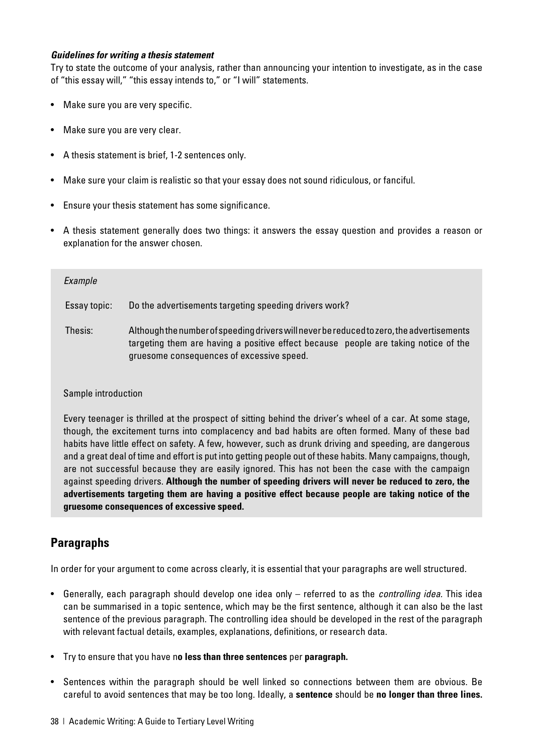#### *Guidelines for writing a thesis statement*

Try to state the outcome of your analysis, rather than announcing your intention to investigate, as in the case of "this essay will," "this essay intends to," or "I will" statements.

- Make sure you are very specific.
- Make sure you are very clear.
- A thesis statement is brief, 1-2 sentences only.
- Make sure your claim is realistic so that your essay does not sound ridiculous, or fanciful.
- Ensure your thesis statement has some significance.
- A thesis statement generally does two things: it answers the essay question and provides a reason or explanation for the answer chosen.

# Example Essay topic: Do the advertisements targeting speeding drivers work? Thesis: Although the number of speeding drivers will never be reduced to zero, the advertisements targeting them are having a positive effect because people are taking notice of the gruesome consequences of excessive speed.

#### Sample introduction

Every teenager is thrilled at the prospect of sitting behind the driver's wheel of a car. At some stage, though, the excitement turns into complacency and bad habits are often formed. Many of these bad habits have little effect on safety. A few, however, such as drunk driving and speeding, are dangerous and a great deal of time and effort is put into getting people out of these habits. Many campaigns, though, are not successful because they are easily ignored. This has not been the case with the campaign against speeding drivers. **Although the number of speeding drivers will never be reduced to zero, the advertisements targeting them are having a positive effect because people are taking notice of the gruesome consequences of excessive speed.** 

# **Paragraphs**

In order for your argument to come across clearly, it is essential that your paragraphs are well structured.

- Generally, each paragraph should develop one idea only referred to as the *controlling idea*. This idea can be summarised in a topic sentence, which may be the first sentence, although it can also be the last sentence of the previous paragraph. The controlling idea should be developed in the rest of the paragraph with relevant factual details, examples, explanations, definitions, or research data.
- Try to ensure that you have n**o less than three sentences** per **paragraph.**
- Sentences within the paragraph should be well linked so connections between them are obvious. Be careful to avoid sentences that may be too long. Ideally, a **sentence** should be **no longer than three lines.**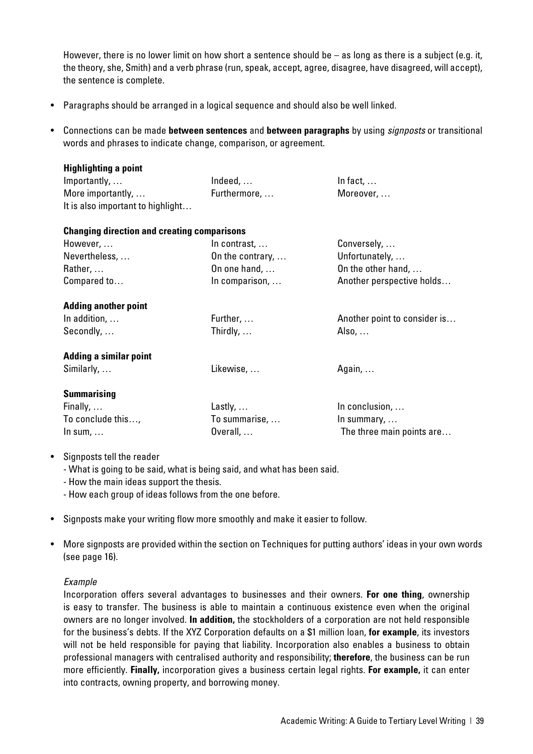However, there is no lower limit on how short a sentence should be – as long as there is a subject (e.g. it, the theory, she, Smith) and a verb phrase (run, speak, accept, agree, disagree, have disagreed, will accept), the sentence is complete.

- Paragraphs should be arranged in a logical sequence and should also be well linked.
- Connections can be made **between sentences** and **between paragraphs** by using signposts or transitional words and phrases to indicate change, comparison, or agreement.

| <b>Highlighting a point</b>                        |                        |                           |
|----------------------------------------------------|------------------------|---------------------------|
| Importantly,                                       | Indeed,                | In fact, $\dots$          |
| More importantly,                                  | Furthermore,           | Moreover,                 |
| It is also important to highlight                  |                        |                           |
| <b>Changing direction and creating comparisons</b> |                        |                           |
| However,                                           | In contrast,           | Conversely,               |
| Nevertheless,                                      | On the contrary,       | Unfortunately,            |
| Rather,                                            | On one hand,           | On the other hand,        |
| Compared to                                        | In comparison, $\dots$ | Another perspective holds |
| Adding another noint                               |                        |                           |

| <b>AUGHLY GROUP PUTTLE</b>    |                  |                              |
|-------------------------------|------------------|------------------------------|
| In addition,                  | Further,         | Another point to consider is |
| Secondly,                     | Thirdly, $\dots$ | Also, $\dots$                |
| <b>Adding a similar point</b> |                  |                              |
| Similarly,                    | Likewise,        | Again, $\dots$               |
| <b>Summarising</b>            |                  |                              |
| Finally, $\dots$              | Lastly, $\dots$  | In conclusion, $\dots$       |
| To conclude this,             | To summarise,    | In summary, $\dots$          |
| $ln sum, \ldots$              | Overall,         | The three main points are    |

- Signposts tell the reader
	- What is going to be said, what is being said, and what has been said.
	- How the main ideas support the thesis.
	- How each group of ideas follows from the one before.
- Signposts make your writing flow more smoothly and make it easier to follow.
- More signposts are provided within the section on Techniques for putting authors' ideas in your own words (see page 16).

#### Example

Incorporation offers several advantages to businesses and their owners. **For one thing**, ownership is easy to transfer. The business is able to maintain a continuous existence even when the original owners are no longer involved. **In addition,** the stockholders of a corporation are not held responsible for the business's debts. If the XYZ Corporation defaults on a \$1 million loan, **for example**, its investors will not be held responsible for paying that liability. Incorporation also enables a business to obtain professional managers with centralised authority and responsibility; **therefore**, the business can be run more efficiently. Finally, incorporation gives a business certain legal rights. For example, it can enter into contracts, owning property, and borrowing money.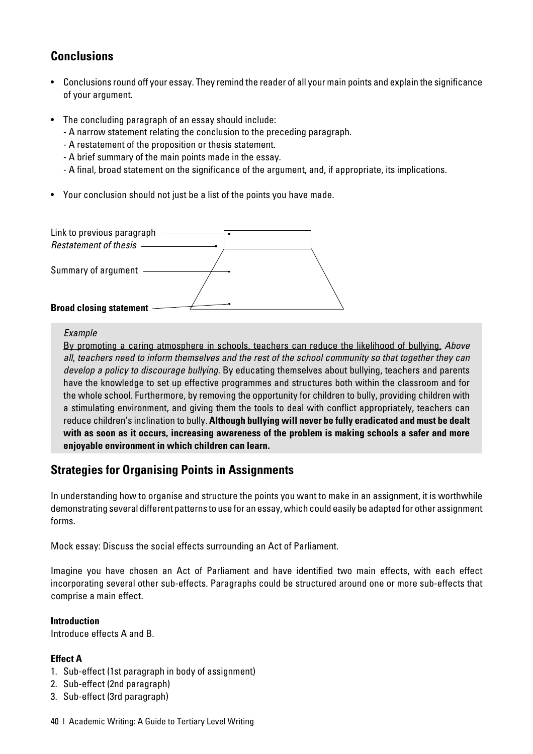# **Conclusions**

- Conclusions round off your essay. They remind the reader of all your main points and explain the significance of your argument.
- The concluding paragraph of an essay should include:
	- A narrow statement relating the conclusion to the preceding paragraph.
	- A restatement of the proposition or thesis statement.
	- A brief summary of the main points made in the essay.
	- A final, broad statement on the significance of the argument, and, if appropriate, its implications.
- Your conclusion should not just be a list of the points you have made.

| Link to previous paragraph     |  |  |
|--------------------------------|--|--|
| Restatement of thesis $-$      |  |  |
|                                |  |  |
| Summary of argument -          |  |  |
|                                |  |  |
|                                |  |  |
| <b>Broad closing statement</b> |  |  |

## Example

By promoting a caring atmosphere in schools, teachers can reduce the likelihood of bullying. Above all, teachers need to inform themselves and the rest of the school community so that together they can develop a policy to discourage bullying. By educating themselves about bullying, teachers and parents have the knowledge to set up effective programmes and structures both within the classroom and for the whole school. Furthermore, by removing the opportunity for children to bully, providing children with a stimulating environment, and giving them the tools to deal with conflict appropriately, teachers can reduce children's inclination to bully. **Although bullying will never be fully eradicated and must be dealt with as soon as it occurs, increasing awareness of the problem is making schools a safer and more enjoyable environment in which children can learn.** 

# **Strategies for Organising Points in Assignments**

In understanding how to organise and structure the points you want to make in an assignment, it is worthwhile demonstrating several different patterns to use for an essay, which could easily be adapted for other assignment forms.

Mock essay: Discuss the social effects surrounding an Act of Parliament.

Imagine you have chosen an Act of Parliament and have identified two main effects, with each effect incorporating several other sub-effects. Paragraphs could be structured around one or more sub-effects that comprise a main effect.

## **Introduction**

Introduce effects A and B.

## **Effect A**

- 1. Sub-effect (1st paragraph in body of assignment)
- 2. Sub-effect (2nd paragraph)
- 3. Sub-effect (3rd paragraph)
- 40 | Academic Writing: A Guide to Tertiary Level Writing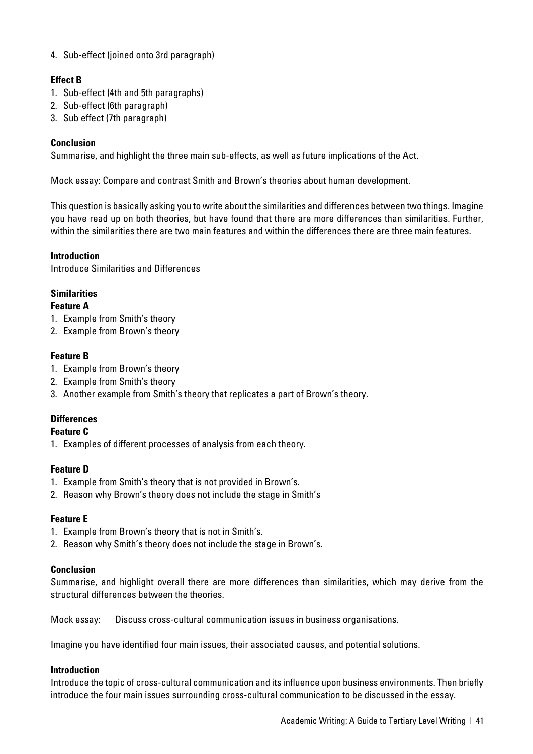4. Sub-effect (joined onto 3rd paragraph)

## **Effect B**

- 1. Sub-effect (4th and 5th paragraphs)
- 2. Sub-effect (6th paragraph)
- 3. Sub effect (7th paragraph)

## **Conclusion**

Summarise, and highlight the three main sub-effects, as well as future implications of the Act.

Mock essay: Compare and contrast Smith and Brown's theories about human development.

This question is basically asking you to write about the similarities and differences between two things. Imagine you have read up on both theories, but have found that there are more differences than similarities. Further, within the similarities there are two main features and within the differences there are three main features.

## **Introduction**

Introduce Similarities and Differences

## **Similarities**

## **Feature A**

- 1. Example from Smith's theory
- 2. Example from Brown's theory

## **Feature B**

- 1. Example from Brown's theory
- 2. Example from Smith's theory
- 3. Another example from Smith's theory that replicates a part of Brown's theory.

## **Differences**

## **Feature C**

1. Examples of different processes of analysis from each theory.

## **Feature D**

- 1. Example from Smith's theory that is not provided in Brown's.
- 2. Reason why Brown's theory does not include the stage in Smith's

## **Feature E**

- 1. Example from Brown's theory that is not in Smith's.
- 2. Reason why Smith's theory does not include the stage in Brown's.

## **Conclusion**

Summarise, and highlight overall there are more differences than similarities, which may derive from the structural differences between the theories.

Mock essay: Discuss cross-cultural communication issues in business organisations.

Imagine you have identified four main issues, their associated causes, and potential solutions.

## **Introduction**

Introduce the topic of cross-cultural communication and its influence upon business environments. Then briefly introduce the four main issues surrounding cross-cultural communication to be discussed in the essay.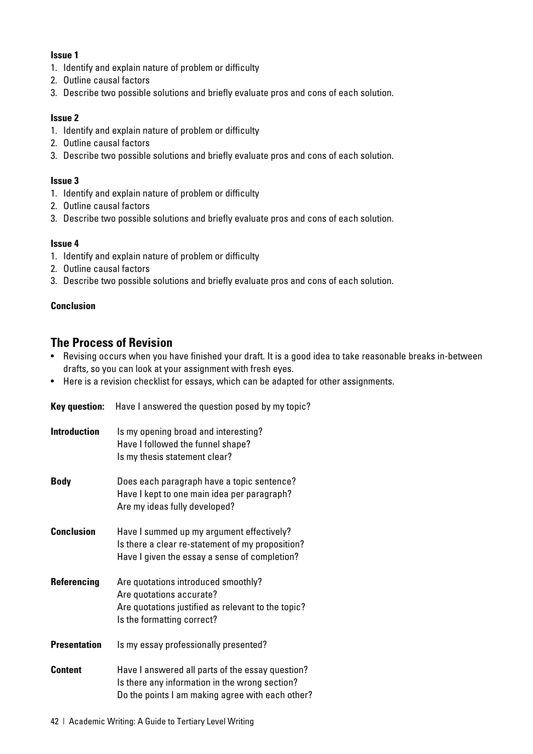#### **Issue 1**

- 1. Identify and explain nature of problem or difficulty
- 2. Outline causal factors
- 3. Describe two possible solutions and briefly evaluate pros and cons of each solution.

## **Issue 2**

- 1. Identify and explain nature of problem or difficulty
- 2. Outline causal factors
- 3. Describe two possible solutions and briefly evaluate pros and cons of each solution.

## **Issue 3**

- 1. Identify and explain nature of problem or difficulty
- 2. Outline causal factors
- 3. Describe two possible solutions and briefly evaluate pros and cons of each solution.

## **Issue 4**

- 1. Identify and explain nature of problem or difficulty
- 2. Outline causal factors
- 3. Describe two possible solutions and briefly evaluate pros and cons of each solution.

## **Conclusion**

# **The Process of Revision**

- Revising occurs when you have finished your draft. It is a good idea to take reasonable breaks in-between drafts, so you can look at your assignment with fresh eyes.
- Here is a revision checklist for essays, which can be adapted for other assignments.

**Key question:** Have I answered the question posed by my topic?

| <b>Introduction</b> | Is my opening broad and interesting?<br>Have I followed the funnel shape?<br>Is my thesis statement clear?                                             |
|---------------------|--------------------------------------------------------------------------------------------------------------------------------------------------------|
| <b>Body</b>         | Does each paragraph have a topic sentence?<br>Have I kept to one main idea per paragraph?<br>Are my ideas fully developed?                             |
| <b>Conclusion</b>   | Have I summed up my argument effectively?<br>Is there a clear re-statement of my proposition?<br>Have I given the essay a sense of completion?         |
| Referencing         | Are quotations introduced smoothly?<br>Are quotations accurate?<br>Are quotations justified as relevant to the topic?<br>Is the formatting correct?    |
| <b>Presentation</b> | Is my essay professionally presented?                                                                                                                  |
| <b>Content</b>      | Have I answered all parts of the essay question?<br>Is there any information in the wrong section?<br>Do the points I am making agree with each other? |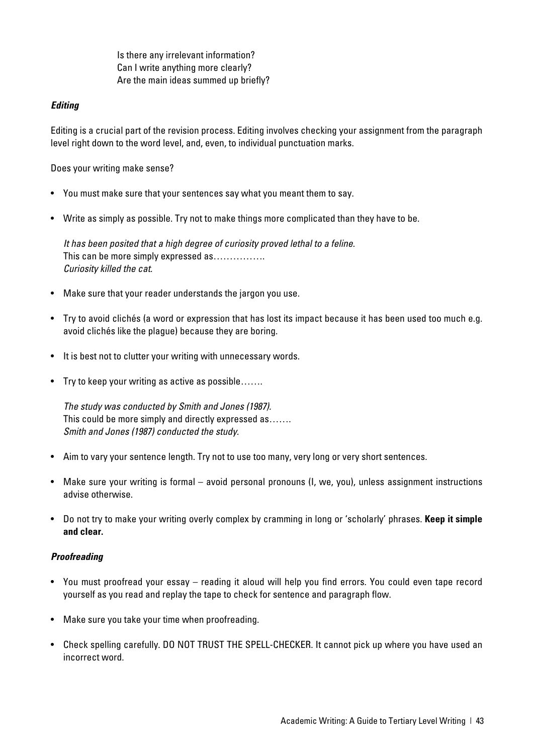Is there any irrelevant information? Can I write anything more clearly? Are the main ideas summed up briefly?

## *Editing*

Editing is a crucial part of the revision process. Editing involves checking your assignment from the paragraph level right down to the word level, and, even, to individual punctuation marks.

Does your writing make sense?

- You must make sure that your sentences say what you meant them to say.
- Write as simply as possible. Try not to make things more complicated than they have to be.

 It has been posited that a high degree of curiosity proved lethal to a feline. This can be more simply expressed as……………. Curiosity killed the cat.

- Make sure that your reader understands the jargon you use.
- Try to avoid clichés (a word or expression that has lost its impact because it has been used too much e.g. avoid clichés like the plague) because they are boring.
- It is best not to clutter your writing with unnecessary words.
- Try to keep your writing as active as possible…….

The study was conducted by Smith and Jones (1987). This could be more simply and directly expressed as……. Smith and Jones (1987) conducted the study.

- Aim to vary your sentence length. Try not to use too many, very long or very short sentences.
- Make sure your writing is formal avoid personal pronouns (I, we, you), unless assignment instructions advise otherwise.
- Do not try to make your writing overly complex by cramming in long or 'scholarly' phrases. **Keep it simple and clear.**

## *Proofreading*

- You must proofread your essay reading it aloud will help you find errors. You could even tape record yourself as you read and replay the tape to check for sentence and paragraph flow.
- Make sure you take your time when proofreading.
- Check spelling carefully. DO NOT TRUST THE SPELL-CHECKER. It cannot pick up where you have used an incorrect word.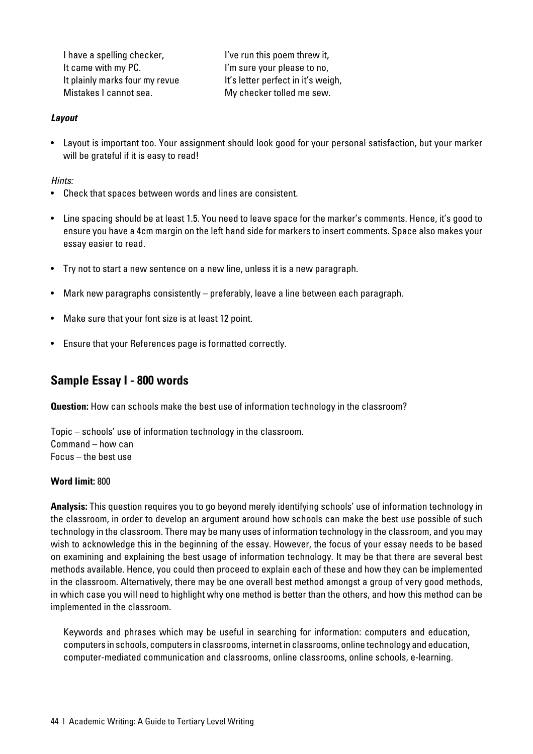I have a spelling checker, I've run this poem threw it, It came with my PC. I'm sure your please to no, Mistakes I cannot sea. My checker tolled me sew.

It plainly marks four my revue It's letter perfect in it's weigh,

## *Layout*

• Layout is important too. Your assignment should look good for your personal satisfaction, but your marker will be grateful if it is easy to read!

#### Hints:

- Check that spaces between words and lines are consistent.
- Line spacing should be at least 1.5. You need to leave space for the marker's comments. Hence, it's good to ensure you have a 4cm margin on the left hand side for markers to insert comments. Space also makes your essay easier to read.
- Try not to start a new sentence on a new line, unless it is a new paragraph.
- Mark new paragraphs consistently preferably, leave a line between each paragraph.
- Make sure that your font size is at least 12 point.
- Ensure that your References page is formatted correctly.

# **Sample Essay I - 800 words**

**Question:** How can schools make the best use of information technology in the classroom?

Topic – schools' use of information technology in the classroom. Command – how can Focus – the best use

## **Word limit:** 800

**Analysis:** This question requires you to go beyond merely identifying schools' use of information technology in the classroom, in order to develop an argument around how schools can make the best use possible of such technology in the classroom. There may be many uses of information technology in the classroom, and you may wish to acknowledge this in the beginning of the essay. However, the focus of your essay needs to be based on examining and explaining the best usage of information technology. It may be that there are several best methods available. Hence, you could then proceed to explain each of these and how they can be implemented in the classroom. Alternatively, there may be one overall best method amongst a group of very good methods, in which case you will need to highlight why one method is better than the others, and how this method can be implemented in the classroom.

Keywords and phrases which may be useful in searching for information: computers and education, computers in schools, computers in classrooms, internet in classrooms, online technology and education, computer-mediated communication and classrooms, online classrooms, online schools, e-learning.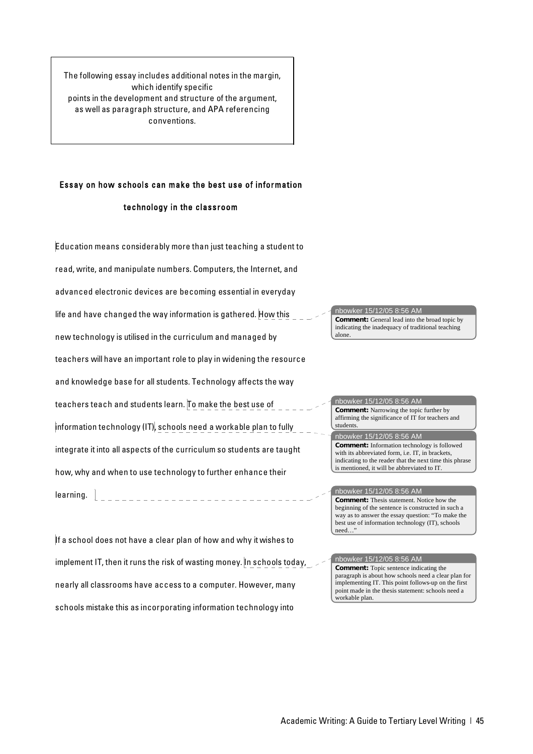The following essay includes additional notes in the margin, which identify specific points in the development and structure of the argument, as well as paragraph structure, and APA referencing conventions.

#### Essay on how schools can make the best use of infor mation

#### technology in the classroom

Education means considerably more than just teaching a student to read, write, and manipulate numbers. Computers, the Internet, and advanced electronic devices are becoming essential in everyday life and have changed the way information is gathered. How this new technology is utilised in the curriculum and managed by teachers will have an important role to play in widening the resource and knowledge base for all students. Technology affects the way teachers teach and students learn. To make the best use of information technology (IT), schools need a workable plan to fully integrate it into all aspects of the curriculum so students are taught how, why and when to use technology to further enhance their learning.

If a school does not have a clear plan of how and why it wishes to implement IT, then it runs the risk of wasting money. In schools today, nearly all classrooms have access to a computer. However, many schools mistake this as incorporating information technology into

nbowker 15/12/05 8:56 AM **Comment:** General lead into the broad topic by

indicating the inadequacy of traditional teaching alone.

nbowker 15/12/05 8:56 AM

**Comment:** Narrowing the topic further by affirming the significance of IT for teachers and students.

nbowker 15/12/05 8:56 AM **Comment:** Information technology is followed with its abbreviated form, i.e. IT, in brackets, indicating to the reader that the next time this phrase is mentioned, it will be abbreviated to IT.

nbowker 15/12/05 8:56 AM **Comment:** Thesis statement. Notice how the beginning of the sentence is constructed in such a way as to answer the essay question: "To make the best use of information technology (IT), schools need…"

nbowker 15/12/05 8:56 AM

**Comment:** Topic sentence indicating the paragraph is about how schools need a clear plan for implementing IT. This point follows-up on the first point made in the thesis statement: schools need a .<br>workable plan.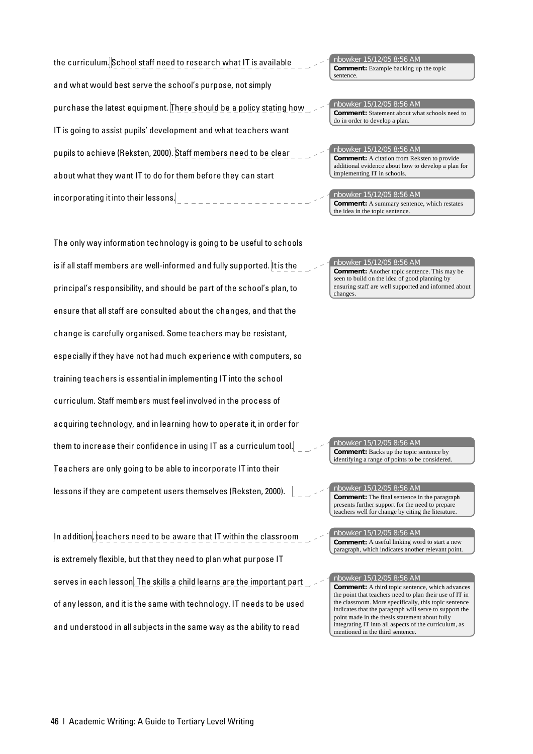the curriculum. School staff need to research what IT is available and what would best serve the school's purpose, not simply purchase the latest equipment. There should be a policy stating how IT is going to assist pupils' development and what teachers want pupils to achieve (Reksten, 2000). Staff members need to be clear about what they want IT to do for them before they can start incorporating it into their lessons.

The only way information technology is going to be useful to schools is if all staff members are well-informed and fully supported. It is the principal's responsibility, and should be part of the school's plan, to ensure that all staff are consulted about the changes, and that the change is carefully organised. Some teachers may be resistant, especially if they have not had much experience with computers, so training teachers is essential in implementing IT into the school curriculum. Staff members must feel involved in the process of acquiring technology, and in learning how to operate it, in order for them to increase their confidence in using IT as a curriculum tool. Teachers are only going to be able to incorporate IT into their lessons if they are competent users themselves (Reksten, 2000).

In addition, teachers need to be aware that IT within the classroom is extremely flexible, but that they need to plan what purpose IT serves in each lesson. The skills a child learns are the important part of any lesson, and it is the same with technology. IT needs to be used and understood in all subjects in the same way as the ability to read

nbowker 15/12/05 8:56 AM **Comment:** Example backing up the topic sentence.

nbowker 15/12/05 8:56 AM **Comment:** Statement about what schools need to do in order to develop a plan.

nbowker 15/12/05 8:56 AM **Comment:** A citation from Reksten to provide additional evidence about how to develop a plan for implementing IT in schools.

nbowker 15/12/05 8:56 AM **Comment:** A summary sentence, which restates the idea in the topic sentence.

nbowker 15/12/05 8:56 AM **Comment:** Another topic sentence. This may be seen to build on the idea of good planning by ensuring staff are well supported and informed about changes.

nbowker 15/12/05 8:56 AM **Comment:** Backs up the topic sentence by identifying a range of points to be considered.

nbowker 15/12/05 8:56 AM **Comment:** The final sentence in the paragraph presents further support for the need to prepare teachers well for change by citing the literature.

nbowker 15/12/05 8:56 AM **Comment:** A useful linking word to start a new paragraph, which indicates another relevant point.

#### nbowker 15/12/05 8:56 AM

**Comment:** A third topic sentence, which advances the point that teachers need to plan their use of IT in the classroom. More specifically, this topic sentence indicates that the paragraph will serve to support the point made in the thesis statement about fully integrating IT into all aspects of the curriculum, as mentioned in the third sentence.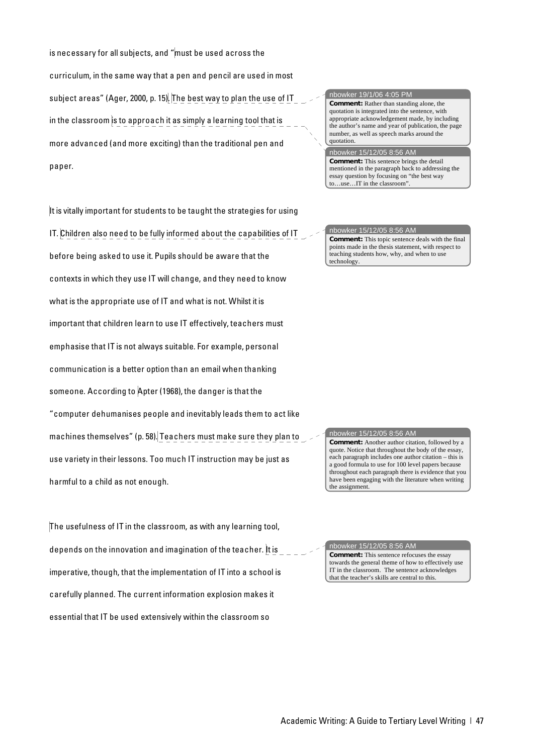is necessary for all subjects, and "must be used across the curriculum, in the same way that a pen and pencil are used in most subject areas" (Ager, 2000, p. 15). The best way to plan the use of IT in the classroom is to approach it as simply a learning tool that is more advanced (and more exciting) than the traditional pen and paper.

It is vitally important for students to be taught the strategies for using IT. Children also need to be fully informed about the capabilities of IT before being asked to use it. Pupils should be aware that the contexts in which they use IT will change, and they need to know what is the appropriate use of IT and what is not. Whilst it is important that children learn to use IT effectively, teachers must emphasise that IT is not always suitable. For example, personal communication is a better option than an email when thanking someone. According to Apter (1968), the danger is that the "computer dehumanises people and inevitably leads them to act like machines themselves" (p. 58). Teachers must make sure they plan to use variety in their lessons. Too much IT instruction may be just as harmful to a child as not enough.

The usefulness of IT in the classroom, as with any learning tool, depends on the innovation and imagination of the teacher. It is imperative, though, that the implementation of IT into a school is carefully planned. The current information explosion makes it essential that IT be used extensively within the classroom so

#### nbowker 19/1/06 4:05 PM

**Comment:** Rather than standing alone, the quotation is integrated into the sentence, with appropriate acknowledgement made, by including the author's name and year of publication, the page number, as well as speech marks around the quotation.

#### nbowker 15/12/05 8:56 AM

**Comment:** This sentence brings the detail mentioned in the paragraph back to addressing the essay question by focusing on "the best way to…use…IT in the classroom".

#### nbowker 15/12/05 8:56 AM

**Comment:** This topic sentence deals with the final points made in the thesis statement, with respect to teaching students how, why, and when to use technology.

#### nbowker 15/12/05 8:56 AM

**Comment:** Another author citation, followed by a quote. Notice that throughout the body of the essay, each paragraph includes one author citation – this is a good formula to use for 100 level papers because throughout each paragraph there is evidence that you have been engaging with the literature when writing the assignment.

nbowker 15/12/05 8:56 AM

**Comment:** This sentence refocuses the essay towards the general theme of how to effectively use IT in the classroom. The sentence acknowledges that the teacher's skills are central to this.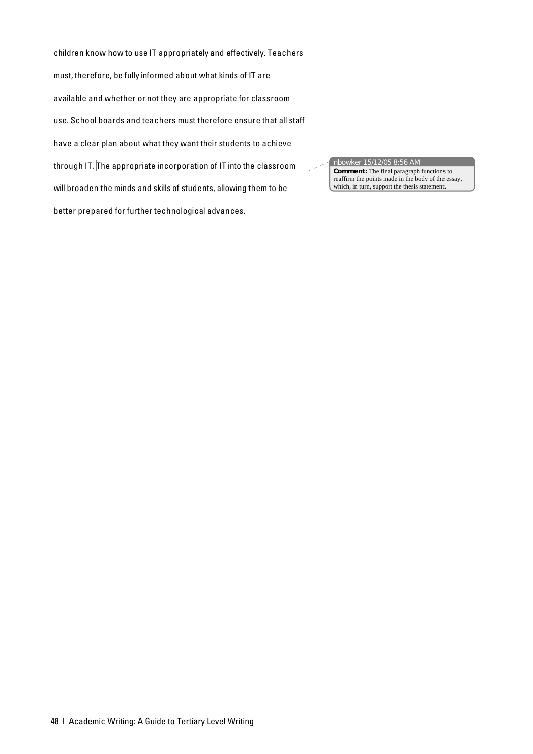children know how to use IT appropriately and effectively. Teachers must, therefore, be fully informed about what kinds of IT are available and whether or not they are appropriate for classroom use. School boards and teachers must therefore ensure that all staff have a clear plan about what they want their students to achieve through IT. The appropriate incorporation of IT into the classroom  $\Box$ will broaden the minds and skills of students, allowing them to be better prepared for further technological advances.

nbowker 15/12/05 8:56 AM **Comment:** The final paragraph functions to reaffirm the points made in the body of the essay, which, in turn, support the thesis statement.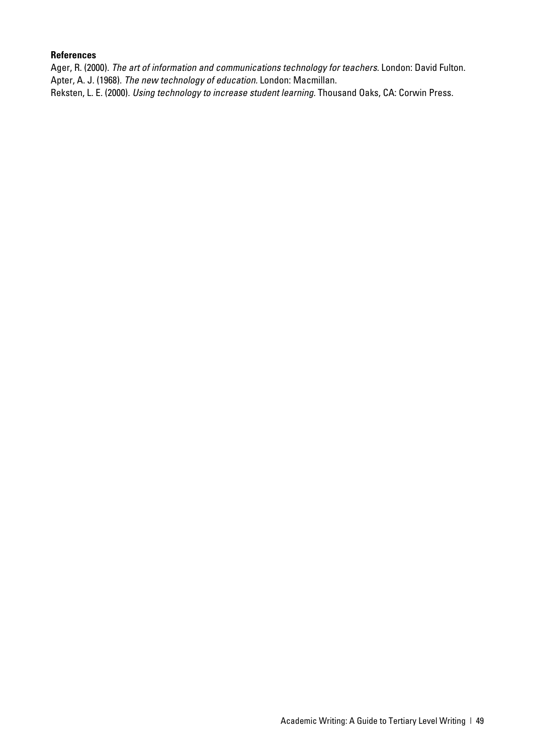#### **References**

Ager, R. (2000). The art of information and communications technology for teachers. London: David Fulton. Apter, A. J. (1968). The new technology of education. London: Macmillan.

Reksten, L. E. (2000). Using technology to increase student learning. Thousand Oaks, CA: Corwin Press.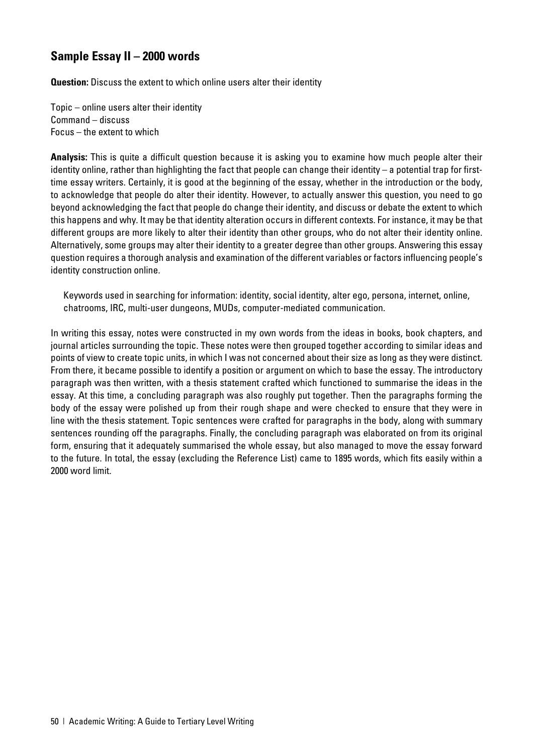# **Sample Essay II – 2000 words**

**Question:** Discuss the extent to which online users alter their identity

Topic – online users alter their identity Command – discuss Focus – the extent to which

**Analysis:** This is quite a difficult question because it is asking you to examine how much people alter their identity online, rather than highlighting the fact that people can change their identity – a potential trap for firsttime essay writers. Certainly, it is good at the beginning of the essay, whether in the introduction or the body, to acknowledge that people do alter their identity. However, to actually answer this question, you need to go beyond acknowledging the fact that people do change their identity, and discuss or debate the extent to which this happens and why. It may be that identity alteration occurs in different contexts. For instance, it may be that different groups are more likely to alter their identity than other groups, who do not alter their identity online. Alternatively, some groups may alter their identity to a greater degree than other groups. Answering this essay question requires a thorough analysis and examination of the different variables or factors influencing people's identity construction online.

Keywords used in searching for information: identity, social identity, alter ego, persona, internet, online, chatrooms, IRC, multi-user dungeons, MUDs, computer-mediated communication.

In writing this essay, notes were constructed in my own words from the ideas in books, book chapters, and journal articles surrounding the topic. These notes were then grouped together according to similar ideas and points of view to create topic units, in which I was not concerned about their size as long as they were distinct. From there, it became possible to identify a position or argument on which to base the essay. The introductory paragraph was then written, with a thesis statement crafted which functioned to summarise the ideas in the essay. At this time, a concluding paragraph was also roughly put together. Then the paragraphs forming the body of the essay were polished up from their rough shape and were checked to ensure that they were in line with the thesis statement. Topic sentences were crafted for paragraphs in the body, along with summary sentences rounding off the paragraphs. Finally, the concluding paragraph was elaborated on from its original form, ensuring that it adequately summarised the whole essay, but also managed to move the essay forward to the future. In total, the essay (excluding the Reference List) came to 1895 words, which fits easily within a 2000 word limit.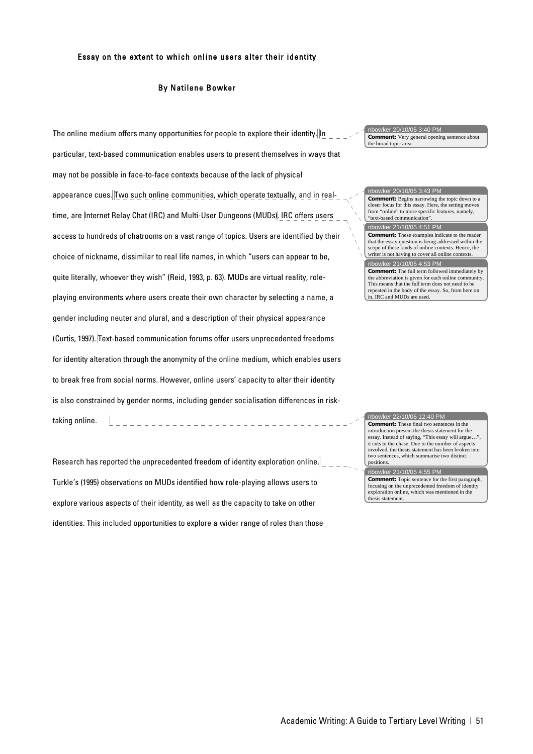#### Essay on the extent to which online users alter their identity

#### By Natilene Bowker

The online medium offers many opportunities for people to explore their identity. In particular, text-based communication enables users to present themselves in ways that may not be possible in face-to-face contexts because of the lack of physical appearance cues. Two such online communities, which operate textually, and in realtime, are Internet Relay Chat (IRC) and Multi-User Dungeons (MUDs). IRC offers users access to hundreds of chatrooms on a vast range of topics. Users are identified by their choice of nickname, dissimilar to real life names, in which "users can appear to be, quite literally, whoever they wish" (Reid, 1993, p. 63). MUDs are virtual reality, roleplaying environments where users create their own character by selecting a name, a gender including neuter and plural, and a description of their physical appearance (Curtis, 1997). Text-based communication forums offer users unprecedented freedoms for identity alteration through the anonymity of the online medium, which enables users to break free from social norms. However, online users' capacity to alter their identity is also constrained by gender norms, including gender socialisation differences in risktaking online.

Research has reported the unprecedented freedom of identity exploration online. Turkle's (1995) observations on MUDs identified how role-playing allows users to explore various aspects of their identity, as well as the capacity to take on other identities. This included opportunities to explore a wider range of roles than those

nbowker 20/10/05 3:40 PM **Comment:** Very general opening sentence about the broad topic area.

#### nbowker 20/10/05 3:43 PM

**Comment:** Begins narrowing the topic down to a closer focus for this essay. Here, the setting moves from "online" to more specific features, namely, "text-based communication".

nbowker 21/10/05 4:51 PM nbowker 21/10/05 4:53 PM **Comment:** These examples indicate to the reader that the essay question is being addressed within the scope of these kinds of online contexts. Hence, the writer is not having to cover all online contexts.

**Comment:** The full term followed immediately by the abbreviation is given for each online community. This means that the full term does not need to be repeated in the body of the essay. So, from here on in, IRC and MUDs are used.

#### nbowker 22/10/05 12:40 PM

**Comment:** These final two sentences in the introduction present the thesis statement for the essay. Instead of saying, "This essay will argue.. it cuts to the chase. Due to the number of aspects involved, the thesis statement has been broken into two sentences, which summarise two distinct positions.

nbowker 21/10/05 4:55 PM **Comment:** Topic sentence for the first paragraph, focusing on the unprecedented freedom of identity exploration online, which was mentioned in the thesis statement.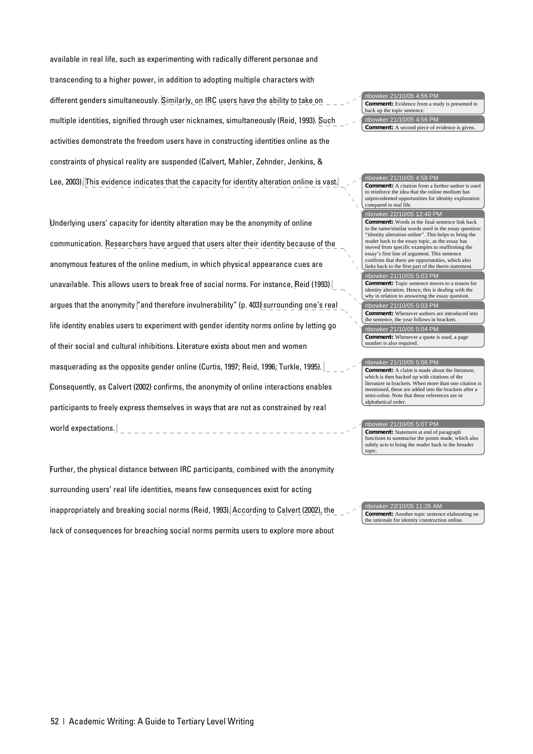available in real life, such as experimenting with radically different personae and transcending to a higher power, in addition to adopting multiple characters with different genders simultaneously. Similarly, on IRC users have the ability to take on multiple identities, signified through user nicknames, simultaneously (Reid, 1993). Such activities demonstrate the freedom users have in constructing identities online as the constraints of physical reality are suspended (Calvert, Mahler, Zehnder, Jenkins, & Lee, 2003). This evidence indicates that the capacity for identity alteration online is vast.

Underlying users' capacity for identity alteration may be the anonymity of online communication. Researchers have argued that users alter their identity because of the anonymous features of the online medium, in which physical appearance cues are unavailable. This allows users to break free of social norms. For instance, Reid (1993) argues that the anonymity "and therefore invulnerability" (p. 403) surrounding one's real life identity enables users to experiment with gender identity norms online by letting go of their social and cultural inhibitions. Literature exists about men and women masquerading as the opposite gender online (Curtis, 1997; Reid, 1996; Turkle, 1995). Consequently, as Calvert (2002) confirms, the anonymity of online interactions enables participants to freely express themselves in ways that are not as constrained by real world expectations.

Further, the physical distance between IRC participants, combined with the anonymity surrounding users' real life identities, means few consequences exist for acting inappropriately and breaking social norms (Reid, 1993). According to Calvert (2002), the lack of consequences for breaching social norms permits users to explore more about

| nbowker 21/10/05 4:56 PM                                                      |
|-------------------------------------------------------------------------------|
| Comment: Evidence from a study is presented to<br>back up the topic sentence. |
| nbowker 21/10/05 4:56 PM                                                      |
| Comment: A second piece of evidence is given.                                 |

#### nbowker 21/10/05 4:58 PM

nbowker 22/10/05 12:40 PM nbowker 21/10/05 5:03 PM nbowker 21/10/05 5:03 PM nbowker 21/10/05 5:04 PM **Comment:** A citation from a further author is used to reinforce the idea that the online medium has unprecedented opportunities for identity exploration compared to real life. **Comment:** Words in the final sentence link back to the same/similar words used in the essay question "identity alteration online". This helps to bring the reader back to the essay topic, as the essay has moved from specific examples to reaffirming the essay's first line of argument. This sentence confirms that there are opportunities, which also links back to the first part of the thesis statement. **Comment:** Topic sentence moves to a reason for identity alteration. Hence, this is dealing with the *why* in relation to answering the essay question. **Comment:** Whenever authors are introduced into the sentence, the year follows in brackets. **Comment:** Whenever a quote is used, a page number is also required.

#### nbowker 21/10/05 5:06 PM

**Comment:** A claim is made about the literature, which is then backed up with citations of the literature in brackets. When more than one citation is mentioned, these are added into the brackets after a semi-colon. Note that these references are in alphabetical order.

#### nbowker 21/10/05 5:07 PM

**Comment:** Statement at end of paragraph functions to summarise the points made, which also subtly acts to bring the reader back to the broader topic.

nbowker 22/10/05 11:26 AM **Comment:** Another topic sentence elaborating on the rationale for identity construction online.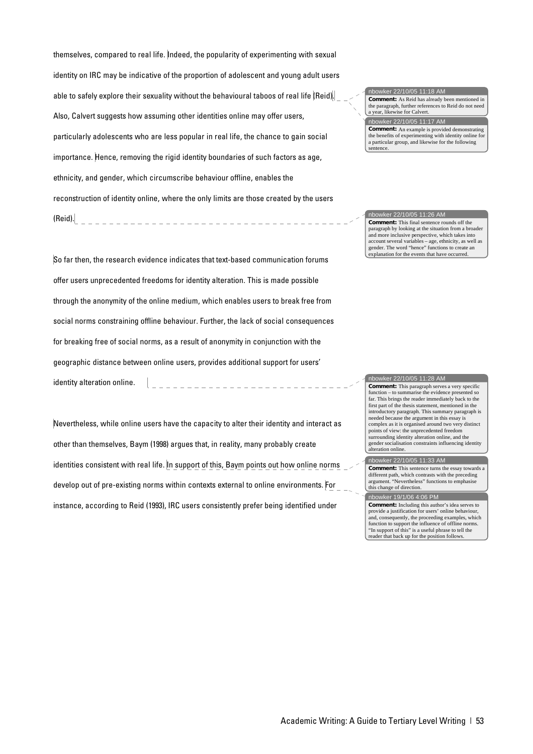themselves, compared to real life. Indeed, the popularity of experimenting with sexual identity on IRC may be indicative of the proportion of adolescent and young adult users able to safely explore their sexuality without the behavioural taboos of real life (Reid). Also, Calvert suggests how assuming other identities online may offer users, particularly adolescents who are less popular in real life, the chance to gain social importance. Hence, removing the rigid identity boundaries of such factors as age, ethnicity, and gender, which circumscribe behaviour offline, enables the reconstruction of identity online, where the only limits are those created by the users (Reid).

So far then, the research evidence indicates that text-based communication forums offer users unprecedented freedoms for identity alteration. This is made possible through the anonymity of the online medium, which enables users to break free from social norms constraining offline behaviour. Further, the lack of social consequences for breaking free of social norms, as a result of anonymity in conjunction with the geographic distance between online users, provides additional support for users' identity alteration online.

Nevertheless, while online users have the capacity to alter their identity and interact as other than themselves, Baym (1998) argues that, in reality, many probably create identities consistent with real life. In support of this, Baym points out how online norms develop out of pre-existing norms within contexts external to online environments. For instance, according to Reid (1993), IRC users consistently prefer being identified under

nbowker 22/10/05 11:18 AM nbowker 22/10/05 11:17 AM **Comment:** As Reid has already been mentioned in the paragraph, further references to Reid do not need a year, likewise for Calvert. **Comment:** An example is provided demonstrating the benefits of experimenting with identity online for a particular group, and likewise for the following sentence.

#### nbowker 22/10/05 11:26 AM

**Comment:** This final sentence rounds off the paragraph by looking at the situation from a broader and more inclusive perspective, which takes into account several variables – age, ethnicity, as well as gender. The word "hence" functions to create an explanation for the events that have occurred.

#### nbowker 22/10/05 11:28 AM

**Comment:** This paragraph serves a very specific function – to summarise the evidence presented so far. This brings the reader immediately back to the first part of the thesis statement, mentioned in the ductory paragraph. This sum needed because the argument in this essay is complex as it is organised around two very distinct points of view: the unprecedented freedom surrounding identity alteration online, and the gender socialisation constraints influencing identity alteration online.

#### nbowker 22/10/05 11:33 AM

**Comment:** This sentence turns the essay towards a different path, which contrasts with the preceding argument. "Nevertheless" functions to emphasise this change of direction.

#### nbowker 19/1/06 4:06 PM

**Comment:** Including this author's idea serves to provide a justification for users' online behaviour and, consequently, the proceeding examples, which function to support the influence of offline norms. "In support of this" is a useful phrase to tell the reader that back up for the position follows.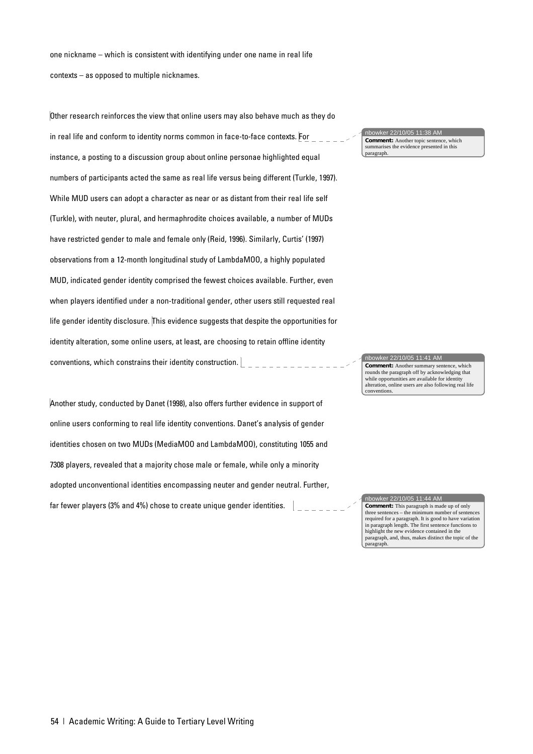one nickname – which is consistent with identifying under one name in real life contexts – as opposed to multiple nicknames.

Other research reinforces the view that online users may also behave much as they do in real life and conform to identity norms common in face-to-face contexts. For instance, a posting to a discussion group about online personae highlighted equal numbers of participants acted the same as real life versus being different (Turkle, 1997). While MUD users can adopt a character as near or as distant from their real life self (Turkle), with neuter, plural, and hermaphrodite choices available, a number of MUDs have restricted gender to male and female only (Reid, 1996). Similarly, Curtis' (1997) observations from a 12-month longitudinal study of LambdaMOO, a highly populated MUD, indicated gender identity comprised the fewest choices available. Further, even when players identified under a non-traditional gender, other users still requested real life gender identity disclosure. This evidence suggests that despite the opportunities for identity alteration, some online users, at least, are choosing to retain offline identity conventions, which constrains their identity construction.

Another study, conducted by Danet (1998), also offers further evidence in support of online users conforming to real life identity conventions. Danet's analysis of gender identities chosen on two MUDs (MediaMOO and LambdaMOO), constituting 1055 and 7308 players, revealed that a majority chose male or female, while only a minority adopted unconventional identities encompassing neuter and gender neutral. Further, far fewer players (3% and 4%) chose to create unique gender identities.

nbowker 22/10/05 11:38 AM **Comment:** Another topic sentence, which summarises the evidence presented in this paragraph.

nbowker 22/10/05 11:41 AM **Comment:** Another summary sentence, which rounds the paragraph off by acknowledging that while opportunities are available for identity alteration, online users are also following real life conventions.

nbowker 22/10/05 11:44 AM

**Comment:** This paragraph is made up of only three sentences – the minimum number of sentences required for a paragraph. It is good to have variation in paragraph length. The first sentence functions to highlight the new evidence contained in the paragraph, and, thus, makes distinct the topic of the paragraph.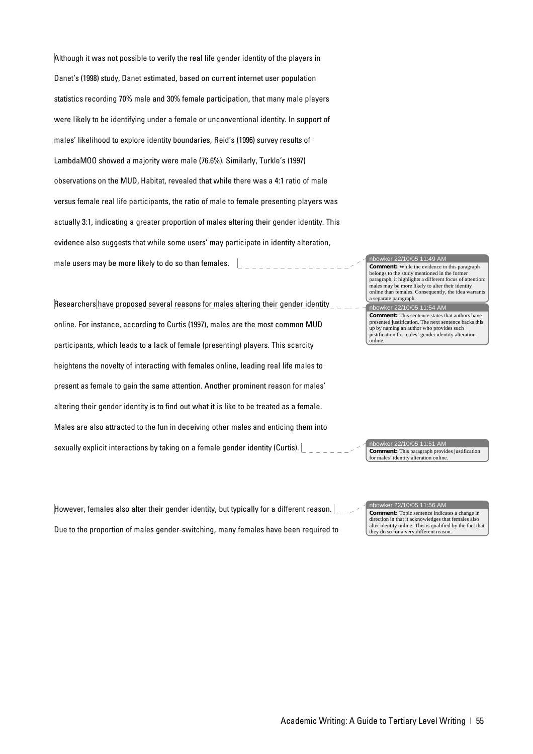Although it was not possible to verify the real life gender identity of the players in Danet's (1998) study, Danet estimated, based on current internet user population statistics recording 70% male and 30% female participation, that many male players were likely to be identifying under a female or unconventional identity. In support of males' likelihood to explore identity boundaries, Reid's (1996) survey results of LambdaMOO showed a majority were male (76.6%). Similarly, Turkle's (1997) observations on the MUD, Habitat, revealed that while there was a 4:1 ratio of male versus female real life participants, the ratio of male to female presenting players was actually 3:1, indicating a greater proportion of males altering their gender identity. This evidence also suggests that while some users' may participate in identity alteration, male users may be more likely to do so than females.

Researchers have proposed several reasons for males altering their gender identity online. For instance, according to Curtis (1997), males are the most common MUD participants, which leads to a lack of female (presenting) players. This scarcity heightens the novelty of interacting with females online, leading real life males to present as female to gain the same attention. Another prominent reason for males' altering their gender identity is to find out what it is like to be treated as a female. Males are also attracted to the fun in deceiving other males and enticing them into sexually explicit interactions by taking on a female gender identity (Curtis).

#### nbowker 22/10/05 11:49 AM

**Comment:** While the evidence in this paragraph belongs to the study mentioned in the former paragraph, it highlights a different focus of attention: males may be more likely to alter their identity online than females. Consequently, the idea warrants a separate paragraph.

nbowker 22/10/05 11:54 AM

**Comment:** This sentence states that authors have presented justification. The next sentence backs this up by naming an author who provides such justification for males' gender identity alteration online.

nbowker 22/10/05 11:51 AM **Comment:** This paragraph provides justification for males' identity alteration online

However, females also alter their gender identity, but typically for a different reason. Due to the proportion of males gender-switching, many females have been required to nbowker 22/10/05 11:56 AM

**Comment:** Topic sentence indicates a change in direction in that it acknowledges that females also alter identity online. This is qualified by the fact that they do so for a very different reason.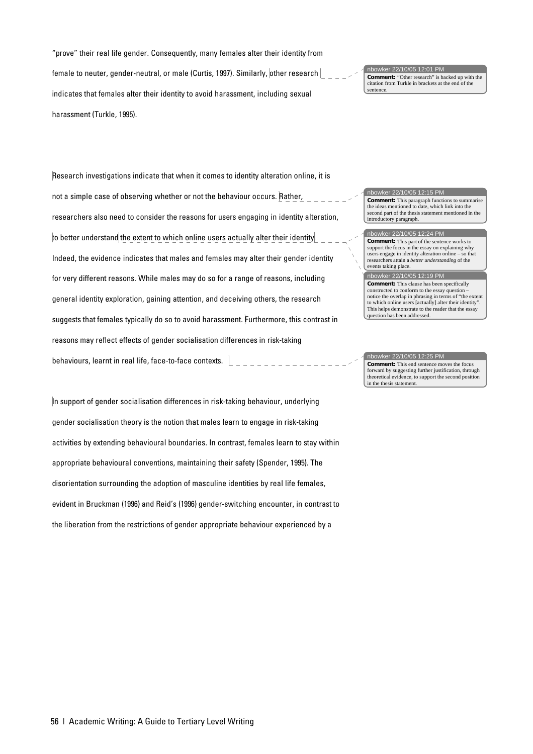"prove" their real life gender. Consequently, many females alter their identity from female to neuter, gender-neutral, or male (Curtis, 1997). Similarly, other research indicates that females alter their identity to avoid harassment, including sexual harassment (Turkle, 1995).

nbowker 22/10/05 12:01 PM **Comment:** "Other research" is backed up with the citation from Turkle in brackets at the end of the sentence

Research investigations indicate that when it comes to identity alteration online, it is not a simple case of observing whether or not the behaviour occurs. Rather, researchers also need to consider the reasons for users engaging in identity alteration, to better understand the extent to which online users actually alter their identity. Indeed, the evidence indicates that males and females may alter their gender identity for very different reasons. While males may do so for a range of reasons, including general identity exploration, gaining attention, and deceiving others, the research suggests that females typically do so to avoid harassment. Furthermore, this contrast in reasons may reflect effects of gender socialisation differences in risk-taking behaviours, learnt in real life, face-to-face contexts.

In support of gender socialisation differences in risk-taking behaviour, underlying gender socialisation theory is the notion that males learn to engage in risk-taking activities by extending behavioural boundaries. In contrast, females learn to stay within appropriate behavioural conventions, maintaining their safety (Spender, 1995). The disorientation surrounding the adoption of masculine identities by real life females, evident in Bruckman (1996) and Reid's (1996) gender-switching encounter, in contrast to the liberation from the restrictions of gender appropriate behaviour experienced by a

nbowker 22/10/05 12:15 PM

**Comment:** This paragraph functions to summarise the ideas mentioned to date, which link into the second part of the thesis statement mentioned in the introductory paragraph.

nbowker 22/10/05 12:24 PM **Comment:** This part of the sentence works to support the focus in the essay on explaining why users engage in identity alteration online – so that researchers attain a *better understanding* of the events taking place.

nbowker 22/10/05 12:19 PM **Comment:** This clause has been specifically constructed to conform to the essay question – notice the overlap in phrasing in terms of "the extent to which online users [actually] alter their identity". This helps demonstrate to the reader that the essay question has been addressed.

nbowker 22/10/05 12:25 PM

**Comment:** This end sentence moves the focus forward by suggesting further justification, through theoretical evidence, to support the second position in the thesis statement.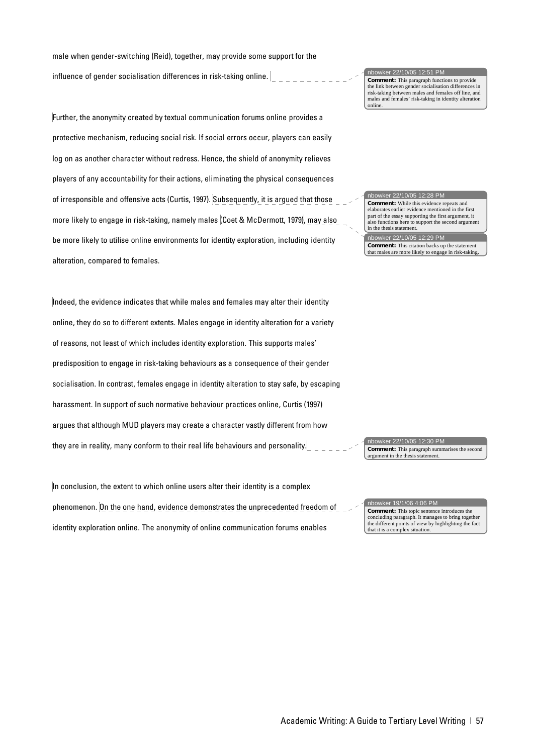male when gender-switching (Reid), together, may provide some support for the influence of gender socialisation differences in risk-taking online.

Further, the anonymity created by textual communication forums online provides a protective mechanism, reducing social risk. If social errors occur, players can easily log on as another character without redress. Hence, the shield of anonymity relieves players of any accountability for their actions, eliminating the physical consequences of irresponsible and offensive acts (Curtis, 1997). Subsequently, it is argued that those more likely to engage in risk-taking, namely males (Coet & McDermott, 1979), may also be more likely to utilise online environments for identity exploration, including identity alteration, compared to females.

Indeed, the evidence indicates that while males and females may alter their identity online, they do so to different extents. Males engage in identity alteration for a variety of reasons, not least of which includes identity exploration. This supports males' predisposition to engage in risk-taking behaviours as a consequence of their gender socialisation. In contrast, females engage in identity alteration to stay safe, by escaping harassment. In support of such normative behaviour practices online, Curtis (1997) argues that although MUD players may create a character vastly different from how they are in reality, many conform to their real life behaviours and personality.

In conclusion, the extent to which online users alter their identity is a complex phenomenon. On the one hand, evidence demonstrates the unprecedented freedom of identity exploration online. The anonymity of online communication forums enables

nbowker 22/10/05 12:51 PM **Comment:** This paragraph functions to provide the link between gender socialisation differences in risk-taking between males and females off line, and males and females' risk-taking in identity alteration

online.

nbowker 22/10/05 12:28 PM **Comment:** While this evidence repeats and elaborates earlier evidence mentioned in the first part of the essay supporting the first argument, it also functions here to support the second argument in the thesis statement.

nbowker 22/10/05 12:29 PM **Comment:** This citation backs up the statement that males are more likely to engage in risk-taking.

nbowker 22/10/05 12:30 PM **Comment:** This paragraph summarises the second argument in the thesis statement.

nbowker 19/1/06 4:06 PM **Comment:** This topic sentence introduces the concluding paragraph. It manages to bring togethe the different points of view by highlighting the fact that it is a complex situation.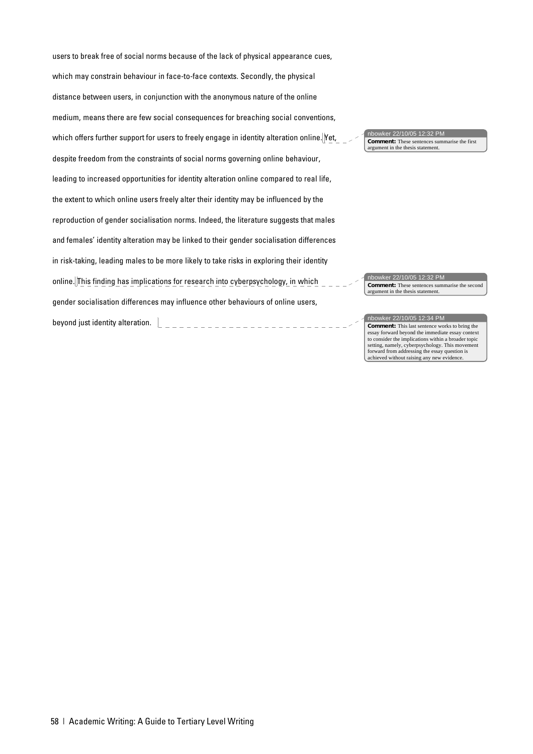users to break free of social norms because of the lack of physical appearance cues, which may constrain behaviour in face-to-face contexts. Secondly, the physical distance between users, in conjunction with the anonymous nature of the online medium, means there are few social consequences for breaching social conventions, which offers further support for users to freely engage in identity alteration online. Yet, despite freedom from the constraints of social norms governing online behaviour, leading to increased opportunities for identity alteration online compared to real life, the extent to which online users freely alter their identity may be influenced by the reproduction of gender socialisation norms. Indeed, the literature suggests that males and females' identity alteration may be linked to their gender socialisation differences in risk-taking, leading males to be more likely to take risks in exploring their identity online. This finding has implications for research into cyberpsychology, in which gender socialisation differences may influence other behaviours of online users, beyond just identity alteration.

nbowker 22/10/05 12:32 PM **Comment:** These sentences summarise the first argument in the thesis statement.

ker 22/10/05 12:32 PM

**Comment:** These sentences summarise the second argument in the thesis statement.

#### nbowker 22/10/05 12:34 PM

**Comment:** This last sentence works to bring the essay forward beyond the immediate essay context to consider the implications within a broader topic setting, namely, cyberpsychology. This movement forward from addressing the essay question is achieved without raising any new evidence.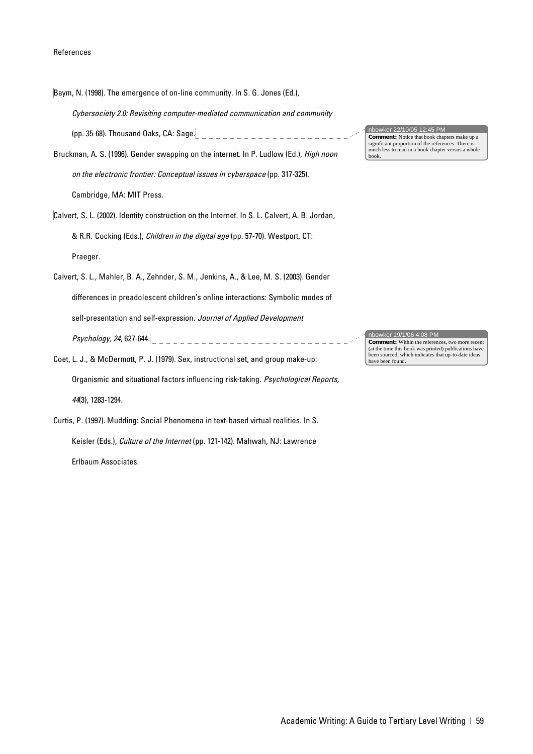- Baym, N. (1998). The emergence of on-line community. In S. G. Jones (Ed.), Cybersociety 2.0: Revisiting computer-mediated communication and community (pp. 35-68). Thousand Oaks, CA: Sage.
- Bruckman, A. S. (1996). Gender swapping on the internet. In P. Ludlow (Ed.), *High noon* on the electronic frontier: Conceptual issues in cyberspace (pp. 317-325). Cambridge, MA: MIT Press.
- Calvert, S. L. (2002). Identity construction on the Internet. In S. L. Calvert, A. B. Jordan, & R.R. Cocking (Eds.), Children in the digital age (pp. 57-70). Westport, CT: Praeger.
- Calvert, S. L., Mahler, B. A., Zehnder, S. M., Jenkins, A., & Lee, M. S. (2003). Gender differences in preadolescent children's online interactions: Symbolic modes of self-presentation and self-expression. Journal of Applied Development

 $Psychology, 24, 627-644.$ 

Coet, L. J., & McDermott, P. J. (1979). Sex, instructional set, and group make-up: Organismic and situational factors influencing risk-taking. Psychological Reports, <sup>44</sup>(3), 1283-1294.

Curtis, P. (1997). Mudding: Social Phenomena in text-based virtual realities. In S. Keisler (Eds.), Culture of the Internet (pp. 121-142). Mahwah, NJ: Lawrence Erlbaum Associates.

nbowker 22/10/05 12:45 PM **Comment:** Notice that book chapters make up a significant proportion of the references. There is external less to read in a book chapter versus a whole book.

nbowker 19/1/06 4:08 PM **Comment:** Within the references, two more recent

(at the time this book was printed) publications have been sourced, which indicates that up-to-date ideas have been found.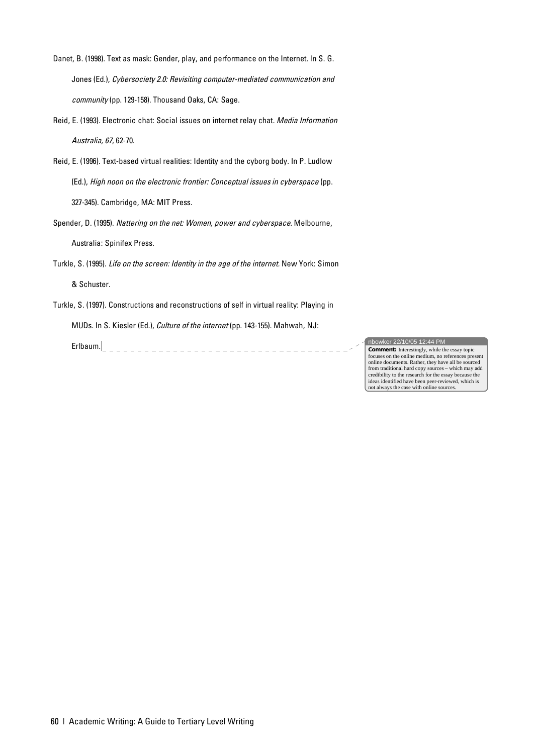- Danet, B. (1998). Text as mask: Gender, play, and performance on the Internet. In S. G. Jones (Ed.), Cybersociety 2.0: Revisiting computer-mediated communication and community (pp. 129-158). Thousand Oaks, CA: Sage.
- Reid, E. (1993). Electronic chat: Social issues on internet relay chat. Media Information Australia, 67, 62-70.
- Reid, E. (1996). Text-based virtual realities: Identity and the cyborg body. In P. Ludlow (Ed.), High noon on the electronic frontier: Conceptual issues in cyberspace (pp. 327-345). Cambridge, MA: MIT Press.
- Spender, D. (1995). Nattering on the net: Women, power and cyberspace. Melbourne, Australia: Spinifex Press.

Turkle, S. (1995). Life on the screen: Identity in the age of the internet. New York: Simon

& Schuster.

Turkle, S. (1997). Constructions and reconstructions of self in virtual reality: Playing in

MUDs. In S. Kiesler (Ed.), Culture of the internet (pp. 143-155). Mahwah, NJ:

Erlbaum.<br>
Erlbaum.<br>
Comment: Interestingly, while the state of the state of the state of the state of the state of the state of the state of the state of the state of the state of the state of the state of the state of th

**Comment:** Interestingly, while the essay topic focuses on the online medium, no references present online documents. Rather, they have all be sourced from traditional hard copy sources – which may add credibility to the research for the essay because the ideas identified have been peer-reviewed, which is not always the case with online sources.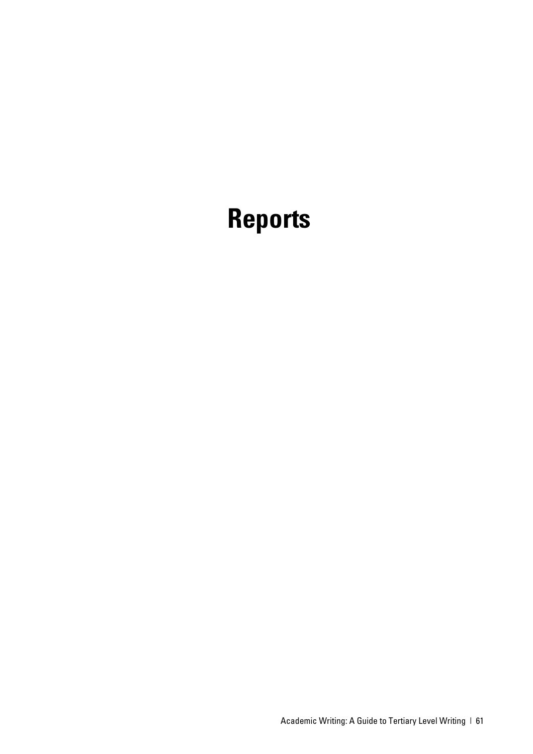# **Reports**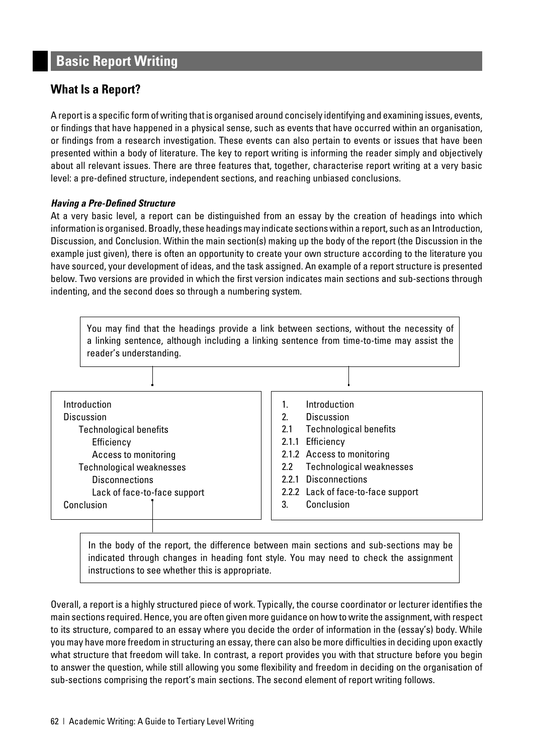# **Basic Report Writing**

# **What Is a Report?**

A report is a specific form of writing that is organised around concisely identifying and examining issues, events, or findings that have happened in a physical sense, such as events that have occurred within an organisation, or findings from a research investigation. These events can also pertain to events or issues that have been presented within a body of literature. The key to report writing is informing the reader simply and objectively about all relevant issues. There are three features that, together, characterise report writing at a very basic level: a pre-defined structure, independent sections, and reaching unbiased conclusions.

## **Having a Pre-Defined Structure**

At a very basic level, a report can be distinguished from an essay by the creation of headings into which information is organised. Broadly, these headings may indicate sections within a report, such as an Introduction, Discussion, and Conclusion. Within the main section(s) making up the body of the report (the Discussion in the example just given), there is often an opportunity to create your own structure according to the literature you have sourced, your development of ideas, and the task assigned. An example of a report structure is presented below. Two versions are provided in which the first version indicates main sections and sub-sections through indenting, and the second does so through a numbering system.

You may find that the headings provide a link between sections, without the necessity of a linking sentence, although including a linking sentence from time-to-time may assist the reader's understanding.

| Introduction                  | Introduction                         |
|-------------------------------|--------------------------------------|
| <b>Discussion</b>             | <b>Discussion</b><br>2.              |
| <b>Technological benefits</b> | <b>Technological benefits</b><br>2.1 |
| Efficiency                    | 2.1.1 Efficiency                     |
| Access to monitoring          | 2.1.2 Access to monitoring           |
| Technological weaknesses      | Technological weaknesses<br>2.2      |
| <b>Disconnections</b>         | 2.2.1 Disconnections                 |
| Lack of face-to-face support  | 2.2.2 Lack of face-to-face support   |
| Conclusion                    | Conclusion<br>3.                     |
|                               |                                      |

In the body of the report, the difference between main sections and sub-sections may be indicated through changes in heading font style. You may need to check the assignment instructions to see whether this is appropriate.

Overall, a report is a highly structured piece of work. Typically, the course coordinator or lecturer identifies the main sections required. Hence, you are often given more guidance on how to write the assignment, with respect to its structure, compared to an essay where you decide the order of information in the (essay's) body. While you may have more freedom in structuring an essay, there can also be more difficulties in deciding upon exactly what structure that freedom will take. In contrast, a report provides you with that structure before you begin to answer the question, while still allowing you some flexibility and freedom in deciding on the organisation of sub-sections comprising the report's main sections. The second element of report writing follows.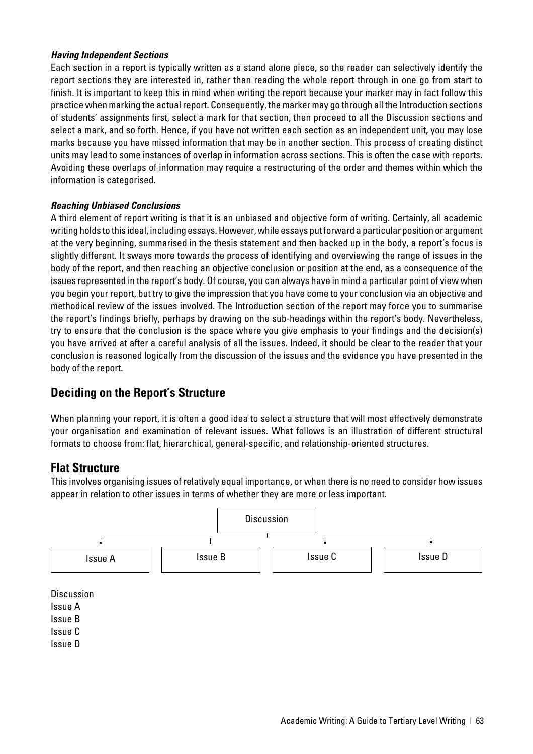## *Having Independent Sections*

Each section in a report is typically written as a stand alone piece, so the reader can selectively identify the report sections they are interested in, rather than reading the whole report through in one go from start to finish. It is important to keep this in mind when writing the report because your marker may in fact follow this practice when marking the actual report. Consequently, the marker may go through all the Introduction sections of students' assignments first, select a mark for that section, then proceed to all the Discussion sections and select a mark, and so forth. Hence, if you have not written each section as an independent unit, you may lose marks because you have missed information that may be in another section. This process of creating distinct units may lead to some instances of overlap in information across sections. This is often the case with reports. Avoiding these overlaps of information may require a restructuring of the order and themes within which the information is categorised.

#### *Reaching Unbiased Conclusions*

A third element of report writing is that it is an unbiased and objective form of writing. Certainly, all academic writing holds to this ideal, including essays. However, while essays put forward a particular position or argument at the very beginning, summarised in the thesis statement and then backed up in the body, a report's focus is slightly different. It sways more towards the process of identifying and overviewing the range of issues in the body of the report, and then reaching an objective conclusion or position at the end, as a consequence of the issues represented in the report's body. Of course, you can always have in mind a particular point of view when you begin your report, but try to give the impression that you have come to your conclusion via an objective and methodical review of the issues involved. The Introduction section of the report may force you to summarise the report's findings briefly, perhaps by drawing on the sub-headings within the report's body. Nevertheless, try to ensure that the conclusion is the space where you give emphasis to your findings and the decision(s) you have arrived at after a careful analysis of all the issues. Indeed, it should be clear to the reader that your conclusion is reasoned logically from the discussion of the issues and the evidence you have presented in the body of the report.

## **Deciding on the Report's Structure**

When planning your report, it is often a good idea to select a structure that will most effectively demonstrate your organisation and examination of relevant issues. What follows is an illustration of different structural formats to choose from: flat, hierarchical, general-specific, and relationship-oriented structures.

## **Flat Structure**

This involves organising issues of relatively equal importance, or when there is no need to consider how issues appear in relation to other issues in terms of whether they are more or less important.

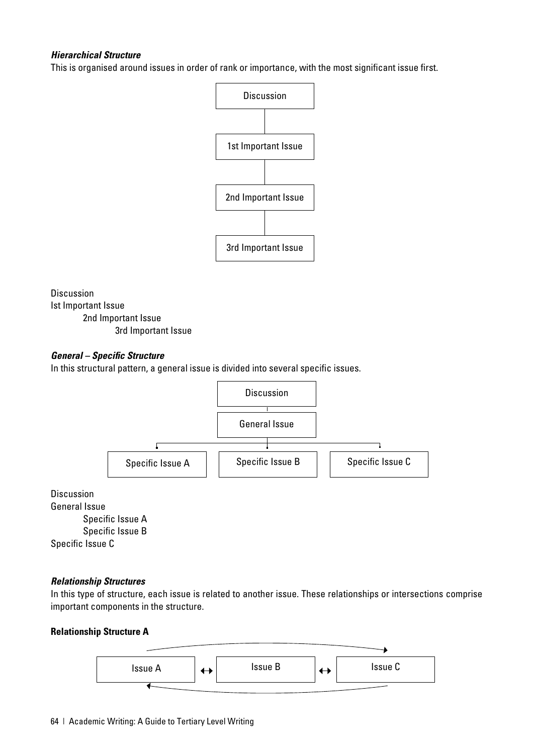#### *Hierarchical Structure*

This is organised around issues in order of rank or importance, with the most significant issue first.



Discussion Ist Important Issue 2nd Important Issue 3rd Important Issue

#### *General – Specific Structure*

In this structural pattern, a general issue is divided into several specific issues.



Discussion General Issue Specific Issue A Specific Issue B Specific Issue C

#### *Relationship Structures*

In this type of structure, each issue is related to another issue. These relationships or intersections comprise important components in the structure.

## **Relationship Structure A**

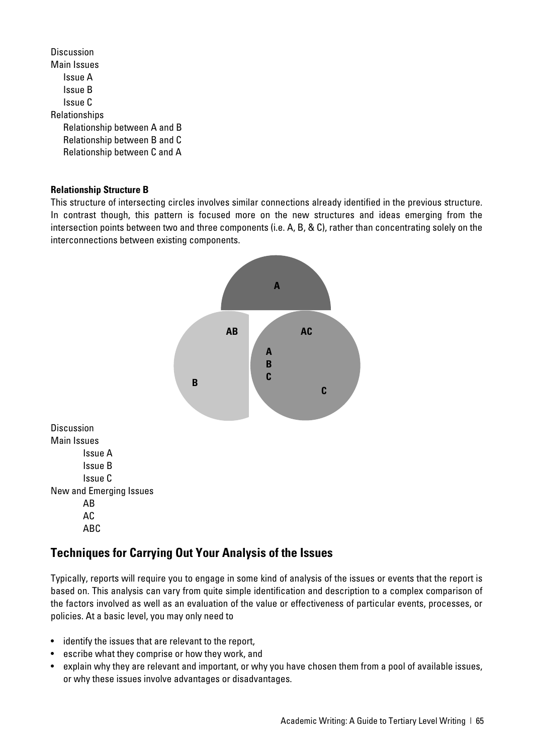Discussion Main Issues Issue A Issue B Issue C **Relationships**  Relationship between A and B Relationship between B and C Relationship between C and A

## **Relationship Structure B**

This structure of intersecting circles involves similar connections already identified in the previous structure. In contrast though, this pattern is focused more on the new structures and ideas emerging from the intersection points between two and three components (i.e. A, B, & C), rather than concentrating solely on the interconnections between existing components.



# **Techniques for Carrying Out Your Analysis of the Issues**

Typically, reports will require you to engage in some kind of analysis of the issues or events that the report is based on. This analysis can vary from quite simple identification and description to a complex comparison of the factors involved as well as an evaluation of the value or effectiveness of particular events, processes, or policies. At a basic level, you may only need to

- identify the issues that are relevant to the report,
- escribe what they comprise or how they work, and
- explain why they are relevant and important, or why you have chosen them from a pool of available issues, or why these issues involve advantages or disadvantages.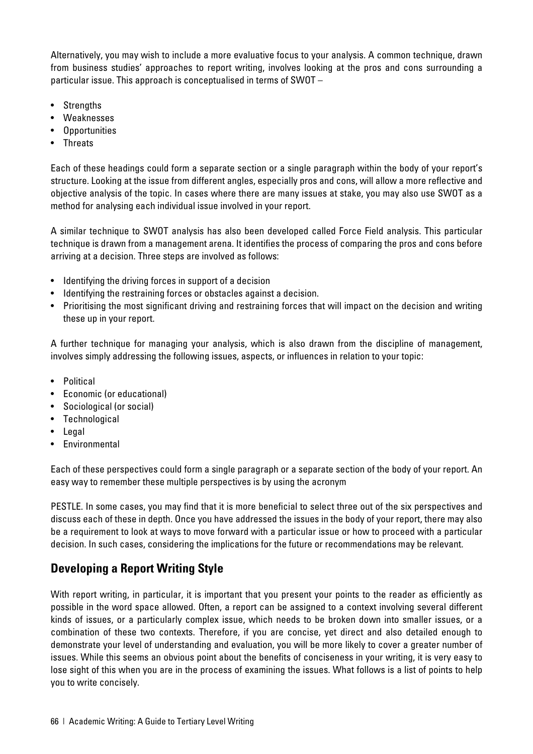Alternatively, you may wish to include a more evaluative focus to your analysis. A common technique, drawn from business studies' approaches to report writing, involves looking at the pros and cons surrounding a particular issue. This approach is conceptualised in terms of SWOT –

- Strengths
- Weaknesses
- Opportunities
- Threats

Each of these headings could form a separate section or a single paragraph within the body of your report's structure. Looking at the issue from different angles, especially pros and cons, will allow a more reflective and objective analysis of the topic. In cases where there are many issues at stake, you may also use SWOT as a method for analysing each individual issue involved in your report.

A similar technique to SWOT analysis has also been developed called Force Field analysis. This particular technique is drawn from a management arena. It identifies the process of comparing the pros and cons before arriving at a decision. Three steps are involved as follows:

- Identifying the driving forces in support of a decision
- Identifying the restraining forces or obstacles against a decision.
- Prioritising the most significant driving and restraining forces that will impact on the decision and writing these up in your report.

A further technique for managing your analysis, which is also drawn from the discipline of management, involves simply addressing the following issues, aspects, or influences in relation to your topic:

- Political
- Economic (or educational)
- Sociological (or social)
- Technological
- Legal
- Environmental

Each of these perspectives could form a single paragraph or a separate section of the body of your report. An easy way to remember these multiple perspectives is by using the acronym

PESTLE. In some cases, you may find that it is more beneficial to select three out of the six perspectives and discuss each of these in depth. Once you have addressed the issues in the body of your report, there may also be a requirement to look at ways to move forward with a particular issue or how to proceed with a particular decision. In such cases, considering the implications for the future or recommendations may be relevant.

# **Developing a Report Writing Style**

With report writing, in particular, it is important that you present your points to the reader as efficiently as possible in the word space allowed. Often, a report can be assigned to a context involving several different kinds of issues, or a particularly complex issue, which needs to be broken down into smaller issues, or a combination of these two contexts. Therefore, if you are concise, yet direct and also detailed enough to demonstrate your level of understanding and evaluation, you will be more likely to cover a greater number of issues. While this seems an obvious point about the benefits of conciseness in your writing, it is very easy to lose sight of this when you are in the process of examining the issues. What follows is a list of points to help you to write concisely.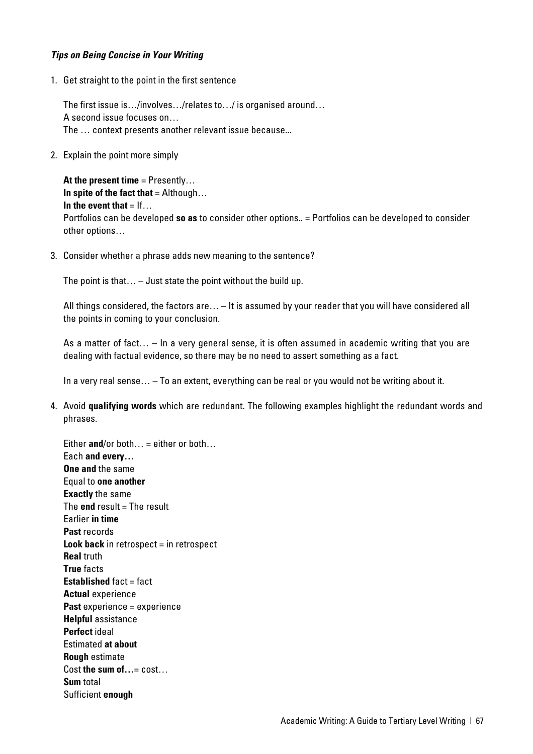#### *Tips on Being Concise in Your Writing*

1. Get straight to the point in the first sentence

The first issue is…/involves…/relates to…/ is organised around… A second issue focuses on… The … context presents another relevant issue because...

2. Explain the point more simply

**At the present time** = Presently... **In spite of the fact that** = Although... **In the event that** = If... Portfolios can be developed **so as** to consider other options.. = Portfolios can be developed to consider other options…

3. Consider whether a phrase adds new meaning to the sentence?

The point is that… – Just state the point without the build up.

All things considered, the factors are… – It is assumed by your reader that you will have considered all the points in coming to your conclusion.

As a matter of fact… – In a very general sense, it is often assumed in academic writing that you are dealing with factual evidence, so there may be no need to assert something as a fact.

In a very real sense… – To an extent, everything can be real or you would not be writing about it.

4. Avoid **qualifying words** which are redundant. The following examples highlight the redundant words and phrases.

Either **and**/or both… = either or both… Each **and every… One and** the same Equal to **one another Exactly** the same The **end** result = The result Earlier **in time Past** records **Look back** in retrospect = in retrospect **Real** truth **True** facts **Established** fact = fact **Actual** experience **Past** experience = experience **Helpful** assistance **Perfect** ideal Estimated **at about Rough** estimate Cost **the sum of…**= cost… **Sum** total Sufficient **enough**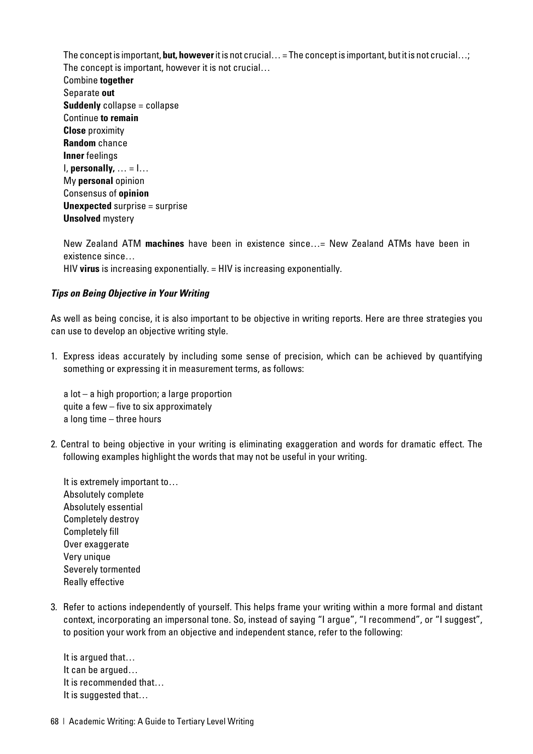The concept is important, **but, however** it is not crucial… = The concept is important, but it is not crucial…; The concept is important, however it is not crucial… Combine **together** Separate **out Suddenly** collapse = collapse Continue **to remain Close** proximity **Random** chance **Inner** feelings  $I$ , **personally**,  $\ldots = I \ldots$ My **personal** opinion Consensus of **opinion Unexpected** surprise = surprise **Unsolved** mystery

New Zealand ATM **machines** have been in existence since…= New Zealand ATMs have been in existence since… HIV **virus** is increasing exponentially. = HIV is increasing exponentially.

#### *Tips on Being Objective in Your Writing*

As well as being concise, it is also important to be objective in writing reports. Here are three strategies you can use to develop an objective writing style.

1. Express ideas accurately by including some sense of precision, which can be achieved by quantifying something or expressing it in measurement terms, as follows:

a lot – a high proportion; a large proportion quite a few  $-$  five to six approximately a long time – three hours

- 2. Central to being objective in your writing is eliminating exaggeration and words for dramatic effect. The following examples highlight the words that may not be useful in your writing.
	- It is extremely important to… Absolutely complete Absolutely essential Completely destroy Completely fill Over exaggerate Very unique Severely tormented Really effective
- 3. Refer to actions independently of yourself. This helps frame your writing within a more formal and distant context, incorporating an impersonal tone. So, instead of saying "I argue", "I recommend", or "I suggest", to position your work from an objective and independent stance, refer to the following:

It is argued that… It can be argued… It is recommended that… It is suggested that…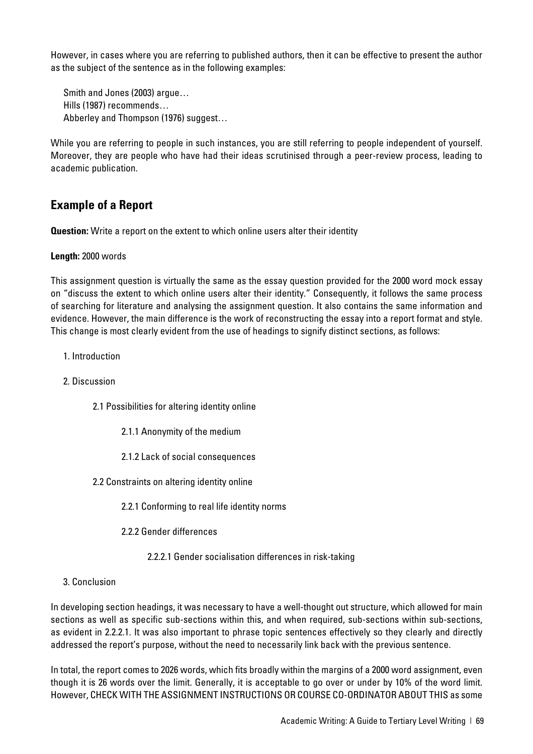However, in cases where you are referring to published authors, then it can be effective to present the author as the subject of the sentence as in the following examples:

Smith and Jones (2003) argue… Hills (1987) recommends… Abberley and Thompson (1976) suggest…

While you are referring to people in such instances, you are still referring to people independent of yourself. Moreover, they are people who have had their ideas scrutinised through a peer-review process, leading to academic publication.

# **Example of a Report**

**Question:** Write a report on the extent to which online users alter their identity

## **Length:** 2000 words

This assignment question is virtually the same as the essay question provided for the 2000 word mock essay on "discuss the extent to which online users alter their identity." Consequently, it follows the same process of searching for literature and analysing the assignment question. It also contains the same information and evidence. However, the main difference is the work of reconstructing the essay into a report format and style. This change is most clearly evident from the use of headings to signify distinct sections, as follows:

- 1. Introduction
- 2. Discussion
	- 2.1 Possibilities for altering identity online
		- 2.1.1 Anonymity of the medium
		- 2.1.2 Lack of social consequences
	- 2.2 Constraints on altering identity online
		- 2.2.1 Conforming to real life identity norms
		- 2.2.2 Gender differences
			- 2.2.2.1 Gender socialisation differences in risk-taking
- 3. Conclusion

In developing section headings, it was necessary to have a well-thought out structure, which allowed for main sections as well as specific sub-sections within this, and when required, sub-sections within sub-sections, as evident in 2.2.2.1. It was also important to phrase topic sentences effectively so they clearly and directly addressed the report's purpose, without the need to necessarily link back with the previous sentence.

In total, the report comes to 2026 words, which fits broadly within the margins of a 2000 word assignment, even though it is 26 words over the limit. Generally, it is acceptable to go over or under by 10% of the word limit. However, CHECK WITH THE ASSIGNMENT INSTRUCTIONS OR COURSE CO-ORDINATOR ABOUT THIS as some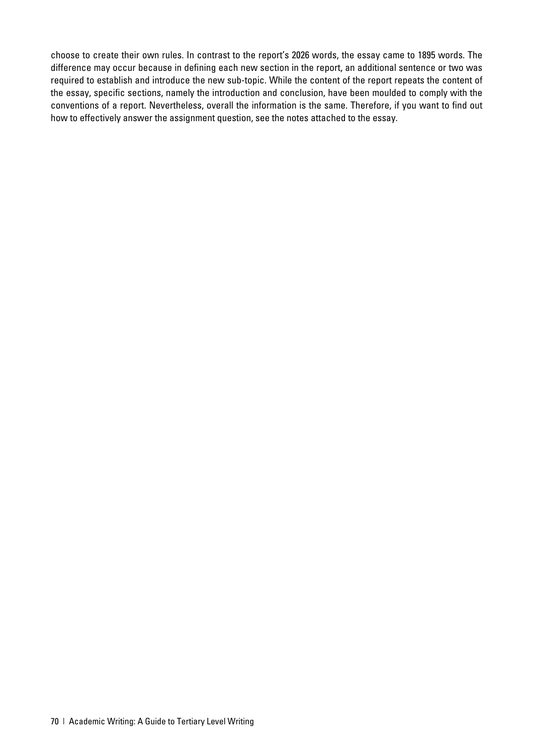choose to create their own rules. In contrast to the report's 2026 words, the essay came to 1895 words. The difference may occur because in defining each new section in the report, an additional sentence or two was required to establish and introduce the new sub-topic. While the content of the report repeats the content of the essay, specific sections, namely the introduction and conclusion, have been moulded to comply with the conventions of a report. Nevertheless, overall the information is the same. Therefore, if you want to find out how to effectively answer the assignment question, see the notes attached to the essay.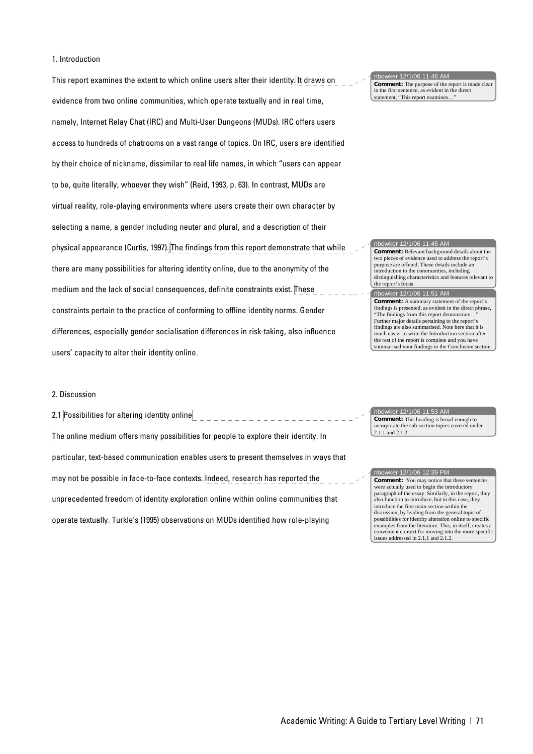#### 1. Introduction

This report examines the extent to which online users alter their identity. It draws on evidence from two online communities, which operate textually and in real time, namely, Internet Relay Chat (IRC) and Multi-User Dungeons (MUDs). IRC offers users access to hundreds of chatrooms on a vast range of topics. On IRC, users are identified by their choice of nickname, dissimilar to real life names, in which "users can appear to be, quite literally, whoever they wish" (Reid, 1993, p. 63). In contrast, MUDs are virtual reality, role-playing environments where users create their own character by selecting a name, a gender including neuter and plural, and a description of their physical appearance (Curtis, 1997). The findings from this report demonstrate that while there are many possibilities for altering identity online, due to the anonymity of the medium and the lack of social consequences, definite constraints exist. These constraints pertain to the practice of conforming to offline identity norms. Gender differences, especially gender socialisation differences in risk-taking, also influence users' capacity to alter their identity online.

#### 2. Discussion

2.1 Possibilities for altering identity online The online medium offers many possibilities for people to explore their identity. In particular, text-based communication enables users to present themselves in ways that may not be possible in face-to-face contexts. Indeed, research has reported the unprecedented freedom of identity exploration online within online communities that operate textually. Turkle's (1995) observations on MUDs identified how role-playing

nbowker 12/1/06 11:46 AM **Comment:** The purpose of the report is made clear in the first sentence, as evident in the direct statement, "This report examines..

#### nbowker 12/1/06 11:45 AM

nbowker 12/1/06 11:51 AM **Comment:** Relevant background details about the two pieces of evidence used to address the report's purpose are offered. These details include an introduction to the communities, including distinguishing characteristics and features relevant to the report's focus. **Comment:** A summary statement of the report's findings is presented, as evident in the direct phrase, "The findings from this report demonstrate…".

Further major details pertaining to the report' findings are also summarised. Note here that it is much easier to write the Introduction section after the rest of the report is complete and you have summarised your findings in the Conclusion see

#### nbowker 12/1/06 11:53 AM

**Comment:** This heading is broad enough to incorporate the sub-section topics covered under  $2.1.1$  and 2.1.2

#### nbowker 12/1/06 12:39 PM

Comment: You may notice that these sentence were actually used to begin the introductory paragraph of the essay. Similarly, in the report, they also function to introduce, but in this case, they introduce the first main section within the discussion, by leading from the general topic of possibilities for identity alteration online to specific examples from the literature. This, in itself, creates a convenient context for moving into the more specific issues addressed in 2.1.1 and 2.1.2.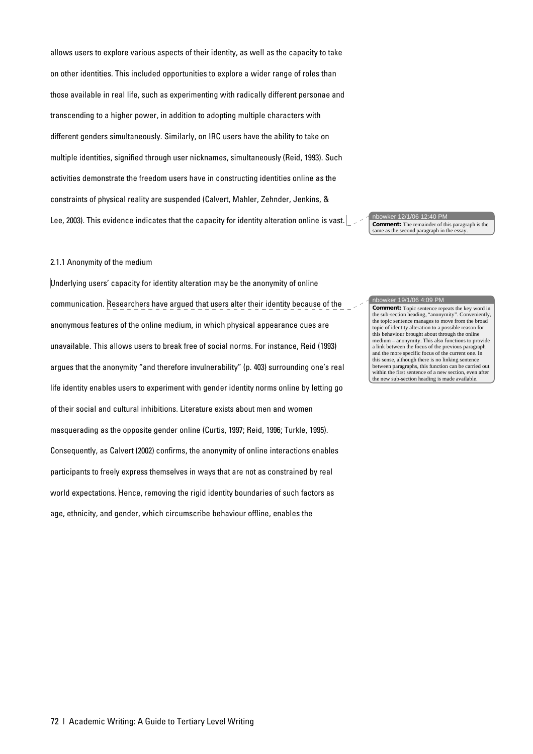allows users to explore various aspects of their identity, as well as the capacity to take on other identities. This included opportunities to explore a wider range of roles than those available in real life, such as experimenting with radically different personae and transcending to a higher power, in addition to adopting multiple characters with different genders simultaneously. Similarly, on IRC users have the ability to take on multiple identities, signified through user nicknames, simultaneously (Reid, 1993). Such activities demonstrate the freedom users have in constructing identities online as the constraints of physical reality are suspended (Calvert, Mahler, Zehnder, Jenkins, & Lee, 2003). This evidence indicates that the capacity for identity alteration online is vast.

nbowker 12/1/06 12:40 PM **Comment:** The remainder of this paragraph is the same as the second paragraph in the essay.

#### 2.1.1 Anonymity of the medium

Underlying users' capacity for identity alteration may be the anonymity of online communication. Researchers have argued that users alter their identity because of the anonymous features of the online medium, in which physical appearance cues are unavailable. This allows users to break free of social norms. For instance, Reid (1993) argues that the anonymity "and therefore invulnerability" (p. 403) surrounding one's real life identity enables users to experiment with gender identity norms online by letting go of their social and cultural inhibitions. Literature exists about men and women masquerading as the opposite gender online (Curtis, 1997; Reid, 1996; Turkle, 1995). Consequently, as Calvert (2002) confirms, the anonymity of online interactions enables participants to freely express themselves in ways that are not as constrained by real world expectations. Hence, removing the rigid identity boundaries of such factors as age, ethnicity, and gender, which circumscribe behaviour offline, enables the

#### nbowker 19/1/06 4:09 PM

**Comment:** Topic sentence repeats the key word in the sub-section heading, "anonymity". Conveniently, the topic sentence manages to move from the broad topic of identity alteration to a possible reason for this behaviour brought about through the online medium – anonymity. This also functions to provide a link between the focus of the previous paragraph and the more specific focus of the current one. In this sense, although there is no linking sentence between paragraphs, this function can be carried out within the first sentence of a new section, even after the new sub-section heading is made available.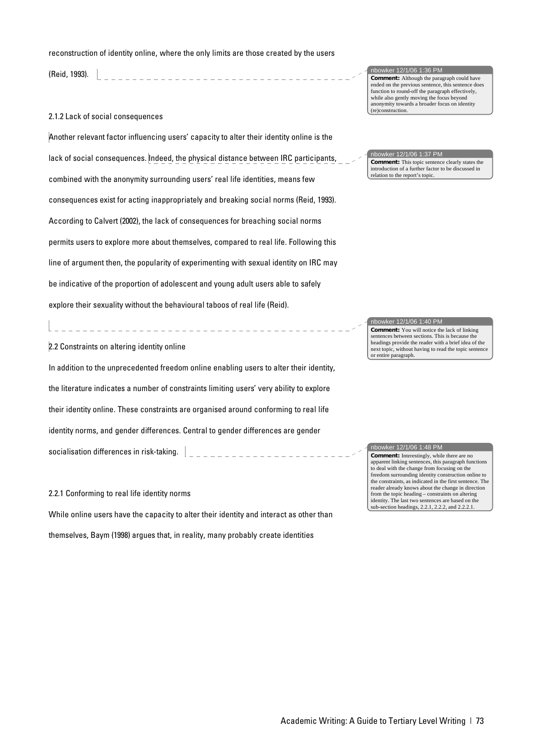#### reconstruction of identity online, where the only limits are those created by the users

(Reid, 1993).

#### 2.1.2 Lack of social consequences

Another relevant factor influencing users' capacity to alter their identity online is the lack of social consequences. Indeed, the physical distance between IRC participants, combined with the anonymity surrounding users' real life identities, means few consequences exist for acting inappropriately and breaking social norms (Reid, 1993). According to Calvert (2002), the lack of consequences for breaching social norms permits users to explore more about themselves, compared to real life. Following this line of argument then, the popularity of experimenting with sexual identity on IRC may be indicative of the proportion of adolescent and young adult users able to safely explore their sexuality without the behavioural taboos of real life (Reid).

2.2 Constraints on altering identity online

In addition to the unprecedented freedom online enabling users to alter their identity, the literature indicates a number of constraints limiting users' very ability to explore their identity online. These constraints are organised around conforming to real life identity norms, and gender differences. Central to gender differences are gender socialisation differences in risk-taking.

#### 2.2.1 Conforming to real life identity norms

While online users have the capacity to alter their identity and interact as other than themselves, Baym (1998) argues that, in reality, many probably create identities

nbowker 12/1/06 1:36 PM

**Comment:** Although the paragraph could have ended on the previous sente function to round-off the paragraph effectively, while also gently moving the focus beyond anonymity towards a broader focus on identity (re)construction.

nbowker 12/1/06 1:37 PM **Comment:** This topic sentence clearly states the introduction of a further factor to be discussed in relation to the report's topic.

nbowker 12/1/06 1:40 PM **Comment:** You will notice the lack of linking sentences between sections. This is because headings provide the reader with a brief idea of the next topic, without having to read the topic sentence or entire paragraph.

#### nbowker 12/1/06 1:48 PM

**Comment:** Interestingly, while there are no apparent linking sentences, this paragraph functions to deal with the change from focusing on the freedom surrounding identity construction online to the constraints, as indicated in the first sentence. The reader already knows about the change in direction from the topic heading – constraints on altering identity. The last two sentences are based on the sub-section headings, 2.2.1, 2.2.2, and 2.2.2.1.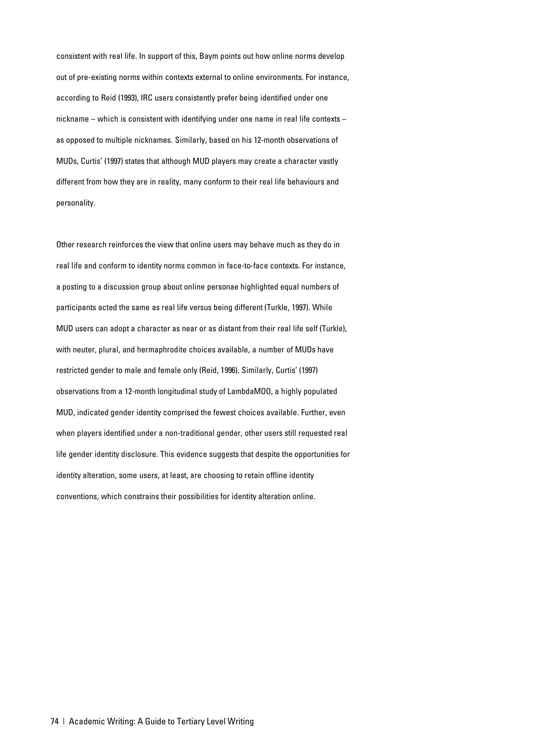consistent with real life. In support of this, Baym points out how online norms develop out of pre-existing norms within contexts external to online environments. For instance, according to Reid (1993), IRC users consistently prefer being identified under one nickname – which is consistent with identifying under one name in real life contexts – as opposed to multiple nicknames. Similarly, based on his 12-month observations of MUDs, Curtis' (1997) states that although MUD players may create a character vastly different from how they are in reality, many conform to their real life behaviours and personality.

Other research reinforces the view that online users may behave much as they do in real life and conform to identity norms common in face-to-face contexts. For instance, a posting to a discussion group about online personae highlighted equal numbers of participants acted the same as real life versus being different (Turkle, 1997). While MUD users can adopt a character as near or as distant from their real life self (Turkle), with neuter, plural, and hermaphrodite choices available, a number of MUDs have restricted gender to male and female only (Reid, 1996). Similarly, Curtis' (1997) observations from a 12-month longitudinal study of LambdaMOO, a highly populated MUD, indicated gender identity comprised the fewest choices available. Further, even when players identified under a non-traditional gender, other users still requested real life gender identity disclosure. This evidence suggests that despite the opportunities for identity alteration, some users, at least, are choosing to retain offline identity conventions, which constrains their possibilities for identity alteration online.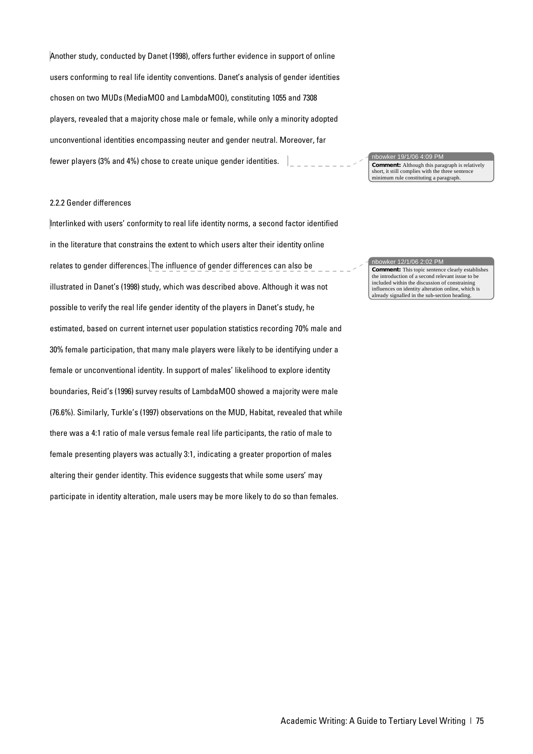Another study, conducted by Danet (1998), offers further evidence in support of online users conforming to real life identity conventions. Danet's analysis of gender identities chosen on two MUDs (MediaMOO and LambdaMOO), constituting 1055 and 7308 players, revealed that a majority chose male or female, while only a minority adopted unconventional identities encompassing neuter and gender neutral. Moreover, far fewer players (3% and 4%) chose to create unique gender identities.

#### nbowker 19/1/06 4:09 PM **Comment:** Although this paragraph is relatively short, it still complies with the three sentence minimum rule constituting a paragraph.

#### 2.2.2 Gender differences

Interlinked with users' conformity to real life identity norms, a second factor identified in the literature that constrains the extent to which users alter their identity online relates to gender differences. The influence of gender differences can also be illustrated in Danet's (1998) study, which was described above. Although it was not possible to verify the real life gender identity of the players in Danet's study, he estimated, based on current internet user population statistics recording 70% male and 30% female participation, that many male players were likely to be identifying under a female or unconventional identity. In support of males' likelihood to explore identity boundaries, Reid's (1996) survey results of LambdaMOO showed a majority were male (76.6%). Similarly, Turkle's (1997) observations on the MUD, Habitat, revealed that while there was a 4:1 ratio of male versus female real life participants, the ratio of male to female presenting players was actually 3:1, indicating a greater proportion of males altering their gender identity. This evidence suggests that while some users' may participate in identity alteration, male users may be more likely to do so than females.

nbowker 12/1/06 2:02 PM

**Comment:** This topic sentence clearly establishes the introduction of a second relevant issue to be included within the discussion of constraining influences on identity alteration online, which is already signalled in the sub-section heading.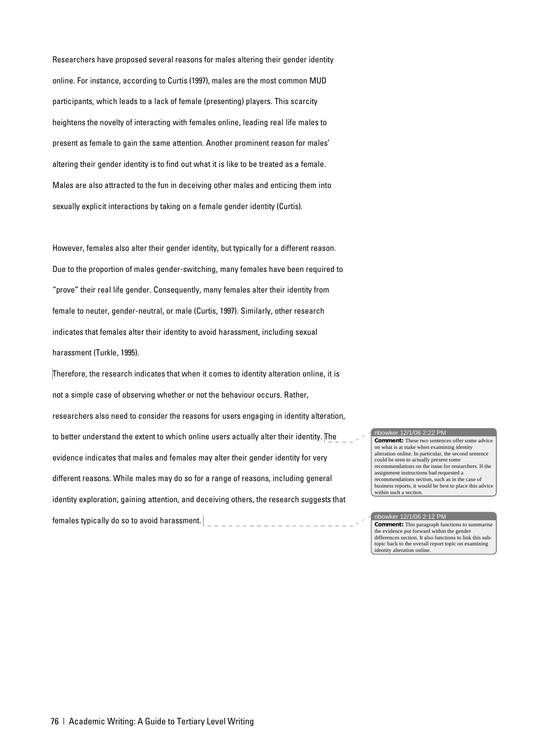Researchers have proposed several reasons for males altering their gender identity online. For instance, according to Curtis (1997), males are the most common MUD participants, which leads to a lack of female (presenting) players. This scarcity heightens the novelty of interacting with females online, leading real life males to present as female to gain the same attention. Another prominent reason for males' altering their gender identity is to find out what it is like to be treated as a female. Males are also attracted to the fun in deceiving other males and enticing them into sexually explicit interactions by taking on a female gender identity (Curtis).

However, females also alter their gender identity, but typically for a different reason. Due to the proportion of males gender-switching, many females have been required to "prove" their real life gender. Consequently, many females alter their identity from female to neuter, gender-neutral, or male (Curtis, 1997). Similarly, other research indicates that females alter their identity to avoid harassment, including sexual harassment (Turkle, 1995).

Therefore, the research indicates that when it comes to identity alteration online, it is not a simple case of observing whether or not the behaviour occurs. Rather, researchers also need to consider the reasons for users engaging in identity alteration, to better understand the extent to which online users actually alter their identity. The evidence indicates that males and females may alter their gender identity for very different reasons. While males may do so for a range of reasons, including general identity exploration, gaining attention, and deceiving others, the research suggests that females typically do so to avoid harassment.

#### nbowker 12/1/06 2:22 PM

**Comment:** These two sentences offer some advice on what is at stake when examining identity alteration online. In particular, the second sentence could be seen to actually present some recommendations on the issue for researchers. If the assignment instructions had requested a recommendations section, such as in the case of business reports, it would be best to place this advice within such a section.

#### nbowker 12/1/06 2:12 PM

**Comment:** This paragraph functions to summarise the evidence put forward within the gender differences section. It also functions to link this subtopic back to the overall report topic on examining identity alteration online.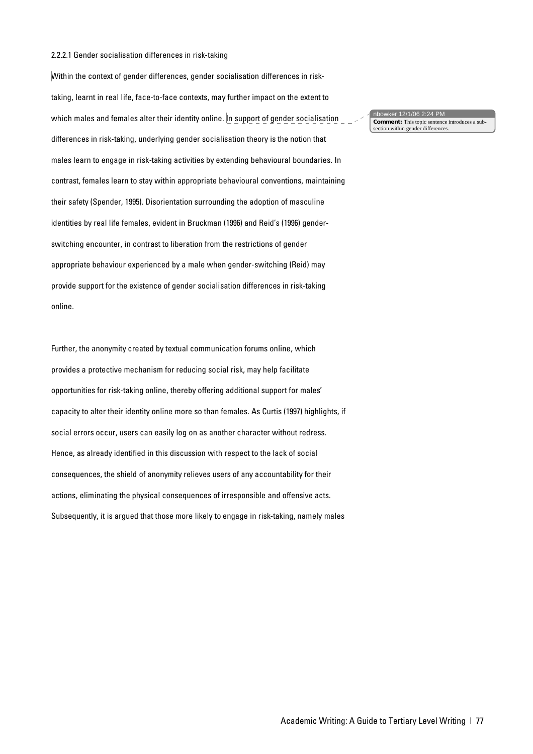#### 2.2.2.1 Gender socialisation differences in risk-taking

Within the context of gender differences, gender socialisation differences in risktaking, learnt in real life, face-to-face contexts, may further impact on the extent to which males and females alter their identity online. In support of gender socialisation differences in risk-taking, underlying gender socialisation theory is the notion that males learn to engage in risk-taking activities by extending behavioural boundaries. In contrast, females learn to stay within appropriate behavioural conventions, maintaining their safety (Spender, 1995). Disorientation surrounding the adoption of masculine identities by real life females, evident in Bruckman (1996) and Reid's (1996) genderswitching encounter, in contrast to liberation from the restrictions of gender appropriate behaviour experienced by a male when gender-switching (Reid) may provide support for the existence of gender socialisation differences in risk-taking online.

Further, the anonymity created by textual communication forums online, which provides a protective mechanism for reducing social risk, may help facilitate opportunities for risk-taking online, thereby offering additional support for males' capacity to alter their identity online more so than females. As Curtis (1997) highlights, if social errors occur, users can easily log on as another character without redress. Hence, as already identified in this discussion with respect to the lack of social consequences, the shield of anonymity relieves users of any accountability for their actions, eliminating the physical consequences of irresponsible and offensive acts. Subsequently, it is argued that those more likely to engage in risk-taking, namely males

nbowker 12/1/06 2:24 PM **Comment:** This topic sentence introduces a subsection within gender differences.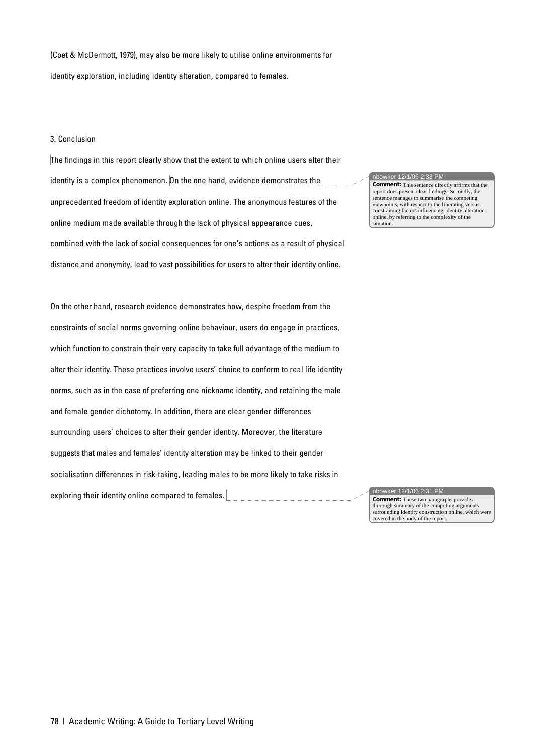(Coet & McDermott, 1979), may also be more likely to utilise online environments for identity exploration, including identity alteration, compared to females.

#### 3. Conclusion

The findings in this report clearly show that the extent to which online users alter their identity is a complex phenomenon. On the one hand, evidence demonstrates the unprecedented freedom of identity exploration online. The anonymous features of the online medium made available through the lack of physical appearance cues, combined with the lack of social consequences for one's actions as a result of physical distance and anonymity, lead to vast possibilities for users to alter their identity online.

On the other hand, research evidence demonstrates how, despite freedom from the constraints of social norms governing online behaviour, users do engage in practices, which function to constrain their very capacity to take full advantage of the medium to alter their identity. These practices involve users' choice to conform to real life identity norms, such as in the case of preferring one nickname identity, and retaining the male and female gender dichotomy. In addition, there are clear gender differences surrounding users' choices to alter their gender identity. Moreover, the literature suggests that males and females' identity alteration may be linked to their gender socialisation differences in risk-taking, leading males to be more likely to take risks in exploring their identity online compared to females.

nbowker 12/1/06 2:33 PM

**Comment:** This sentence directly affirms that the report does present clear findings. Secondly, the sentence manages to summarise the competing viewpoints, with respect to the liberating versus constraining factors influencing identity alteration online, by referring to the complexity of the situation.

nbowker 12/1/06 2:31 PM **Comment:** These two paragraphs provide a thorough summary of the competing arguments surrounding identity construction online, which were covered in the body of the report.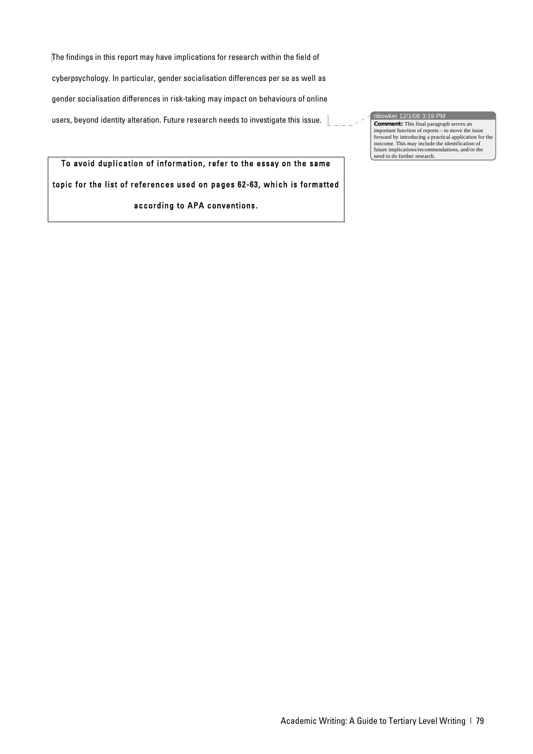The findings in this report may have implications for research within the field of cyberpsychology. In particular, gender socialisation differences per se as well as gender socialisation differences in risk-taking may impact on behaviours of online users, beyond identity alteration. Future research needs to investigate this issue.

To avoid duplication of information, refer to the essay on the same topic for the list of references used on pages 62-63, which is formatted according to APA conventions.

#### nbowker 12/1/06 3:19 PM

**Comment:** This final paragraph serves an important function of reports – to move the issue forward by introducing a practical application for the outcome. This may include the identification of future implications/recommendations, and/or the need to do further research.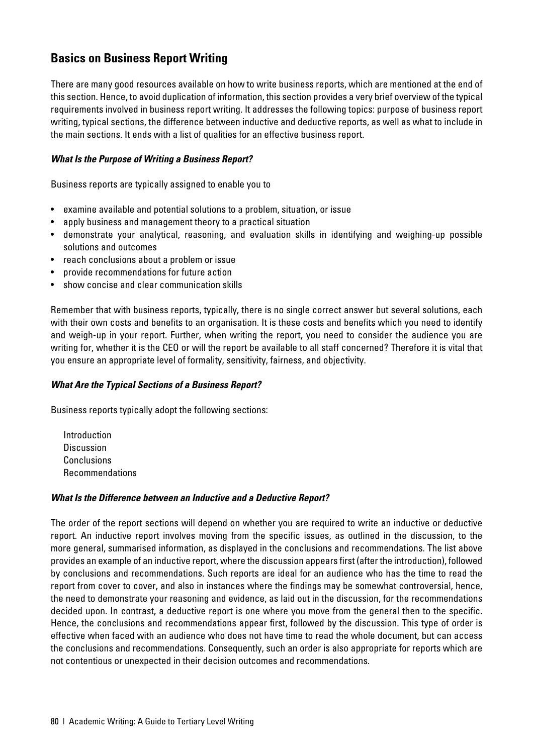# **Basics on Business Report Writing**

There are many good resources available on how to write business reports, which are mentioned at the end of this section. Hence, to avoid duplication of information, this section provides a very brief overview of the typical requirements involved in business report writing. It addresses the following topics: purpose of business report writing, typical sections, the difference between inductive and deductive reports, as well as what to include in the main sections. It ends with a list of qualities for an effective business report.

## *What Is the Purpose of Writing a Business Report?*

Business reports are typically assigned to enable you to

- examine available and potential solutions to a problem, situation, or issue
- apply business and management theory to a practical situation
- demonstrate your analytical, reasoning, and evaluation skills in identifying and weighing-up possible solutions and outcomes
- reach conclusions about a problem or issue
- provide recommendations for future action
- show concise and clear communication skills

Remember that with business reports, typically, there is no single correct answer but several solutions, each with their own costs and benefits to an organisation. It is these costs and benefits which you need to identify and weigh-up in your report. Further, when writing the report, you need to consider the audience you are writing for, whether it is the CEO or will the report be available to all staff concerned? Therefore it is vital that you ensure an appropriate level of formality, sensitivity, fairness, and objectivity.

## *What Are the Typical Sections of a Business Report?*

Business reports typically adopt the following sections:

Introduction **Discussion Conclusions** Recommendations

## *What Is the Difference between an Inductive and a Deductive Report?*

The order of the report sections will depend on whether you are required to write an inductive or deductive report. An inductive report involves moving from the specific issues, as outlined in the discussion, to the more general, summarised information, as displayed in the conclusions and recommendations. The list above provides an example of an inductive report, where the discussion appears first (after the introduction), followed by conclusions and recommendations. Such reports are ideal for an audience who has the time to read the report from cover to cover, and also in instances where the findings may be somewhat controversial, hence, the need to demonstrate your reasoning and evidence, as laid out in the discussion, for the recommendations decided upon. In contrast, a deductive report is one where you move from the general then to the specific. Hence, the conclusions and recommendations appear first, followed by the discussion. This type of order is effective when faced with an audience who does not have time to read the whole document, but can access the conclusions and recommendations. Consequently, such an order is also appropriate for reports which are not contentious or unexpected in their decision outcomes and recommendations.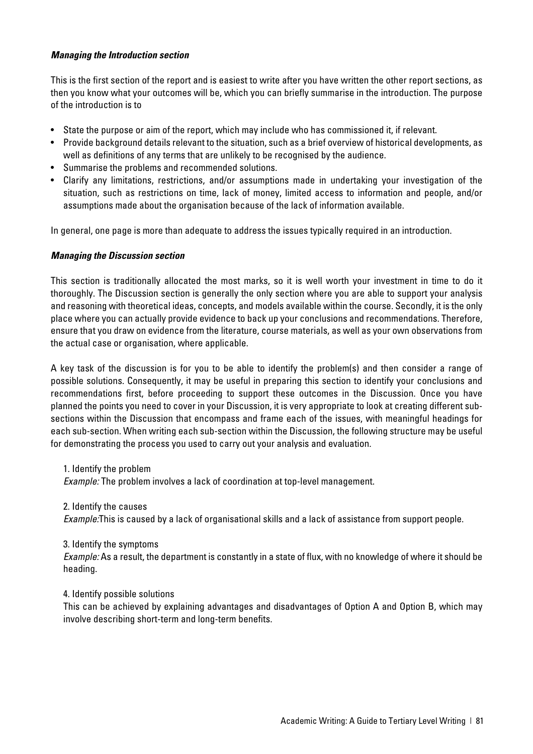#### *Managing the Introduction section*

This is the first section of the report and is easiest to write after you have written the other report sections, as then you know what your outcomes will be, which you can briefly summarise in the introduction. The purpose of the introduction is to

- State the purpose or aim of the report, which may include who has commissioned it, if relevant.
- Provide background details relevant to the situation, such as a brief overview of historical developments, as well as definitions of any terms that are unlikely to be recognised by the audience.
- Summarise the problems and recommended solutions.
- Clarify any limitations, restrictions, and/or assumptions made in undertaking your investigation of the situation, such as restrictions on time, lack of money, limited access to information and people, and/or assumptions made about the organisation because of the lack of information available.

In general, one page is more than adequate to address the issues typically required in an introduction.

#### *Managing the Discussion section*

This section is traditionally allocated the most marks, so it is well worth your investment in time to do it thoroughly. The Discussion section is generally the only section where you are able to support your analysis and reasoning with theoretical ideas, concepts, and models available within the course. Secondly, it is the only place where you can actually provide evidence to back up your conclusions and recommendations. Therefore, ensure that you draw on evidence from the literature, course materials, as well as your own observations from the actual case or organisation, where applicable.

A key task of the discussion is for you to be able to identify the problem(s) and then consider a range of possible solutions. Consequently, it may be useful in preparing this section to identify your conclusions and recommendations first, before proceeding to support these outcomes in the Discussion. Once you have planned the points you need to cover in your Discussion, it is very appropriate to look at creating different subsections within the Discussion that encompass and frame each of the issues, with meaningful headings for each sub-section. When writing each sub-section within the Discussion, the following structure may be useful for demonstrating the process you used to carry out your analysis and evaluation.

1. Identify the problem

Example: The problem involves a lack of coordination at top-level management.

2. Identify the causes

Example:This is caused by a lack of organisational skills and a lack of assistance from support people.

3. Identify the symptoms

Example: As a result, the department is constantly in a state of flux, with no knowledge of where it should be heading.

4. Identify possible solutions

 This can be achieved by explaining advantages and disadvantages of Option A and Option B, which may involve describing short-term and long-term benefits.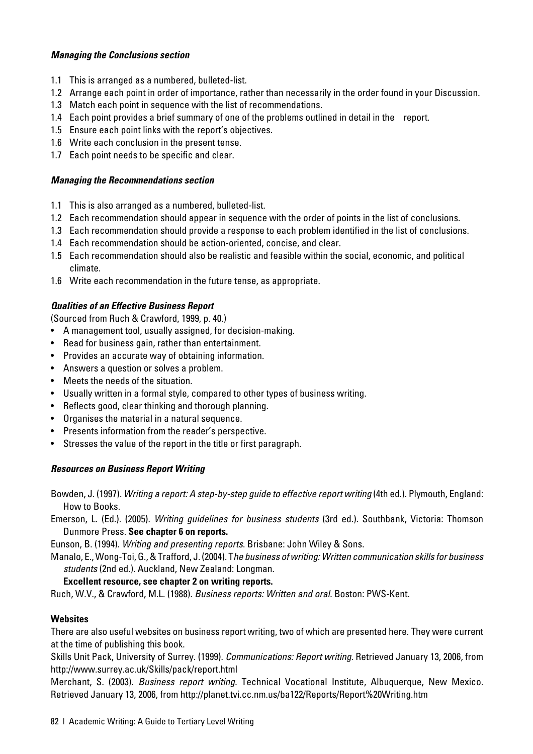## *Managing the Conclusions section*

- 1.1 This is arranged as a numbered, bulleted-list.
- 1.2 Arrange each point in order of importance, rather than necessarily in the order found in your Discussion.
- 1.3 Match each point in sequence with the list of recommendations.
- 1.4 Each point provides a brief summary of one of the problems outlined in detail in the report.
- 1.5 Ensure each point links with the report's objectives.
- 1.6 Write each conclusion in the present tense.
- 1.7 Each point needs to be specific and clear.

#### *Managing the Recommendations section*

- 1.1 This is also arranged as a numbered, bulleted-list.
- 1.2 Each recommendation should appear in sequence with the order of points in the list of conclusions.
- 1.3 Each recommendation should provide a response to each problem identified in the list of conclusions.
- 1.4 Each recommendation should be action-oriented, concise, and clear.
- 1.5 Each recommendation should also be realistic and feasible within the social, economic, and political climate.
- 1.6 Write each recommendation in the future tense, as appropriate.

## *Qualities of an Effective Business Report*

(Sourced from Ruch & Crawford, 1999, p. 40.)

- A management tool, usually assigned, for decision-making.
- Read for business gain, rather than entertainment.
- Provides an accurate way of obtaining information.
- Answers a question or solves a problem.
- Meets the needs of the situation.
- Usually written in a formal style, compared to other types of business writing.
- Reflects good, clear thinking and thorough planning.
- Organises the material in a natural sequence.
- Presents information from the reader's perspective.
- Stresses the value of the report in the title or first paragraph.

## *Resources on Business Report Writing*

Bowden, J. (1997). Writing a report: A step-by-step guide to effective report writing (4th ed.). Plymouth, England: How to Books.

Emerson, L. (Ed.). (2005). Writing guidelines for business students (3rd ed.). Southbank, Victoria: Thomson Dunmore Press. **See chapter 6 on reports.** 

Eunson, B. (1994). Writing and presenting reports. Brisbane: John Wiley & Sons.

Manalo, E., Wong-Toi, G., & Trafford, J. (2004). The business of writing: Written communication skills for business students (2nd ed.). Auckland, New Zealand: Longman.

**Excellent resource, see chapter 2 on writing reports.**

Ruch, W.V., & Crawford, M.L. (1988). Business reports: Written and oral. Boston: PWS-Kent.

## **Websites**

There are also useful websites on business report writing, two of which are presented here. They were current at the time of publishing this book.

Skills Unit Pack, University of Surrey. (1999). Communications: Report writing. Retrieved January 13, 2006, from http://www.surrey.ac.uk/Skills/pack/report.html

Merchant, S. (2003). Business report writing. Technical Vocational Institute, Albuquerque, New Mexico. Retrieved January 13, 2006, from http://planet.tvi.cc.nm.us/ba122/Reports/Report%20Writing.htm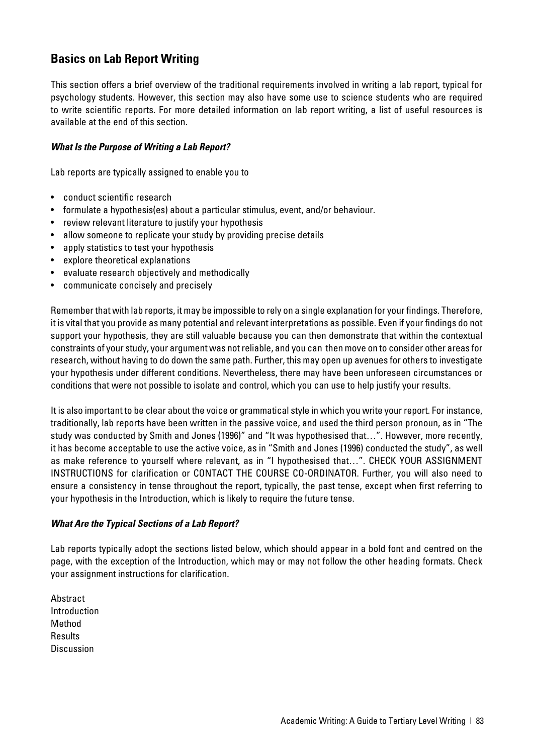# **Basics on Lab Report Writing**

This section offers a brief overview of the traditional requirements involved in writing a lab report, typical for psychology students. However, this section may also have some use to science students who are required to write scientific reports. For more detailed information on lab report writing, a list of useful resources is available at the end of this section.

#### *What Is the Purpose of Writing a Lab Report?*

Lab reports are typically assigned to enable you to

- conduct scientific research
- formulate a hypothesis(es) about a particular stimulus, event, and/or behaviour.
- review relevant literature to justify your hypothesis
- allow someone to replicate your study by providing precise details
- apply statistics to test your hypothesis
- explore theoretical explanations
- evaluate research objectively and methodically
- communicate concisely and precisely

Remember that with lab reports, it may be impossible to rely on a single explanation for your findings. Therefore, it is vital that you provide as many potential and relevant interpretations as possible. Even if your findings do not support your hypothesis, they are still valuable because you can then demonstrate that within the contextual constraints of your study, your argument was not reliable, and you can then move on to consider other areas for research, without having to do down the same path. Further, this may open up avenues for others to investigate your hypothesis under different conditions. Nevertheless, there may have been unforeseen circumstances or conditions that were not possible to isolate and control, which you can use to help justify your results.

It is also important to be clear about the voice or grammatical style in which you write your report. For instance, traditionally, lab reports have been written in the passive voice, and used the third person pronoun, as in "The study was conducted by Smith and Jones (1996)" and "It was hypothesised that…". However, more recently, it has become acceptable to use the active voice, as in "Smith and Jones (1996) conducted the study", as well as make reference to yourself where relevant, as in "I hypothesised that…". CHECK YOUR ASSIGNMENT INSTRUCTIONS for clarification or CONTACT THE COURSE CO-ORDINATOR. Further, you will also need to ensure a consistency in tense throughout the report, typically, the past tense, except when first referring to your hypothesis in the Introduction, which is likely to require the future tense.

#### *What Are the Typical Sections of a Lab Report?*

Lab reports typically adopt the sections listed below, which should appear in a bold font and centred on the page, with the exception of the Introduction, which may or may not follow the other heading formats. Check your assignment instructions for clarification.

**Abstract** Introduction Method **Results** Discussion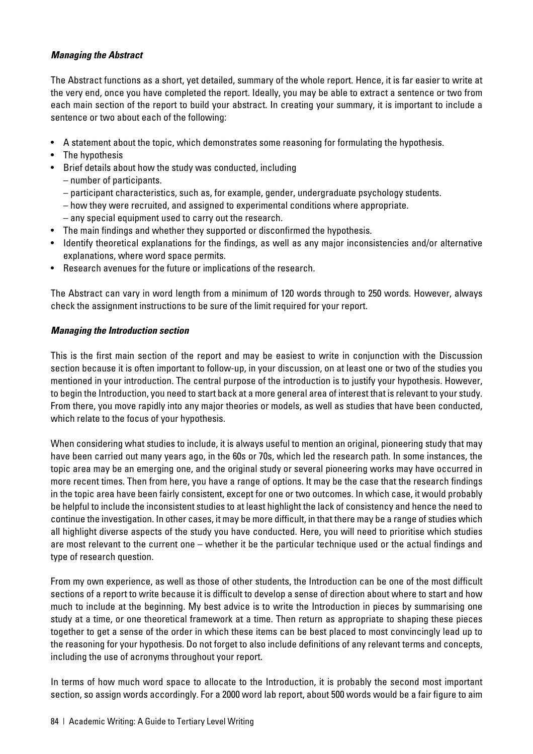## *Managing the Abstract*

The Abstract functions as a short, yet detailed, summary of the whole report. Hence, it is far easier to write at the very end, once you have completed the report. Ideally, you may be able to extract a sentence or two from each main section of the report to build your abstract. In creating your summary, it is important to include a sentence or two about each of the following:

- A statement about the topic, which demonstrates some reasoning for formulating the hypothesis.
- The hypothesis
- Brief details about how the study was conducted, including
	- number of participants.
	- participant characteristics, such as, for example, gender, undergraduate psychology students.
	- how they were recruited, and assigned to experimental conditions where appropriate.
	- any special equipment used to carry out the research.
- The main findings and whether they supported or disconfirmed the hypothesis.
- Identify theoretical explanations for the findings, as well as any major inconsistencies and/or alternative explanations, where word space permits.
- Research avenues for the future or implications of the research.

The Abstract can vary in word length from a minimum of 120 words through to 250 words. However, always check the assignment instructions to be sure of the limit required for your report.

## *Managing the Introduction section*

This is the first main section of the report and may be easiest to write in conjunction with the Discussion section because it is often important to follow-up, in your discussion, on at least one or two of the studies you mentioned in your introduction. The central purpose of the introduction is to justify your hypothesis. However, to begin the Introduction, you need to start back at a more general area of interest that is relevant to your study. From there, you move rapidly into any major theories or models, as well as studies that have been conducted, which relate to the focus of your hypothesis.

When considering what studies to include, it is always useful to mention an original, pioneering study that may have been carried out many years ago, in the 60s or 70s, which led the research path. In some instances, the topic area may be an emerging one, and the original study or several pioneering works may have occurred in more recent times. Then from here, you have a range of options. It may be the case that the research findings in the topic area have been fairly consistent, except for one or two outcomes. In which case, it would probably be helpful to include the inconsistent studies to at least highlight the lack of consistency and hence the need to continue the investigation. In other cases, it may be more difficult, in that there may be a range of studies which all highlight diverse aspects of the study you have conducted. Here, you will need to prioritise which studies are most relevant to the current one – whether it be the particular technique used or the actual findings and type of research question.

From my own experience, as well as those of other students, the Introduction can be one of the most difficult sections of a report to write because it is difficult to develop a sense of direction about where to start and how much to include at the beginning. My best advice is to write the Introduction in pieces by summarising one study at a time, or one theoretical framework at a time. Then return as appropriate to shaping these pieces together to get a sense of the order in which these items can be best placed to most convincingly lead up to the reasoning for your hypothesis. Do not forget to also include definitions of any relevant terms and concepts, including the use of acronyms throughout your report.

In terms of how much word space to allocate to the Introduction, it is probably the second most important section, so assign words accordingly. For a 2000 word lab report, about 500 words would be a fair figure to aim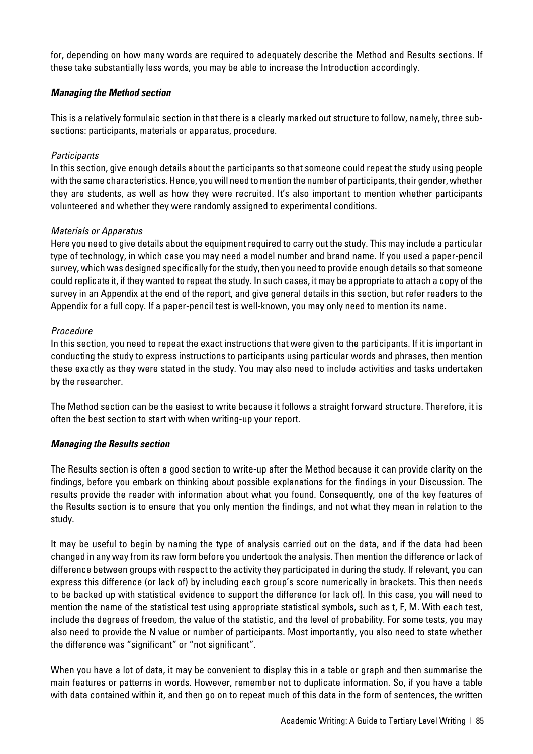for, depending on how many words are required to adequately describe the Method and Results sections. If these take substantially less words, you may be able to increase the Introduction accordingly.

## *Managing the Method section*

This is a relatively formulaic section in that there is a clearly marked out structure to follow, namely, three subsections: participants, materials or apparatus, procedure.

#### **Participants**

In this section, give enough details about the participants so that someone could repeat the study using people with the same characteristics. Hence, you will need to mention the number of participants, their gender, whether they are students, as well as how they were recruited. It's also important to mention whether participants volunteered and whether they were randomly assigned to experimental conditions.

#### Materials or Apparatus

Here you need to give details about the equipment required to carry out the study. This may include a particular type of technology, in which case you may need a model number and brand name. If you used a paper-pencil survey, which was designed specifically for the study, then you need to provide enough details so that someone could replicate it, if they wanted to repeat the study. In such cases, it may be appropriate to attach a copy of the survey in an Appendix at the end of the report, and give general details in this section, but refer readers to the Appendix for a full copy. If a paper-pencil test is well-known, you may only need to mention its name.

#### Procedure

In this section, you need to repeat the exact instructions that were given to the participants. If it is important in conducting the study to express instructions to participants using particular words and phrases, then mention these exactly as they were stated in the study. You may also need to include activities and tasks undertaken by the researcher.

The Method section can be the easiest to write because it follows a straight forward structure. Therefore, it is often the best section to start with when writing-up your report.

#### *Managing the Results section*

The Results section is often a good section to write-up after the Method because it can provide clarity on the findings, before you embark on thinking about possible explanations for the findings in your Discussion. The results provide the reader with information about what you found. Consequently, one of the key features of the Results section is to ensure that you only mention the findings, and not what they mean in relation to the study.

It may be useful to begin by naming the type of analysis carried out on the data, and if the data had been changed in any way from its raw form before you undertook the analysis. Then mention the difference or lack of difference between groups with respect to the activity they participated in during the study. If relevant, you can express this difference (or lack of) by including each group's score numerically in brackets. This then needs to be backed up with statistical evidence to support the difference (or lack of). In this case, you will need to mention the name of the statistical test using appropriate statistical symbols, such as t, F, M. With each test, include the degrees of freedom, the value of the statistic, and the level of probability. For some tests, you may also need to provide the N value or number of participants. Most importantly, you also need to state whether the difference was "significant" or "not significant".

When you have a lot of data, it may be convenient to display this in a table or graph and then summarise the main features or patterns in words. However, remember not to duplicate information. So, if you have a table with data contained within it, and then go on to repeat much of this data in the form of sentences, the written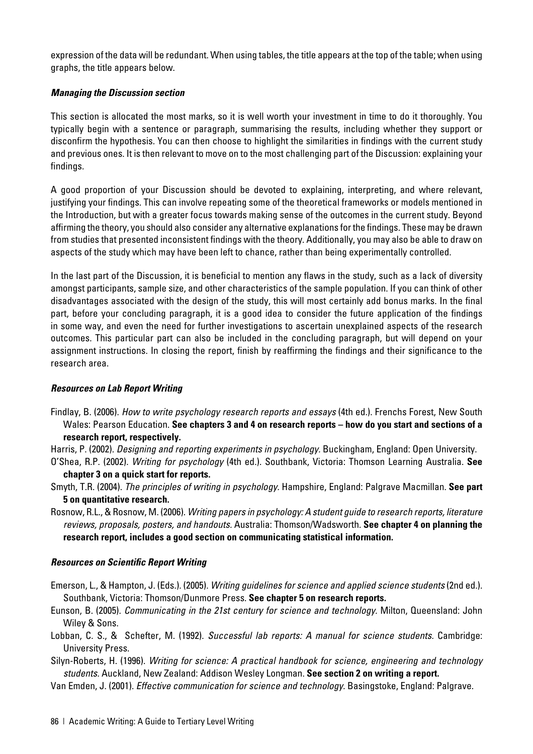expression of the data will be redundant. When using tables, the title appears at the top of the table; when using graphs, the title appears below.

## *Managing the Discussion section*

This section is allocated the most marks, so it is well worth your investment in time to do it thoroughly. You typically begin with a sentence or paragraph, summarising the results, including whether they support or disconfirm the hypothesis. You can then choose to highlight the similarities in findings with the current study and previous ones. It is then relevant to move on to the most challenging part of the Discussion: explaining your findings.

A good proportion of your Discussion should be devoted to explaining, interpreting, and where relevant, justifying your findings. This can involve repeating some of the theoretical frameworks or models mentioned in the Introduction, but with a greater focus towards making sense of the outcomes in the current study. Beyond affirming the theory, you should also consider any alternative explanations for the findings. These may be drawn from studies that presented inconsistent findings with the theory. Additionally, you may also be able to draw on aspects of the study which may have been left to chance, rather than being experimentally controlled.

In the last part of the Discussion, it is beneficial to mention any flaws in the study, such as a lack of diversity amongst participants, sample size, and other characteristics of the sample population. If you can think of other disadvantages associated with the design of the study, this will most certainly add bonus marks. In the final part, before your concluding paragraph, it is a good idea to consider the future application of the findings in some way, and even the need for further investigations to ascertain unexplained aspects of the research outcomes. This particular part can also be included in the concluding paragraph, but will depend on your assignment instructions. In closing the report, finish by reaffirming the findings and their significance to the research area.

## *Resources on Lab Report Writing*

Findlay, B. (2006). How to write psychology research reports and essays (4th ed.). Frenchs Forest, New South Wales: Pearson Education. **See chapters 3 and 4 on research reports – how do you start and sections of a research report, respectively.**

Harris, P. (2002). Designing and reporting experiments in psychology. Buckingham, England: Open University.

O'Shea, R.P. (2002). Writing for psychology (4th ed.). Southbank, Victoria: Thomson Learning Australia. **See chapter 3 on a quick start for reports.**

- Smyth, T.R. (2004). The principles of writing in psychology. Hampshire, England: Palgrave Macmillan. **See part 5 on quantitative research.**
- Rosnow, R.L., & Rosnow, M. (2006). Writing papers in psychology: A student guide to research reports, literature reviews, proposals, posters, and handouts. Australia: Thomson/Wadsworth. **See chapter 4 on planning the research report, includes a good section on communicating statistical information.**

## **Resources on Scientific Report Writing**

- Emerson, L., & Hampton, J. (Eds.). (2005). Writing guidelines for science and applied science students (2nd ed.). Southbank, Victoria: Thomson/Dunmore Press. **See chapter 5 on research reports.**
- Eunson, B. (2005). Communicating in the 21st century for science and technology. Milton, Queensland: John Wiley & Sons.
- Lobban, C. S., & Schefter, M. (1992). Successful lab reports: A manual for science students. Cambridge: University Press.
- Silyn-Roberts, H. (1996). Writing for science: A practical handbook for science, engineering and technology students. Auckland, New Zealand: Addison Wesley Longman. **See section 2 on writing a report.**

Van Emden, J. (2001). Effective communication for science and technology. Basingstoke, England: Palgrave.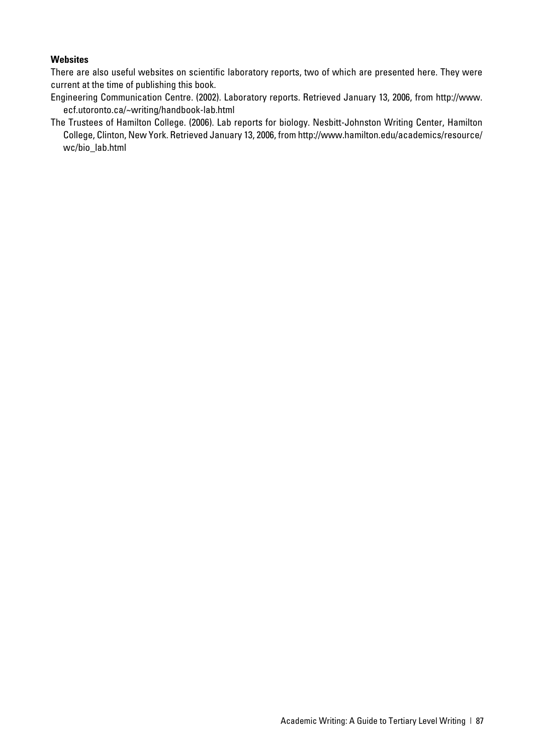## **Websites**

There are also useful websites on scientific laboratory reports, two of which are presented here. They were current at the time of publishing this book.

- Engineering Communication Centre. (2002). Laboratory reports. Retrieved January 13, 2006, from http://www. ecf.utoronto.ca/~writing/handbook-lab.html
- The Trustees of Hamilton College. (2006). Lab reports for biology. Nesbitt-Johnston Writing Center, Hamilton College, Clinton, New York. Retrieved January 13, 2006, from http://www.hamilton.edu/academics/resource/ wc/bio\_lab.html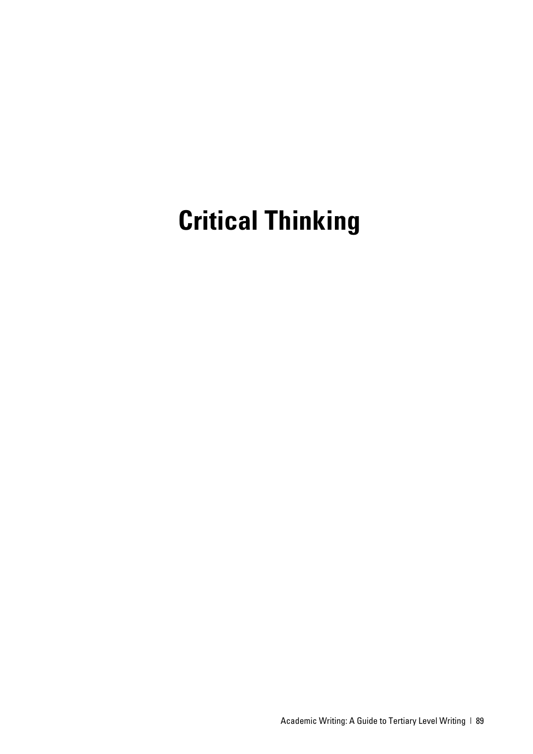# **Critical Thinking**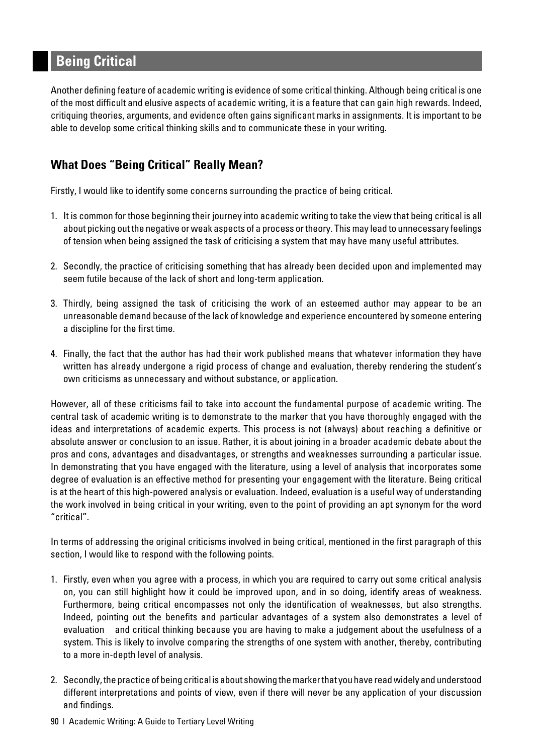# **Being Critical**

Another defining feature of academic writing is evidence of some critical thinking. Although being critical is one of the most difficult and elusive aspects of academic writing, it is a feature that can gain high rewards. Indeed, critiquing theories, arguments, and evidence often gains signifi cant marks in assignments. It is important to be able to develop some critical thinking skills and to communicate these in your writing.

# **What Does "Being Critical" Really Mean?**

Firstly, I would like to identify some concerns surrounding the practice of being critical.

- 1. It is common for those beginning their journey into academic writing to take the view that being critical is all about picking out the negative or weak aspects of a process or theory. This may lead to unnecessary feelings of tension when being assigned the task of criticising a system that may have many useful attributes.
- 2. Secondly, the practice of criticising something that has already been decided upon and implemented may seem futile because of the lack of short and long-term application.
- 3. Thirdly, being assigned the task of criticising the work of an esteemed author may appear to be an unreasonable demand because of the lack of knowledge and experience encountered by someone entering a discipline for the first time.
- 4. Finally, the fact that the author has had their work published means that whatever information they have written has already undergone a rigid process of change and evaluation, thereby rendering the student's own criticisms as unnecessary and without substance, or application.

However, all of these criticisms fail to take into account the fundamental purpose of academic writing. The central task of academic writing is to demonstrate to the marker that you have thoroughly engaged with the ideas and interpretations of academic experts. This process is not (always) about reaching a definitive or absolute answer or conclusion to an issue. Rather, it is about joining in a broader academic debate about the pros and cons, advantages and disadvantages, or strengths and weaknesses surrounding a particular issue. In demonstrating that you have engaged with the literature, using a level of analysis that incorporates some degree of evaluation is an effective method for presenting your engagement with the literature. Being critical is at the heart of this high-powered analysis or evaluation. Indeed, evaluation is a useful way of understanding the work involved in being critical in your writing, even to the point of providing an apt synonym for the word "critical".

In terms of addressing the original criticisms involved in being critical, mentioned in the first paragraph of this section, I would like to respond with the following points.

- 1. Firstly, even when you agree with a process, in which you are required to carry out some critical analysis on, you can still highlight how it could be improved upon, and in so doing, identify areas of weakness. Furthermore, being critical encompasses not only the identification of weaknesses, but also strengths. Indeed, pointing out the benefits and particular advantages of a system also demonstrates a level of evaluation and critical thinking because you are having to make a judgement about the usefulness of a system. This is likely to involve comparing the strengths of one system with another, thereby, contributing to a more in-depth level of analysis.
- 2. Secondly, the practice of being critical is about showing the marker that you have read widely and understood different interpretations and points of view, even if there will never be any application of your discussion and findings.
- 90 | Academic Writing: A Guide to Tertiary Level Writing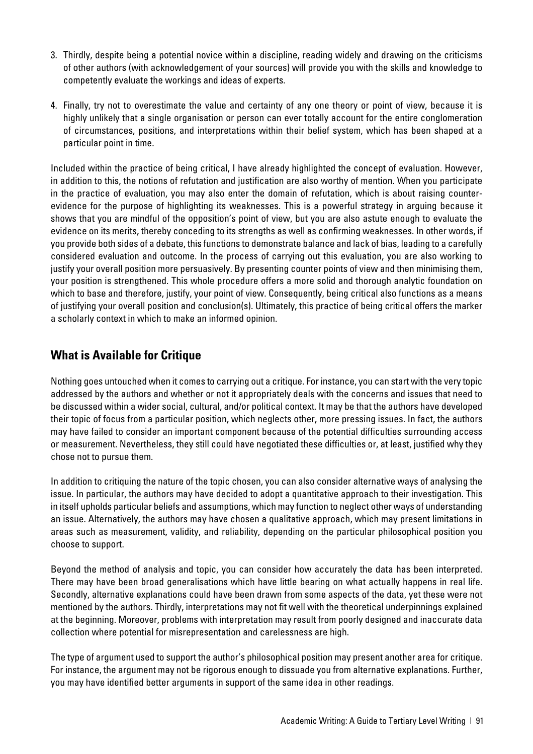- 3. Thirdly, despite being a potential novice within a discipline, reading widely and drawing on the criticisms of other authors (with acknowledgement of your sources) will provide you with the skills and knowledge to competently evaluate the workings and ideas of experts.
- 4. Finally, try not to overestimate the value and certainty of any one theory or point of view, because it is highly unlikely that a single organisation or person can ever totally account for the entire conglomeration of circumstances, positions, and interpretations within their belief system, which has been shaped at a particular point in time.

Included within the practice of being critical, I have already highlighted the concept of evaluation. However, in addition to this, the notions of refutation and justification are also worthy of mention. When you participate in the practice of evaluation, you may also enter the domain of refutation, which is about raising counterevidence for the purpose of highlighting its weaknesses. This is a powerful strategy in arguing because it shows that you are mindful of the opposition's point of view, but you are also astute enough to evaluate the evidence on its merits, thereby conceding to its strengths as well as confirming weaknesses. In other words, if you provide both sides of a debate, this functions to demonstrate balance and lack of bias, leading to a carefully considered evaluation and outcome. In the process of carrying out this evaluation, you are also working to justify your overall position more persuasively. By presenting counter points of view and then minimising them, your position is strengthened. This whole procedure offers a more solid and thorough analytic foundation on which to base and therefore, justify, your point of view. Consequently, being critical also functions as a means of justifying your overall position and conclusion(s). Ultimately, this practice of being critical offers the marker a scholarly context in which to make an informed opinion.

# **What is Available for Critique**

Nothing goes untouched when it comes to carrying out a critique. For instance, you can start with the very topic addressed by the authors and whether or not it appropriately deals with the concerns and issues that need to be discussed within a wider social, cultural, and/or political context. It may be that the authors have developed their topic of focus from a particular position, which neglects other, more pressing issues. In fact, the authors may have failed to consider an important component because of the potential difficulties surrounding access or measurement. Nevertheless, they still could have negotiated these difficulties or, at least, justified why they chose not to pursue them.

In addition to critiquing the nature of the topic chosen, you can also consider alternative ways of analysing the issue. In particular, the authors may have decided to adopt a quantitative approach to their investigation. This in itself upholds particular beliefs and assumptions, which may function to neglect other ways of understanding an issue. Alternatively, the authors may have chosen a qualitative approach, which may present limitations in areas such as measurement, validity, and reliability, depending on the particular philosophical position you choose to support.

Beyond the method of analysis and topic, you can consider how accurately the data has been interpreted. There may have been broad generalisations which have little bearing on what actually happens in real life. Secondly, alternative explanations could have been drawn from some aspects of the data, yet these were not mentioned by the authors. Thirdly, interpretations may not fit well with the theoretical underpinnings explained at the beginning. Moreover, problems with interpretation may result from poorly designed and inaccurate data collection where potential for misrepresentation and carelessness are high.

The type of argument used to support the author's philosophical position may present another area for critique. For instance, the argument may not be rigorous enough to dissuade you from alternative explanations. Further, you may have identified better arguments in support of the same idea in other readings.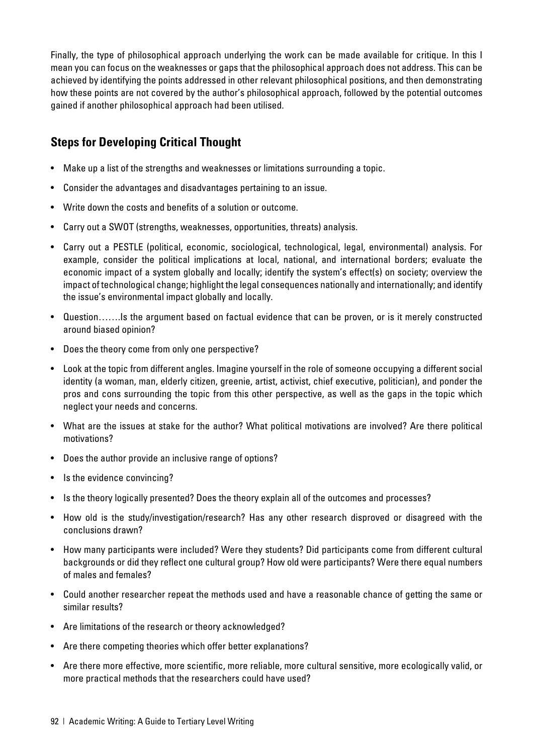Finally, the type of philosophical approach underlying the work can be made available for critique. In this I mean you can focus on the weaknesses or gaps that the philosophical approach does not address. This can be achieved by identifying the points addressed in other relevant philosophical positions, and then demonstrating how these points are not covered by the author's philosophical approach, followed by the potential outcomes gained if another philosophical approach had been utilised.

# **Steps for Developing Critical Thought**

- Make up a list of the strengths and weaknesses or limitations surrounding a topic.
- Consider the advantages and disadvantages pertaining to an issue.
- Write down the costs and benefits of a solution or outcome.
- Carry out a SWOT (strengths, weaknesses, opportunities, threats) analysis.
- Carry out a PESTLE (political, economic, sociological, technological, legal, environmental) analysis. For example, consider the political implications at local, national, and international borders; evaluate the economic impact of a system globally and locally; identify the system's effect(s) on society; overview the impact of technological change; highlight the legal consequences nationally and internationally; and identify the issue's environmental impact globally and locally.
- Question…….Is the argument based on factual evidence that can be proven, or is it merely constructed around biased opinion?
- Does the theory come from only one perspective?
- Look at the topic from different angles. Imagine yourself in the role of someone occupying a different social identity (a woman, man, elderly citizen, greenie, artist, activist, chief executive, politician), and ponder the pros and cons surrounding the topic from this other perspective, as well as the gaps in the topic which neglect your needs and concerns.
- What are the issues at stake for the author? What political motivations are involved? Are there political motivations?
- Does the author provide an inclusive range of options?
- Is the evidence convincing?
- Is the theory logically presented? Does the theory explain all of the outcomes and processes?
- How old is the study/investigation/research? Has any other research disproved or disagreed with the conclusions drawn?
- How many participants were included? Were they students? Did participants come from different cultural backgrounds or did they reflect one cultural group? How old were participants? Were there equal numbers of males and females?
- Could another researcher repeat the methods used and have a reasonable chance of getting the same or similar results?
- Are limitations of the research or theory acknowledged?
- Are there competing theories which offer better explanations?
- Are there more effective, more scientific, more reliable, more cultural sensitive, more ecologically valid, or more practical methods that the researchers could have used?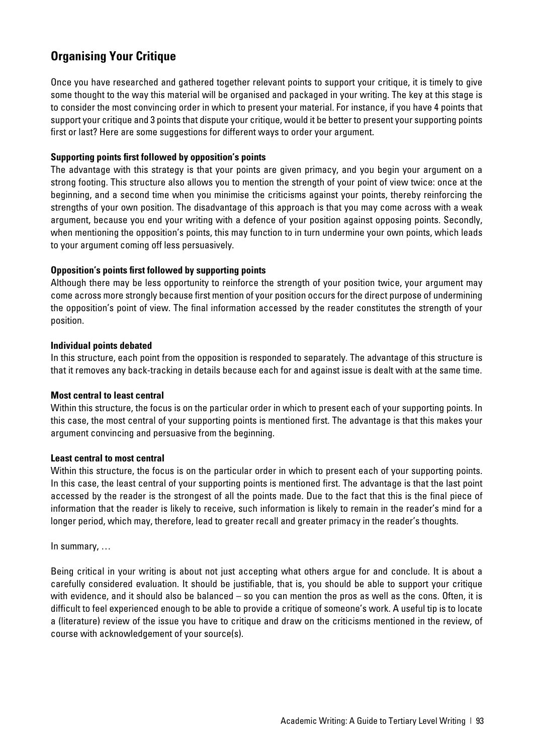# **Organising Your Critique**

Once you have researched and gathered together relevant points to support your critique, it is timely to give some thought to the way this material will be organised and packaged in your writing. The key at this stage is to consider the most convincing order in which to present your material. For instance, if you have 4 points that support your critique and 3 points that dispute your critique, would it be better to present your supporting points first or last? Here are some suggestions for different ways to order your argument.

## **Supporting points first followed by opposition's points**

The advantage with this strategy is that your points are given primacy, and you begin your argument on a strong footing. This structure also allows you to mention the strength of your point of view twice: once at the beginning, and a second time when you minimise the criticisms against your points, thereby reinforcing the strengths of your own position. The disadvantage of this approach is that you may come across with a weak argument, because you end your writing with a defence of your position against opposing points. Secondly, when mentioning the opposition's points, this may function to in turn undermine your own points, which leads to your argument coming off less persuasively.

#### **Opposition's points first followed by supporting points**

Although there may be less opportunity to reinforce the strength of your position twice, your argument may come across more strongly because first mention of your position occurs for the direct purpose of undermining the opposition's point of view. The final information accessed by the reader constitutes the strength of your position.

#### **Individual points debated**

In this structure, each point from the opposition is responded to separately. The advantage of this structure is that it removes any back-tracking in details because each for and against issue is dealt with at the same time.

#### **Most central to least central**

Within this structure, the focus is on the particular order in which to present each of your supporting points. In this case, the most central of your supporting points is mentioned first. The advantage is that this makes your argument convincing and persuasive from the beginning.

#### **Least central to most central**

Within this structure, the focus is on the particular order in which to present each of your supporting points. In this case, the least central of your supporting points is mentioned first. The advantage is that the last point accessed by the reader is the strongest of all the points made. Due to the fact that this is the final piece of information that the reader is likely to receive, such information is likely to remain in the reader's mind for a longer period, which may, therefore, lead to greater recall and greater primacy in the reader's thoughts.

In summary, …

Being critical in your writing is about not just accepting what others argue for and conclude. It is about a carefully considered evaluation. It should be justifiable, that is, you should be able to support your critique with evidence, and it should also be balanced – so you can mention the pros as well as the cons. Often, it is difficult to feel experienced enough to be able to provide a critique of someone's work. A useful tip is to locate a (literature) review of the issue you have to critique and draw on the criticisms mentioned in the review, of course with acknowledgement of your source(s).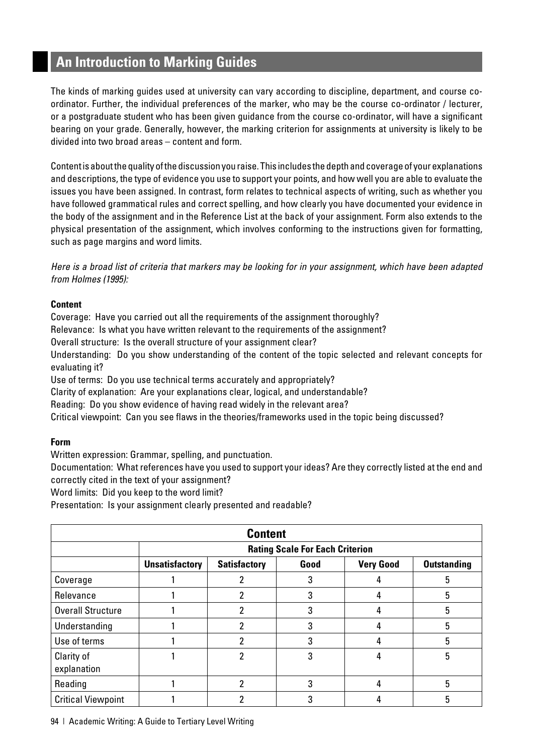# **An Introduction to Marking Guides**

The kinds of marking guides used at university can vary according to discipline, department, and course coordinator. Further, the individual preferences of the marker, who may be the course co-ordinator / lecturer, or a postgraduate student who has been given guidance from the course co-ordinator, will have a significant bearing on your grade. Generally, however, the marking criterion for assignments at university is likely to be divided into two broad areas – content and form.

Content is about the quality of the discussion you raise. This includes the depth and coverage of your explanations and descriptions, the type of evidence you use to support your points, and how well you are able to evaluate the issues you have been assigned. In contrast, form relates to technical aspects of writing, such as whether you have followed grammatical rules and correct spelling, and how clearly you have documented your evidence in the body of the assignment and in the Reference List at the back of your assignment. Form also extends to the physical presentation of the assignment, which involves conforming to the instructions given for formatting, such as page margins and word limits.

Here is a broad list of criteria that markers may be looking for in your assignment, which have been adapted from Holmes (1995):

## **Content**

Coverage: Have you carried out all the requirements of the assignment thoroughly?

Relevance: Is what you have written relevant to the requirements of the assignment?

Overall structure: Is the overall structure of your assignment clear?

Understanding: Do you show understanding of the content of the topic selected and relevant concepts for evaluating it?

Use of terms: Do you use technical terms accurately and appropriately?

Clarity of explanation: Are your explanations clear, logical, and understandable?

Reading: Do you show evidence of having read widely in the relevant area?

Critical viewpoint: Can you see flaws in the theories/frameworks used in the topic being discussed?

## **Form**

Written expression: Grammar, spelling, and punctuation.

Documentation: What references have you used to support your ideas? Are they correctly listed at the end and correctly cited in the text of your assignment?

Word limits: Did you keep to the word limit?

Presentation: Is your assignment clearly presented and readable?

| <b>Content</b>            |                                        |                     |      |                  |                    |  |  |
|---------------------------|----------------------------------------|---------------------|------|------------------|--------------------|--|--|
|                           | <b>Rating Scale For Each Criterion</b> |                     |      |                  |                    |  |  |
|                           | <b>Unsatisfactory</b>                  | <b>Satisfactory</b> | Good | <b>Very Good</b> | <b>Outstanding</b> |  |  |
| Coverage                  |                                        |                     |      |                  | 5                  |  |  |
| Relevance                 |                                        |                     |      |                  | 5                  |  |  |
| <b>Overall Structure</b>  |                                        |                     | 3    |                  | 5                  |  |  |
| Understanding             |                                        | າ                   | 3    |                  | 5                  |  |  |
| Use of terms              |                                        | າ                   |      |                  | 5                  |  |  |
| Clarity of<br>explanation |                                        | າ                   |      |                  | 5                  |  |  |
| Reading                   |                                        | າ                   | 3    | 4                | 5                  |  |  |
| <b>Critical Viewpoint</b> |                                        |                     |      |                  | 5                  |  |  |

94 | Academic Writing: A Guide to Tertiary Level Writing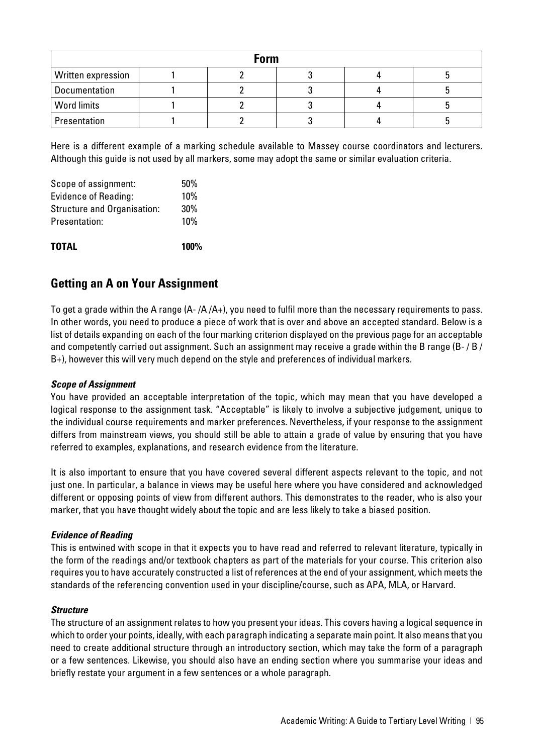| <b>Form</b>        |  |  |  |  |  |
|--------------------|--|--|--|--|--|
| Written expression |  |  |  |  |  |
| Documentation      |  |  |  |  |  |
| <b>Word limits</b> |  |  |  |  |  |
| Presentation       |  |  |  |  |  |

Here is a different example of a marking schedule available to Massey course coordinators and lecturers. Although this guide is not used by all markers, some may adopt the same or similar evaluation criteria.

| <b>TOTAL</b>                       | 100% |
|------------------------------------|------|
| Presentation:                      | 10%  |
| <b>Structure and Organisation:</b> | 30%  |
| <b>Evidence of Reading:</b>        | 10%  |
| Scope of assignment:               | 50%  |

# **Getting an A on Your Assignment**

To get a grade within the A range  $(A - /A /A<sub>+</sub>)$ , you need to fulfil more than the necessary requirements to pass. In other words, you need to produce a piece of work that is over and above an accepted standard. Below is a list of details expanding on each of the four marking criterion displayed on the previous page for an acceptable and competently carried out assignment. Such an assignment may receive a grade within the B range (B-/B/ B+), however this will very much depend on the style and preferences of individual markers.

# *Scope of Assignment*

You have provided an acceptable interpretation of the topic, which may mean that you have developed a logical response to the assignment task. "Acceptable" is likely to involve a subjective judgement, unique to the individual course requirements and marker preferences. Nevertheless, if your response to the assignment differs from mainstream views, you should still be able to attain a grade of value by ensuring that you have referred to examples, explanations, and research evidence from the literature.

It is also important to ensure that you have covered several different aspects relevant to the topic, and not just one. In particular, a balance in views may be useful here where you have considered and acknowledged different or opposing points of view from different authors. This demonstrates to the reader, who is also your marker, that you have thought widely about the topic and are less likely to take a biased position.

# *Evidence of Reading*

This is entwined with scope in that it expects you to have read and referred to relevant literature, typically in the form of the readings and/or textbook chapters as part of the materials for your course. This criterion also requires you to have accurately constructed a list of references at the end of your assignment, which meets the standards of the referencing convention used in your discipline/course, such as APA, MLA, or Harvard.

## *Structure*

The structure of an assignment relates to how you present your ideas. This covers having a logical sequence in which to order your points, ideally, with each paragraph indicating a separate main point. It also means that you need to create additional structure through an introductory section, which may take the form of a paragraph or a few sentences. Likewise, you should also have an ending section where you summarise your ideas and briefly restate your argument in a few sentences or a whole paragraph.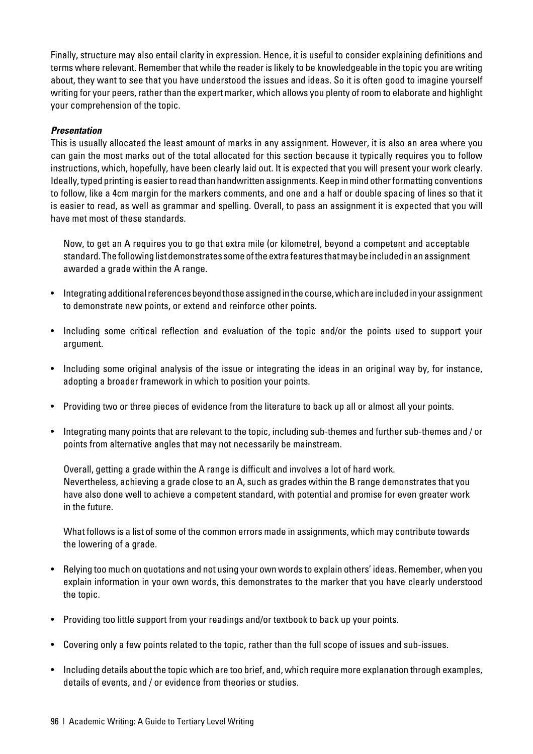Finally, structure may also entail clarity in expression. Hence, it is useful to consider explaining definitions and terms where relevant. Remember that while the reader is likely to be knowledgeable in the topic you are writing about, they want to see that you have understood the issues and ideas. So it is often good to imagine yourself writing for your peers, rather than the expert marker, which allows you plenty of room to elaborate and highlight your comprehension of the topic.

#### *Presentation*

This is usually allocated the least amount of marks in any assignment. However, it is also an area where you can gain the most marks out of the total allocated for this section because it typically requires you to follow instructions, which, hopefully, have been clearly laid out. It is expected that you will present your work clearly. Ideally, typed printing is easier to read than handwritten assignments. Keep in mind other formatting conventions to follow, like a 4cm margin for the markers comments, and one and a half or double spacing of lines so that it is easier to read, as well as grammar and spelling. Overall, to pass an assignment it is expected that you will have met most of these standards.

Now, to get an A requires you to go that extra mile (or kilometre), beyond a competent and acceptable standard. The following list demonstrates some of the extra features that may be included in an assignment awarded a grade within the A range.

- Integrating additional references beyond those assigned in the course, which are included in your assignment to demonstrate new points, or extend and reinforce other points.
- Including some critical reflection and evaluation of the topic and/or the points used to support your argument.
- Including some original analysis of the issue or integrating the ideas in an original way by, for instance, adopting a broader framework in which to position your points.
- Providing two or three pieces of evidence from the literature to back up all or almost all your points.
- Integrating many points that are relevant to the topic, including sub-themes and further sub-themes and / or points from alternative angles that may not necessarily be mainstream.

Overall, getting a grade within the A range is difficult and involves a lot of hard work. Nevertheless, achieving a grade close to an A, such as grades within the B range demonstrates that you have also done well to achieve a competent standard, with potential and promise for even greater work in the future.

What follows is a list of some of the common errors made in assignments, which may contribute towards the lowering of a grade.

- Relying too much on quotations and not using your own words to explain others' ideas. Remember, when you explain information in your own words, this demonstrates to the marker that you have clearly understood the topic.
- Providing too little support from your readings and/or textbook to back up your points.
- Covering only a few points related to the topic, rather than the full scope of issues and sub-issues.
- Including details about the topic which are too brief, and, which require more explanation through examples, details of events, and / or evidence from theories or studies.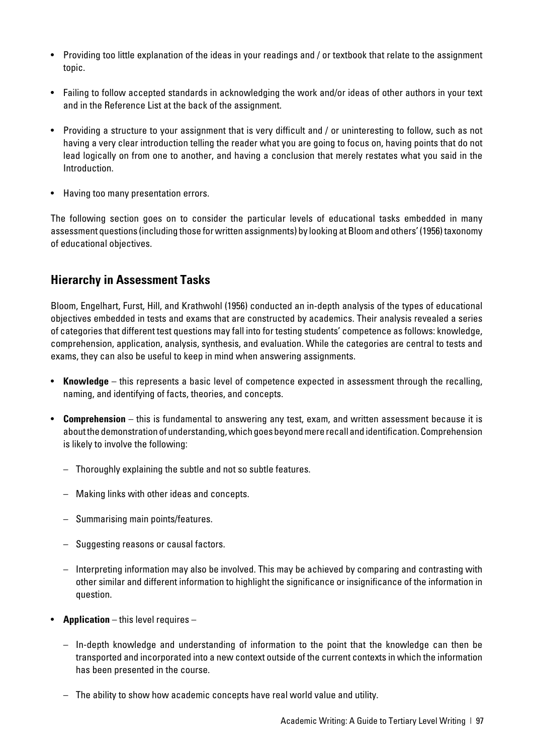- Providing too little explanation of the ideas in your readings and / or textbook that relate to the assignment topic.
- Failing to follow accepted standards in acknowledging the work and/or ideas of other authors in your text and in the Reference List at the back of the assignment.
- Providing a structure to your assignment that is very difficult and / or uninteresting to follow, such as not having a very clear introduction telling the reader what you are going to focus on, having points that do not lead logically on from one to another, and having a conclusion that merely restates what you said in the Introduction.
- Having too many presentation errors.

The following section goes on to consider the particular levels of educational tasks embedded in many assessment questions (including those for written assignments) by looking at Bloom and others' (1956) taxonomy of educational objectives.

# **Hierarchy in Assessment Tasks**

Bloom, Engelhart, Furst, Hill, and Krathwohl (1956) conducted an in-depth analysis of the types of educational objectives embedded in tests and exams that are constructed by academics. Their analysis revealed a series of categories that different test questions may fall into for testing students' competence as follows: knowledge, comprehension, application, analysis, synthesis, and evaluation. While the categories are central to tests and exams, they can also be useful to keep in mind when answering assignments.

- **Knowledge** this represents a basic level of competence expected in assessment through the recalling, naming, and identifying of facts, theories, and concepts.
- **Comprehension** this is fundamental to answering any test, exam, and written assessment because it is about the demonstration of understanding, which goes beyond mere recall and identification. Comprehension is likely to involve the following:
	- Thoroughly explaining the subtle and not so subtle features.
	- Making links with other ideas and concepts.
	- Summarising main points/features.
	- Suggesting reasons or causal factors.
	- Interpreting information may also be involved. This may be achieved by comparing and contrasting with other similar and different information to highlight the significance or insignificance of the information in question.
- **Application** this level requires
	- In-depth knowledge and understanding of information to the point that the knowledge can then be transported and incorporated into a new context outside of the current contexts in which the information has been presented in the course.
	- The ability to show how academic concepts have real world value and utility.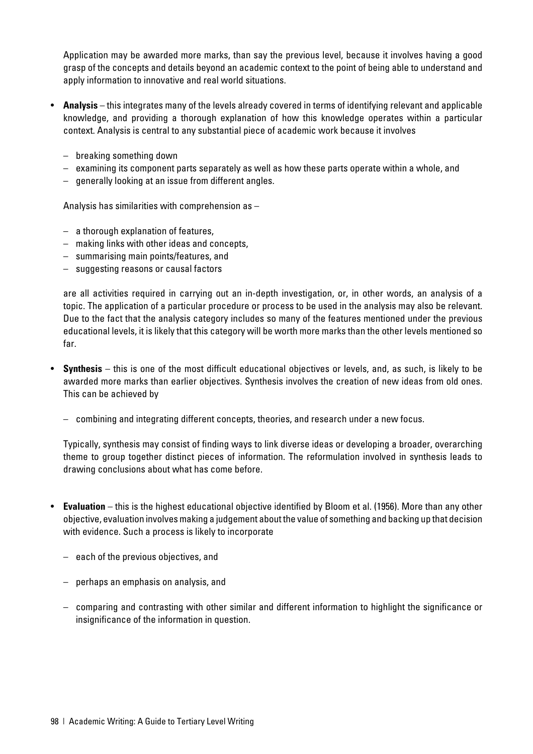Application may be awarded more marks, than say the previous level, because it involves having a good grasp of the concepts and details beyond an academic context to the point of being able to understand and apply information to innovative and real world situations.

- **Analysis** this integrates many of the levels already covered in terms of identifying relevant and applicable knowledge, and providing a thorough explanation of how this knowledge operates within a particular context. Analysis is central to any substantial piece of academic work because it involves
	- breaking something down
	- examining its component parts separately as well as how these parts operate within a whole, and
	- generally looking at an issue from different angles.

Analysis has similarities with comprehension as –

- a thorough explanation of features,
- making links with other ideas and concepts,
- summarising main points/features, and
- suggesting reasons or causal factors

 are all activities required in carrying out an in-depth investigation, or, in other words, an analysis of a topic. The application of a particular procedure or process to be used in the analysis may also be relevant. Due to the fact that the analysis category includes so many of the features mentioned under the previous educational levels, it is likely that this category will be worth more marks than the other levels mentioned so far.

- **Synthesis** this is one of the most difficult educational objectives or levels, and, as such, is likely to be awarded more marks than earlier objectives. Synthesis involves the creation of new ideas from old ones. This can be achieved by
	- combining and integrating different concepts, theories, and research under a new focus.

Typically, synthesis may consist of finding ways to link diverse ideas or developing a broader, overarching theme to group together distinct pieces of information. The reformulation involved in synthesis leads to drawing conclusions about what has come before.

- **Evaluation** this is the highest educational objective identified by Bloom et al. (1956). More than any other objective, evaluation involves making a judgement about the value of something and backing up that decision with evidence. Such a process is likely to incorporate
	- each of the previous objectives, and
	- perhaps an emphasis on analysis, and
	- $-$  comparing and contrasting with other similar and different information to highlight the significance or insignificance of the information in question.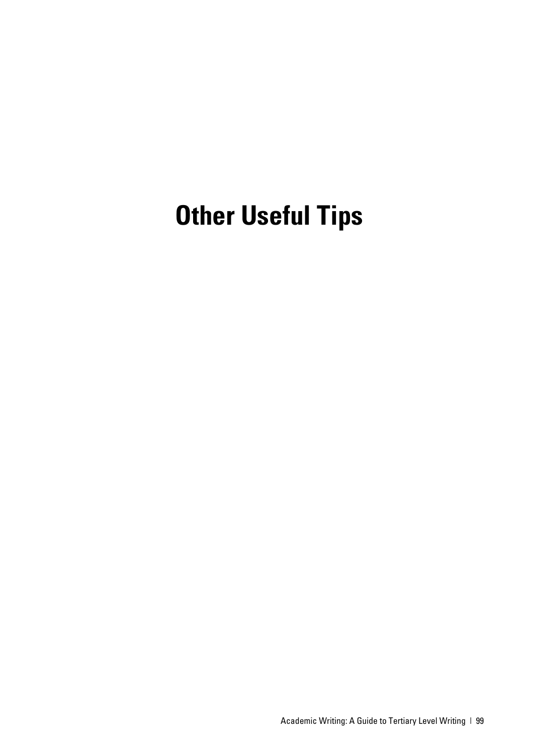# **Other Useful Tips**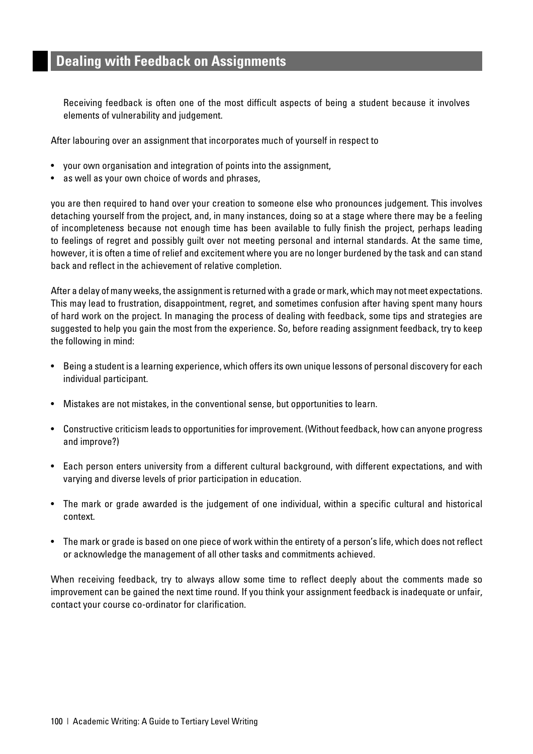# **Dealing with Feedback on Assignments**

Receiving feedback is often one of the most difficult aspects of being a student because it involves elements of vulnerability and judgement.

After labouring over an assignment that incorporates much of yourself in respect to

- your own organisation and integration of points into the assignment,
- as well as your own choice of words and phrases,

you are then required to hand over your creation to someone else who pronounces judgement. This involves detaching yourself from the project, and, in many instances, doing so at a stage where there may be a feeling of incompleteness because not enough time has been available to fully finish the project, perhaps leading to feelings of regret and possibly guilt over not meeting personal and internal standards. At the same time, however, it is often a time of relief and excitement where you are no longer burdened by the task and can stand back and reflect in the achievement of relative completion.

After a delay of many weeks, the assignment is returned with a grade or mark, which may not meet expectations. This may lead to frustration, disappointment, regret, and sometimes confusion after having spent many hours of hard work on the project. In managing the process of dealing with feedback, some tips and strategies are suggested to help you gain the most from the experience. So, before reading assignment feedback, try to keep the following in mind:

- Being a student is a learning experience, which offers its own unique lessons of personal discovery for each individual participant.
- Mistakes are not mistakes, in the conventional sense, but opportunities to learn.
- Constructive criticism leads to opportunities for improvement. (Without feedback, how can anyone progress and improve?)
- Each person enters university from a different cultural background, with different expectations, and with varying and diverse levels of prior participation in education.
- The mark or grade awarded is the judgement of one individual, within a specific cultural and historical context.
- The mark or grade is based on one piece of work within the entirety of a person's life, which does not reflect or acknowledge the management of all other tasks and commitments achieved.

When receiving feedback, try to always allow some time to reflect deeply about the comments made so improvement can be gained the next time round. If you think your assignment feedback is inadequate or unfair, contact your course co-ordinator for clarification.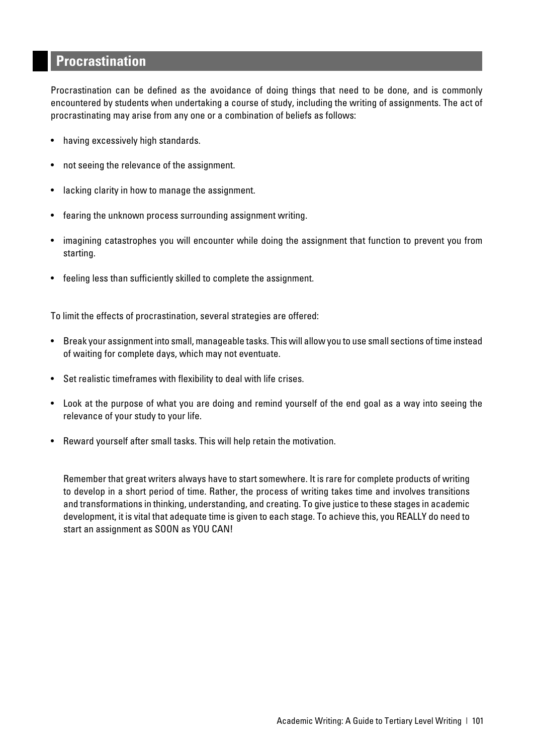# **Procrastination**

Procrastination can be defined as the avoidance of doing things that need to be done, and is commonly encountered by students when undertaking a course of study, including the writing of assignments. The act of procrastinating may arise from any one or a combination of beliefs as follows:

- having excessively high standards.
- not seeing the relevance of the assignment.
- lacking clarity in how to manage the assignment.
- fearing the unknown process surrounding assignment writing.
- imagining catastrophes you will encounter while doing the assignment that function to prevent you from starting.
- feeling less than sufficiently skilled to complete the assignment.

To limit the effects of procrastination, several strategies are offered:

- Break your assignment into small, manageable tasks. This will allow you to use small sections of time instead of waiting for complete days, which may not eventuate.
- Set realistic timeframes with flexibility to deal with life crises.
- Look at the purpose of what you are doing and remind yourself of the end goal as a way into seeing the relevance of your study to your life.
- Reward yourself after small tasks. This will help retain the motivation.

Remember that great writers always have to start somewhere. It is rare for complete products of writing to develop in a short period of time. Rather, the process of writing takes time and involves transitions and transformations in thinking, understanding, and creating. To give justice to these stages in academic development, it is vital that adequate time is given to each stage. To achieve this, you REALLY do need to start an assignment as SOON as YOU CAN!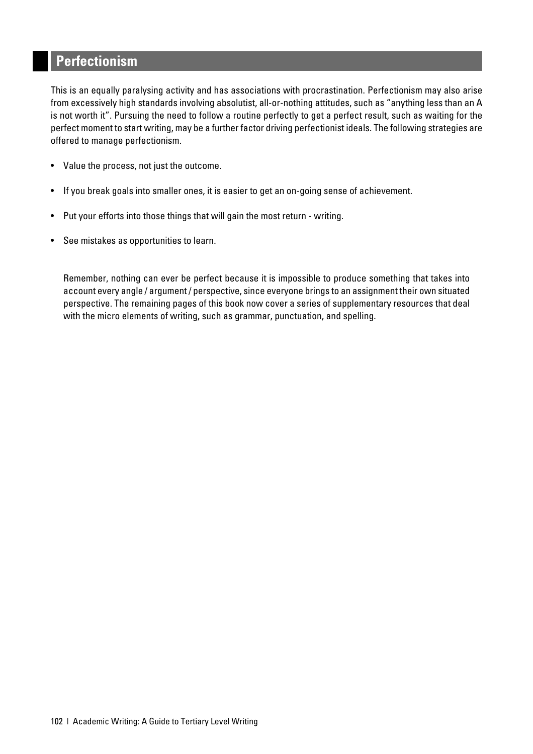# **Perfectionism**

This is an equally paralysing activity and has associations with procrastination. Perfectionism may also arise from excessively high standards involving absolutist, all-or-nothing attitudes, such as "anything less than an A is not worth it". Pursuing the need to follow a routine perfectly to get a perfect result, such as waiting for the perfect moment to start writing, may be a further factor driving perfectionist ideals. The following strategies are offered to manage perfectionism.

- Value the process, not just the outcome.
- If you break goals into smaller ones, it is easier to get an on-going sense of achievement.
- Put your efforts into those things that will gain the most return writing.
- See mistakes as opportunities to learn.

Remember, nothing can ever be perfect because it is impossible to produce something that takes into account every angle / argument / perspective, since everyone brings to an assignment their own situated perspective. The remaining pages of this book now cover a series of supplementary resources that deal with the micro elements of writing, such as grammar, punctuation, and spelling.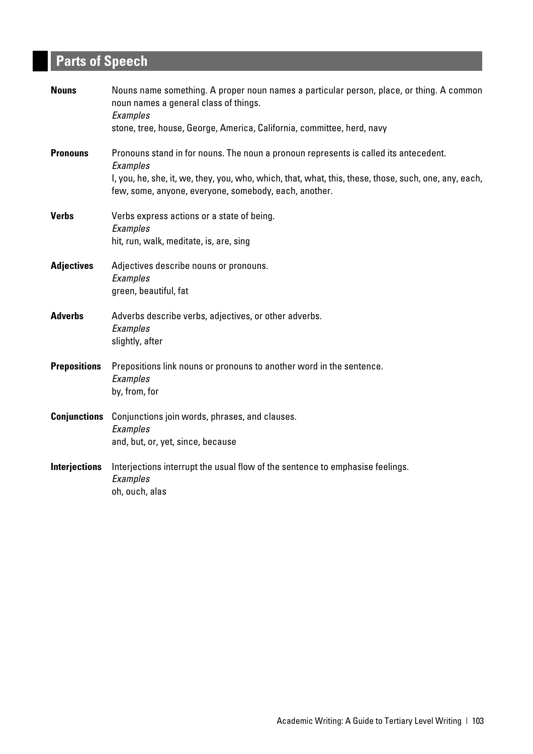# **Parts of Speech**

| <b>Nouns</b>         | Nouns name something. A proper noun names a particular person, place, or thing. A common<br>noun names a general class of things.<br>Examples                  |
|----------------------|----------------------------------------------------------------------------------------------------------------------------------------------------------------|
|                      | stone, tree, house, George, America, California, committee, herd, navy                                                                                         |
| <b>Pronouns</b>      | Pronouns stand in for nouns. The noun a pronoun represents is called its antecedent.<br>Examples                                                               |
|                      | I, you, he, she, it, we, they, you, who, which, that, what, this, these, those, such, one, any, each,<br>few, some, anyone, everyone, somebody, each, another. |
| <b>Verbs</b>         | Verbs express actions or a state of being.<br>Examples                                                                                                         |
|                      | hit, run, walk, meditate, is, are, sing                                                                                                                        |
| <b>Adjectives</b>    | Adjectives describe nouns or pronouns.<br>Examples<br>green, beautiful, fat                                                                                    |
| <b>Adverbs</b>       | Adverbs describe verbs, adjectives, or other adverbs.<br>Examples<br>slightly, after                                                                           |
| <b>Prepositions</b>  | Prepositions link nouns or pronouns to another word in the sentence.<br>Examples<br>by, from, for                                                              |
|                      | <b>Conjunctions</b> Conjunctions join words, phrases, and clauses.<br>Examples<br>and, but, or, yet, since, because                                            |
| <b>Interjections</b> | Interjections interrupt the usual flow of the sentence to emphasise feelings.<br>Examples<br>oh, ouch, alas                                                    |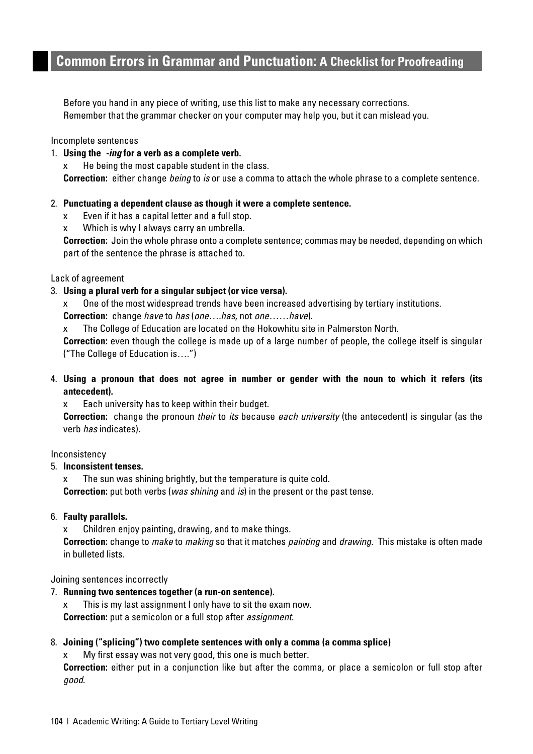Before you hand in any piece of writing, use this list to make any necessary corrections. Remember that the grammar checker on your computer may help you, but it can mislead you.

Incomplete sentences

#### 1. **Using the** *-ing* **for a verb as a complete verb.**

x He being the most capable student in the class.

**Correction:** either change being to is or use a comma to attach the whole phrase to a complete sentence.

#### 2. **Punctuating a dependent clause as though it were a complete sentence.**

x Even if it has a capital letter and a full stop.

x Which is why I always carry an umbrella.

**Correction:** Join the whole phrase onto a complete sentence; commas may be needed, depending on which part of the sentence the phrase is attached to.

Lack of agreement

#### 3. **Using a plural verb for a singular subject (or vice versa).**

 x One of the most widespread trends have been increased advertising by tertiary institutions. **Correction:** change have to has (one....has, not one......have).

x The College of Education are located on the Hokowhitu site in Palmerston North.

**Correction:** even though the college is made up of a large number of people, the college itself is singular ("The College of Education is….")

4. **Using a pronoun that does not agree in number or gender with the noun to which it refers (its antecedent).**

x Each university has to keep within their budget.

**Correction:** change the pronoun their to its because each university (the antecedent) is singular (as the verb has indicates).

#### Inconsistency

#### 5. **Inconsistent tenses.**

 x The sun was shining brightly, but the temperature is quite cold. **Correction:** put both verbs (*was shining* and *is*) in the present or the past tense.

6. **Faulty parallels.**

x Children enjoy painting, drawing, and to make things.

**Correction:** change to make to making so that it matches painting and drawing. This mistake is often made in bulleted lists.

Joining sentences incorrectly

7. **Running two sentences together (a run-on sentence).**

 x This is my last assignment I only have to sit the exam now. **Correction:** put a semicolon or a full stop after assignment.

#### 8. **Joining ("splicing") two complete sentences with only a comma (a comma splice)**

My first essay was not very good, this one is much better.

**Correction:** either put in a conjunction like but after the comma, or place a semicolon or full stop after good.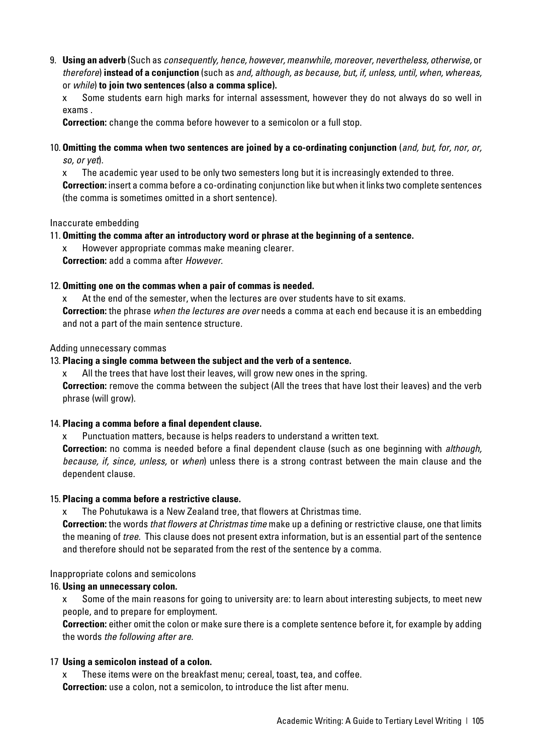9. **Using an adverb** (Such as consequently, hence, however, meanwhile, moreover, nevertheless, otherwise, or therefore) **instead of a conjunction** (such as and, although, as because, but, if, unless, until, when, whereas, or while) **to join two sentences (also a comma splice).**

 x Some students earn high marks for internal assessment, however they do not always do so well in exams .

**Correction:** change the comma before however to a semicolon or a full stop.

10. **Omitting the comma when two sentences are joined by a co-ordinating conjunction** (and, but, for, nor, or, so, or yet).

 x The academic year used to be only two semesters long but it is increasingly extended to three. **Correction:** insert a comma before a co-ordinating conjunction like but when it links two complete sentences (the comma is sometimes omitted in a short sentence).

#### Inaccurate embedding

#### 11. **Omitting the comma after an introductory word or phrase at the beginning of a sentence.**

 x However appropriate commas make meaning clearer. **Correction:** add a comma after However.

#### 12. **Omitting one on the commas when a pair of commas is needed.**

x At the end of the semester, when the lectures are over students have to sit exams.

**Correction:** the phrase when the lectures are over needs a comma at each end because it is an embedding and not a part of the main sentence structure.

#### Adding unnecessary commas

#### 13. **Placing a single comma between the subject and the verb of a sentence.**

x All the trees that have lost their leaves, will grow new ones in the spring.

**Correction:** remove the comma between the subject (All the trees that have lost their leaves) and the verb phrase (will grow).

#### 14. Placing a comma before a final dependent clause.

x Punctuation matters, because is helps readers to understand a written text.

**Correction:** no comma is needed before a final dependent clause (such as one beginning with *although*, because, if, since, unless, or when) unless there is a strong contrast between the main clause and the dependent clause.

#### 15. **Placing a comma before a restrictive clause.**

x The Pohutukawa is a New Zealand tree, that flowers at Christmas time.

**Correction:** the words *that flowers at Christmas time* make up a defining or restrictive clause, one that limits the meaning of *tree*. This clause does not present extra information, but is an essential part of the sentence and therefore should not be separated from the rest of the sentence by a comma.

#### Inappropriate colons and semicolons

#### 16. **Using an unnecessary colon.**

 x Some of the main reasons for going to university are: to learn about interesting subjects, to meet new people, and to prepare for employment.

**Correction:** either omit the colon or make sure there is a complete sentence before it, for example by adding the words the following after are.

#### 17 **Using a semicolon instead of a colon.**

- x These items were on the breakfast menu; cereal, toast, tea, and coffee.
- **Correction:** use a colon, not a semicolon, to introduce the list after menu.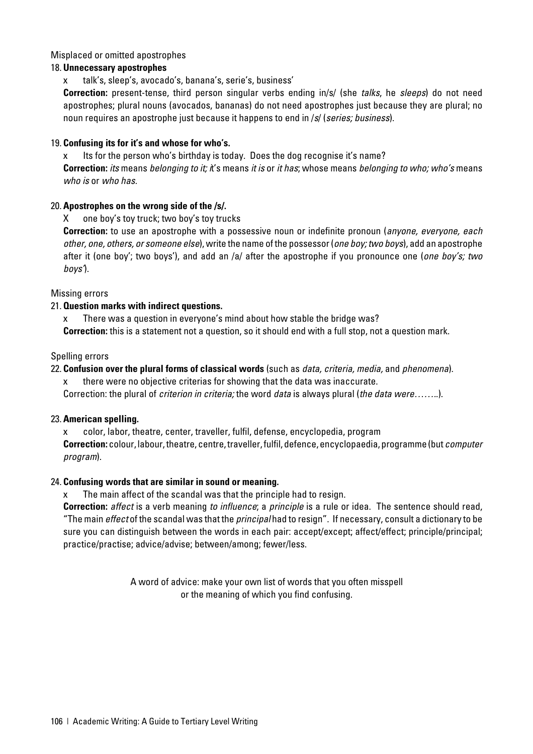#### Misplaced or omitted apostrophes

#### 18. **Unnecessary apostrophes**

x talk's, sleep's, avocado's, banana's, serie's, business'

**Correction:** present-tense, third person singular verbs ending in/s/ (she *talks*, he *sleeps*) do not need apostrophes; plural nouns (avocados, bananas) do not need apostrophes just because they are plural; no noun requires an apostrophe just because it happens to end in /s/ (series; business).

#### 19. **Confusing its for it's and whose for who's.**

x Its for the person who's birthday is today. Does the dog recognise it's name?

**Correction:** *its* means *belonging to it; it's* means *it is* or *it has*; whose means *belonging to who; who's* means who is or who has.

#### 20. **Apostrophes on the wrong side of the /s/.**

X one boy's toy truck; two boy's toy trucks

**Correction:** to use an apostrophe with a possessive noun or indefinite pronoun (*anyone, everyone, each* other, one, others, or someone else), write the name of the possessor (one boy; two boys), add an apostrophe after it (one boy'; two boys'), and add an /a/ after the apostrophe if you pronounce one (*one boy's; two* boys').

#### Missing errors

#### 21. **Question marks with indirect questions.**

x There was a question in everyone's mind about how stable the bridge was?

**Correction:** this is a statement not a question, so it should end with a full stop, not a question mark.

#### Spelling errors

- 22. **Confusion over the plural forms of classical words** (such as data, criteria, media, and phenomena).
	- x there were no objective criterias for showing that the data was inaccurate.

Correction: the plural of *criterion in criteria;* the word *data* is always plural (*the data were........*).

#### 23. **American spelling.**

x color, labor, theatre, center, traveller, fulfil, defense, encyclopedia, program **Correction:** colour, labour, theatre, centre, traveller, fulfi l, defence, encyclopaedia, programme (but computer program).

#### 24. **Confusing words that are similar in sound or meaning.**

The main affect of the scandal was that the principle had to resign.

**Correction:** affect is a verb meaning to influence; a principle is a rule or idea. The sentence should read, "The main *effect* of the scandal was that the *principal* had to resign". If necessary, consult a dictionary to be sure you can distinguish between the words in each pair: accept/except; affect/effect; principle/principal; practice/practise; advice/advise; between/among; fewer/less.

> A word of advice: make your own list of words that you often misspell or the meaning of which you find confusing.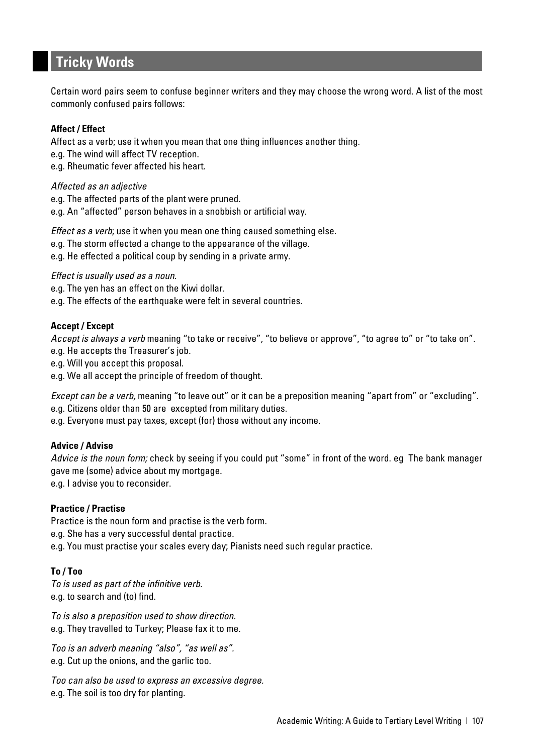# **Tricky Words**

Certain word pairs seem to confuse beginner writers and they may choose the wrong word. A list of the most commonly confused pairs follows:

### **Affect / Effect**

Affect as a verb; use it when you mean that one thing influences another thing. e.g. The wind will affect TV reception. e.g. Rheumatic fever affected his heart.

#### Affected as an adjective

e.g. The affected parts of the plant were pruned.

e.g. An "affected" person behaves in a snobbish or artificial way.

Effect as a verb; use it when you mean one thing caused something else.

- e.g. The storm effected a change to the appearance of the village.
- e.g. He effected a political coup by sending in a private army.

Effect is usually used as a noun.

- e.g. The yen has an effect on the Kiwi dollar.
- e.g. The effects of the earthquake were felt in several countries.

#### **Accept / Except**

Accept is always a verb meaning "to take or receive", "to believe or approve", "to agree to" or "to take on". e.g. He accepts the Treasurer's job.

e.g. Will you accept this proposal.

e.g. We all accept the principle of freedom of thought.

Except can be a verb, meaning "to leave out" or it can be a preposition meaning "apart from" or "excluding". e.g. Citizens older than 50 are excepted from military duties.

e.g. Everyone must pay taxes, except (for) those without any income.

#### **Advice / Advise**

Advice is the noun form; check by seeing if you could put "some" in front of the word. eg The bank manager gave me (some) advice about my mortgage.

e.g. I advise you to reconsider.

#### **Practice / Practise**

Practice is the noun form and practise is the verb form.

e.g. She has a very successful dental practice.

e.g. You must practise your scales every day; Pianists need such regular practice.

#### **To / Too**

To is used as part of the infinitive verb. e.g. to search and (to) find.

To is also a preposition used to show direction. e.g. They travelled to Turkey; Please fax it to me.

Too is an adverb meaning "also", "as well as". e.g. Cut up the onions, and the garlic too.

Too can also be used to express an excessive degree. e.g. The soil is too dry for planting.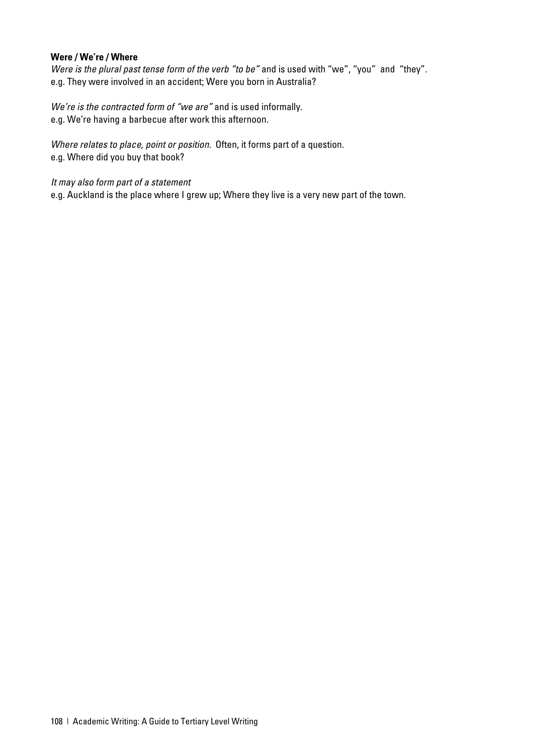#### **Were / We're / Where**

Were is the plural past tense form of the verb "to be" and is used with "we", "you" and "they". e.g. They were involved in an accident; Were you born in Australia?

We're is the contracted form of "we are" and is used informally. e.g. We're having a barbecue after work this afternoon.

Where relates to place, point or position. Often, it forms part of a question. e.g. Where did you buy that book?

It may also form part of a statement e.g. Auckland is the place where I grew up; Where they live is a very new part of the town.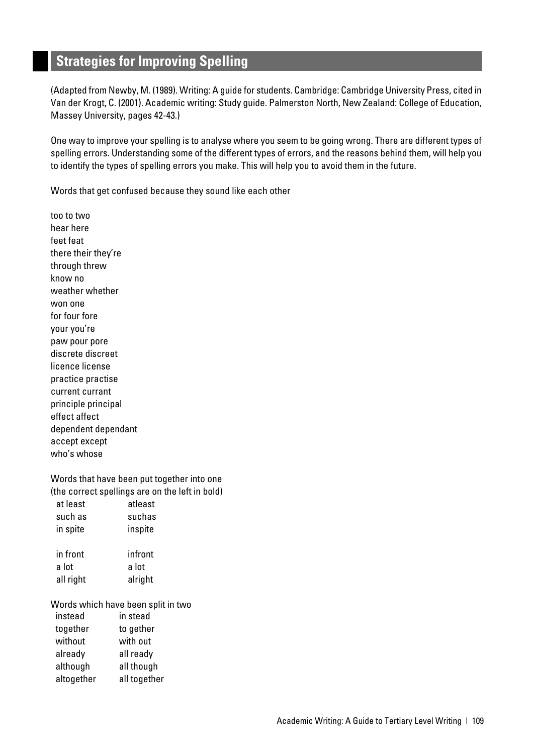## **Strategies for Improving Spelling**

(Adapted from Newby, M. (1989). Writing: A guide for students. Cambridge: Cambridge University Press, cited in Van der Krogt, C. (2001). Academic writing: Study guide. Palmerston North, New Zealand: College of Education, Massey University, pages 42-43.)

One way to improve your spelling is to analyse where you seem to be going wrong. There are different types of spelling errors. Understanding some of the different types of errors, and the reasons behind them, will help you to identify the types of spelling errors you make. This will help you to avoid them in the future.

Words that get confused because they sound like each other

too to two hear here feet feat there their they're through threw know no weather whether won one for four fore your you're paw pour pore discrete discreet licence license practice practise current currant principle principal effect affect dependent dependant accept except who's whose

#### Words that have been put together into one (the correct spellings are on the left in bold)

| at least | atleast |
|----------|---------|
| such as  | suchas  |
| in spite | inspite |
|          |         |
|          |         |
| in front | infront |
| a lot    | a lot   |

#### Words which have been split in two

| instead    | in stead     |
|------------|--------------|
| together   | to gether    |
| without    | with out     |
| already    | all ready    |
| although   | all though   |
| altogether | all together |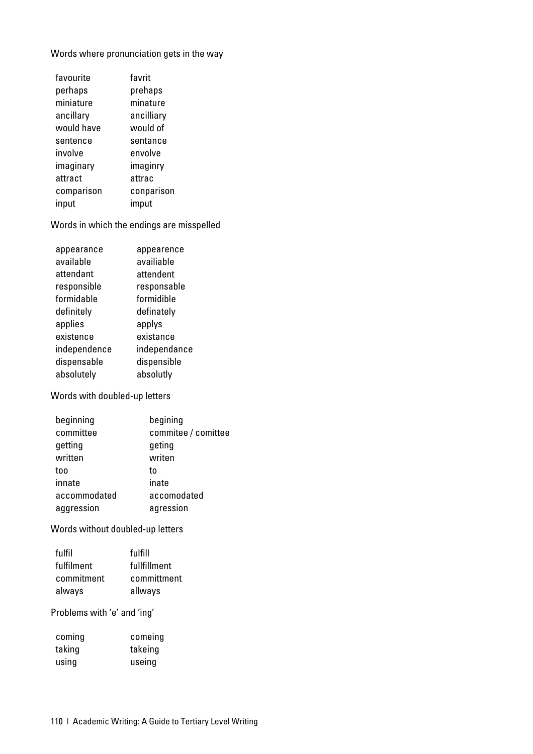Words where pronunciation gets in the way

| favourite  | favrit     |
|------------|------------|
| perhaps    | prehaps    |
| miniature  | minature   |
| ancillary  | ancilliary |
| would have | would of   |
| sentence   | sentance   |
| involve    | envolve    |
| imaginary  | imaginry   |
| attract    | attrac     |
| comparison | conparison |
| ınput      | ımput      |

Words in which the endings are misspelled

| appearence   |
|--------------|
| availiable   |
| attendent    |
| responsable  |
| formidible   |
| definately   |
| applys       |
| existance    |
| independance |
| dispensible  |
| absolutly    |
|              |

Words with doubled-up letters

| beginning    | begining            |
|--------------|---------------------|
| committee    | commitee / comittee |
| getting      | geting              |
| written      | writen              |
| too          | to                  |
| innate       | inate               |
| accommodated | accomodated         |
| aggression   | agression           |
|              |                     |

## Words without doubled-up letters

| fulfil     | fulfill      |
|------------|--------------|
| fulfilment | fullfillment |
| commitment | committment  |
| always     | allways      |

Problems with 'e' and 'ing'

| coming | comeing |
|--------|---------|
| taking | takeing |
| using  | useing  |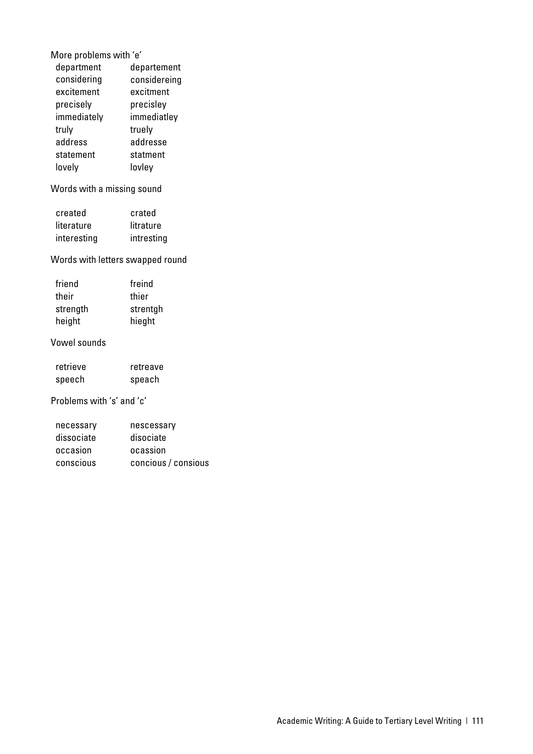More problems with 'e' department considering excitement precisely immediately truly address statement lovely departement considereing excitment precisley immediatley truely addresse statment lovley

Words with a missing sound

| created     | crated     |
|-------------|------------|
| literature  | litrature  |
| interesting | intresting |

Words with letters swapped round

| friend   | freind   |
|----------|----------|
| their    | thier    |
| strength | strentgh |
| height   | hieght   |

## Vowel sounds

| retrieve | retreave |  |
|----------|----------|--|
| speech   | speach   |  |

Problems with 's' and 'c'

| necessary  | nescessary          |
|------------|---------------------|
| dissociate | disociate           |
| occasion   | ocassion            |
| conscious  | concious / consious |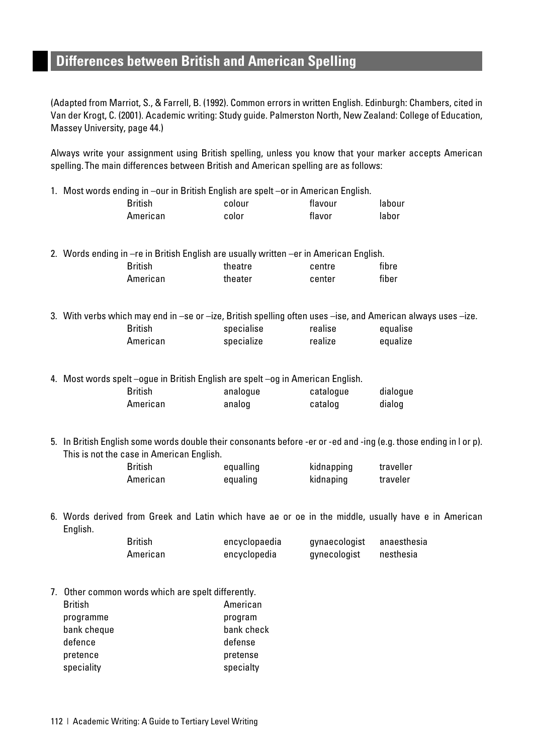# **Differences between British and American Spelling**

(Adapted from Marriot, S., & Farrell, B. (1992). Common errors in written English. Edinburgh: Chambers, cited in Van der Krogt, C. (2001). Academic writing: Study guide. Palmerston North, New Zealand: College of Education, Massey University, page 44.)

Always write your assignment using British spelling, unless you know that your marker accepts American spelling.The main differences between British and American spelling are as follows:

| 1. Most words ending in -our in British English are spelt -or in American English. |                                                 |                                                                                                                                      |                          |                         |                                                                                                                                             |  |
|------------------------------------------------------------------------------------|-------------------------------------------------|--------------------------------------------------------------------------------------------------------------------------------------|--------------------------|-------------------------|---------------------------------------------------------------------------------------------------------------------------------------------|--|
|                                                                                    |                                                 | <b>British</b>                                                                                                                       | colour                   | flavour                 | labour                                                                                                                                      |  |
|                                                                                    |                                                 | American                                                                                                                             | color                    | flavor                  | labor                                                                                                                                       |  |
|                                                                                    |                                                 | 2. Words ending in -re in British English are usually written -er in American English.                                               |                          |                         |                                                                                                                                             |  |
|                                                                                    |                                                 | <b>British</b>                                                                                                                       | theatre                  | centre                  | fibre                                                                                                                                       |  |
|                                                                                    |                                                 | American                                                                                                                             | theater                  | center                  | fiber                                                                                                                                       |  |
|                                                                                    |                                                 | <b>British</b><br>American                                                                                                           | specialise<br>specialize | realise<br>realize      | 3. With verbs which may end in -se or -ize, British spelling often uses -ise, and American always uses -ize.<br>equalise<br>equalize        |  |
|                                                                                    |                                                 |                                                                                                                                      |                          |                         |                                                                                                                                             |  |
|                                                                                    |                                                 | 4. Most words spelt-ogue in British English are spelt-og in American English.<br><b>British</b><br>analogue<br>catalogue<br>dialogue |                          |                         |                                                                                                                                             |  |
|                                                                                    |                                                 | American                                                                                                                             | analog                   | catalog                 | dialog                                                                                                                                      |  |
|                                                                                    |                                                 | This is not the case in American English.<br><b>British</b><br>American                                                              | equalling<br>equaling    | kidnapping<br>kidnaping | 5. In British English some words double their consonants before -er or -ed and -ing (e.g. those ending in I or p).<br>traveller<br>traveler |  |
|                                                                                    |                                                 |                                                                                                                                      |                          |                         |                                                                                                                                             |  |
|                                                                                    | English.                                        |                                                                                                                                      |                          |                         | 6. Words derived from Greek and Latin which have ae or oe in the middle, usually have e in American                                         |  |
|                                                                                    |                                                 | <b>British</b>                                                                                                                       | encyclopaedia            | gynaecologist           | anaesthesia                                                                                                                                 |  |
|                                                                                    |                                                 | American                                                                                                                             | encyclopedia             | gynecologist            | nesthesia                                                                                                                                   |  |
|                                                                                    | Other common words which are spelt differently. |                                                                                                                                      |                          |                         |                                                                                                                                             |  |
|                                                                                    | <b>British</b>                                  |                                                                                                                                      | American                 |                         |                                                                                                                                             |  |
|                                                                                    | programme                                       |                                                                                                                                      | program                  |                         |                                                                                                                                             |  |
|                                                                                    | bank cheque                                     |                                                                                                                                      | bank check               |                         |                                                                                                                                             |  |
|                                                                                    | defence                                         |                                                                                                                                      | defense                  |                         |                                                                                                                                             |  |
|                                                                                    | pretence                                        |                                                                                                                                      | pretense                 |                         |                                                                                                                                             |  |
|                                                                                    | speciality                                      |                                                                                                                                      | specialty                |                         |                                                                                                                                             |  |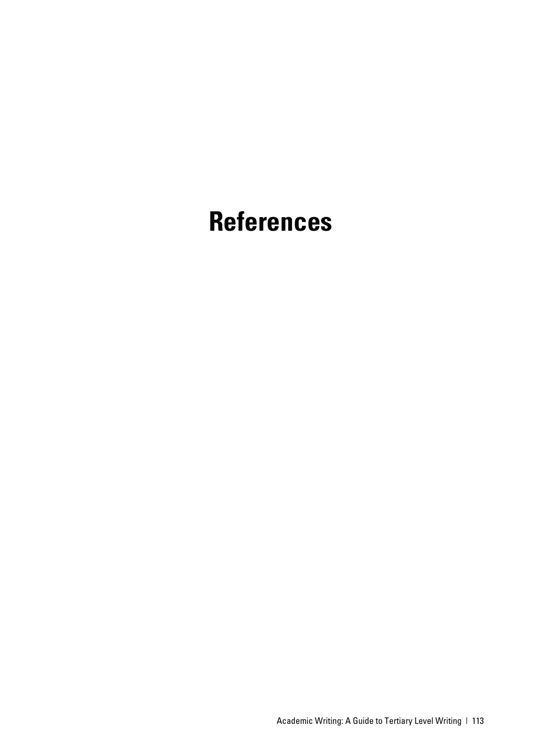# **References**